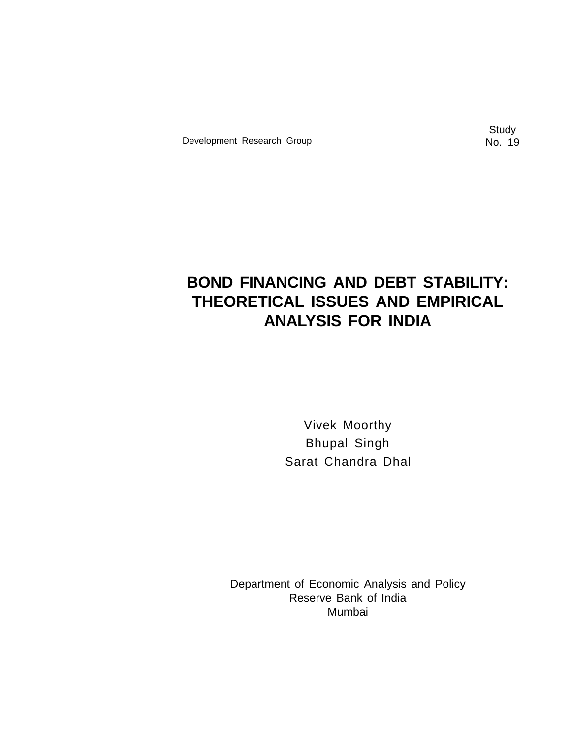Development Research Group No. 19

**Study** 

 $\Box$ 

# **BOND FINANCING AND DEBT STABILITY: THEORETICAL ISSUES AND EMPIRICAL ANALYSIS FOR INDIA**

Vivek Moorthy Bhupal Singh Sarat Chandra Dhal

Department of Economic Analysis and Policy Reserve Bank of India Mumbai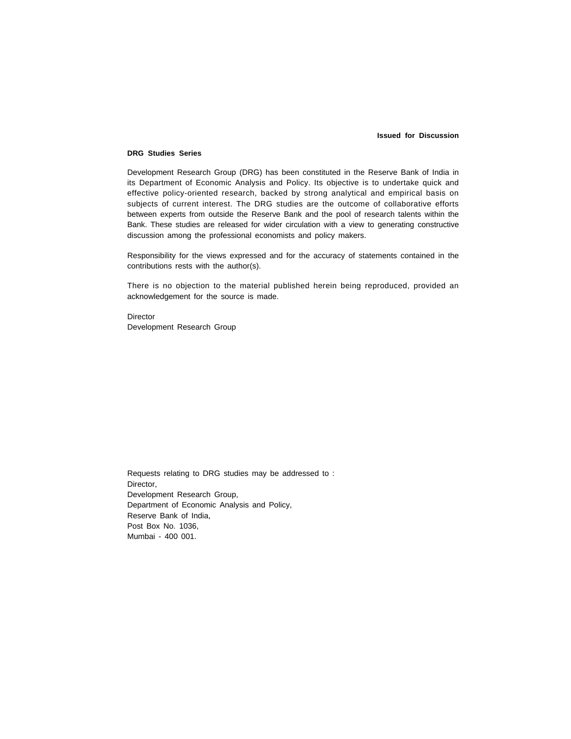#### **Issued for Discussion**

#### **DRG Studies Series**

Development Research Group (DRG) has been constituted in the Reserve Bank of India in its Department of Economic Analysis and Policy. Its objective is to undertake quick and effective policy-oriented research, backed by strong analytical and empirical basis on subjects of current interest. The DRG studies are the outcome of collaborative efforts between experts from outside the Reserve Bank and the pool of research talents within the Bank. These studies are released for wider circulation with a view to generating constructive discussion among the professional economists and policy makers.

Responsibility for the views expressed and for the accuracy of statements contained in the contributions rests with the author(s).

There is no objection to the material published herein being reproduced, provided an acknowledgement for the source is made.

Director Development Research Group

Requests relating to DRG studies may be addressed to : Director, Development Research Group, Department of Economic Analysis and Policy, Reserve Bank of India, Post Box No. 1036, Mumbai - 400 001.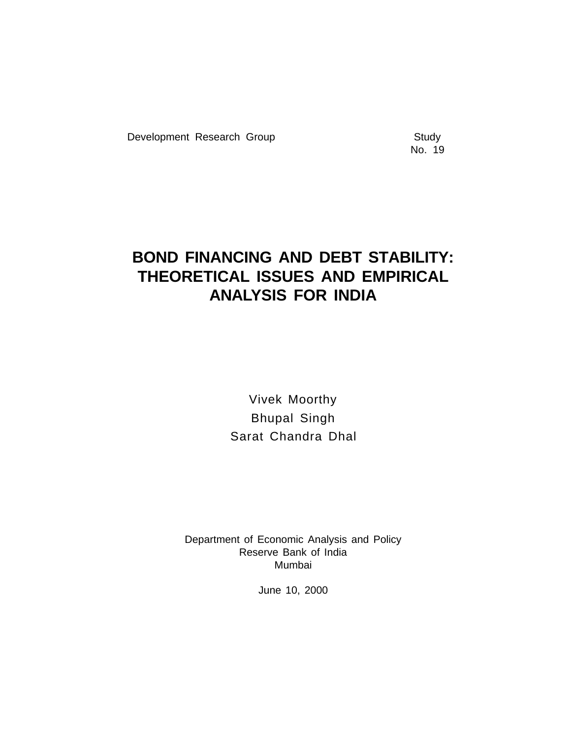Development Research Group **Study** Study

No. 19

## **BOND FINANCING AND DEBT STABILITY: THEORETICAL ISSUES AND EMPIRICAL ANALYSIS FOR INDIA**

Vivek Moorthy Bhupal Singh Sarat Chandra Dhal

Department of Economic Analysis and Policy Reserve Bank of India Mumbai

June 10, 2000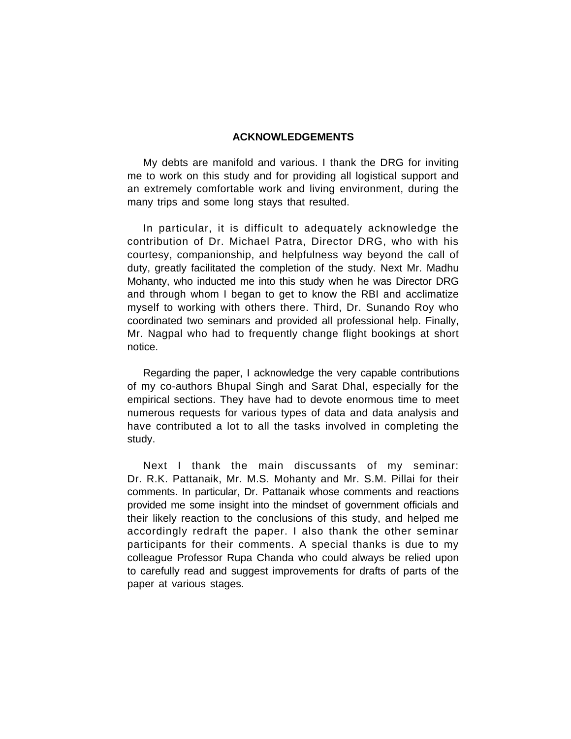#### **ACKNOWLEDGEMENTS**

My debts are manifold and various. I thank the DRG for inviting me to work on this study and for providing all logistical support and an extremely comfortable work and living environment, during the many trips and some long stays that resulted.

In particular, it is difficult to adequately acknowledge the contribution of Dr. Michael Patra, Director DRG, who with his courtesy, companionship, and helpfulness way beyond the call of duty, greatly facilitated the completion of the study. Next Mr. Madhu Mohanty, who inducted me into this study when he was Director DRG and through whom I began to get to know the RBI and acclimatize myself to working with others there. Third, Dr. Sunando Roy who coordinated two seminars and provided all professional help. Finally, Mr. Nagpal who had to frequently change flight bookings at short notice.

Regarding the paper, I acknowledge the very capable contributions of my co-authors Bhupal Singh and Sarat Dhal, especially for the empirical sections. They have had to devote enormous time to meet numerous requests for various types of data and data analysis and have contributed a lot to all the tasks involved in completing the study.

Next I thank the main discussants of my seminar: Dr. R.K. Pattanaik, Mr. M.S. Mohanty and Mr. S.M. Pillai for their comments. In particular, Dr. Pattanaik whose comments and reactions provided me some insight into the mindset of government officials and their likely reaction to the conclusions of this study, and helped me accordingly redraft the paper. I also thank the other seminar participants for their comments. A special thanks is due to my colleague Professor Rupa Chanda who could always be relied upon to carefully read and suggest improvements for drafts of parts of the paper at various stages.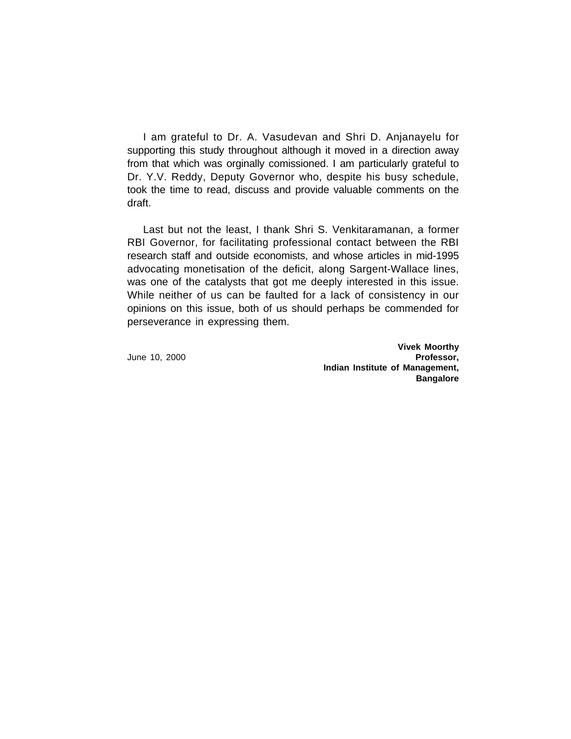I am grateful to Dr. A. Vasudevan and Shri D. Anjanayelu for supporting this study throughout although it moved in a direction away from that which was orginally comissioned. I am particularly grateful to Dr. Y.V. Reddy, Deputy Governor who, despite his busy schedule, took the time to read, discuss and provide valuable comments on the draft.

Last but not the least, I thank Shri S. Venkitaramanan, a former RBI Governor, for facilitating professional contact between the RBI research staff and outside economists, and whose articles in mid-1995 advocating monetisation of the deficit, along Sargent-Wallace lines, was one of the catalysts that got me deeply interested in this issue. While neither of us can be faulted for a lack of consistency in our opinions on this issue, both of us should perhaps be commended for perseverance in expressing them.

**Vivek Moorthy** June 10, 2000 **Professor, Indian Institute of Management, Bangalore**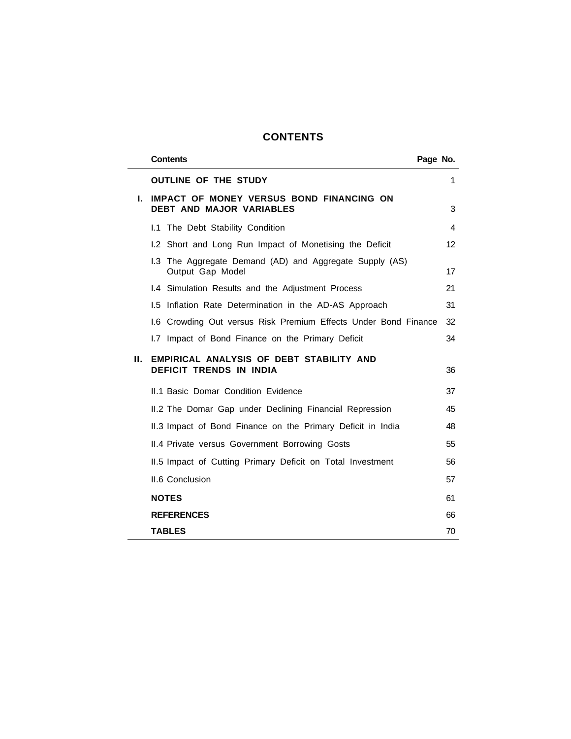## **CONTENTS**

|    | <b>Contents</b>                                                             | Page No. |    |
|----|-----------------------------------------------------------------------------|----------|----|
|    | <b>OUTLINE OF THE STUDY</b>                                                 |          | 1  |
| L. | IMPACT OF MONEY VERSUS BOND FINANCING ON<br>DEBT AND MAJOR VARIABLES        |          | 3  |
|    | 1.1 The Debt Stability Condition                                            |          | 4  |
|    | 1.2 Short and Long Run Impact of Monetising the Deficit                     |          | 12 |
|    | 1.3 The Aggregate Demand (AD) and Aggregate Supply (AS)<br>Output Gap Model |          | 17 |
|    | I.4 Simulation Results and the Adjustment Process                           |          | 21 |
|    | 1.5 Inflation Rate Determination in the AD-AS Approach                      |          | 31 |
|    | 1.6 Crowding Out versus Risk Premium Effects Under Bond Finance             |          | 32 |
|    | 1.7 Impact of Bond Finance on the Primary Deficit                           |          | 34 |
| н. | EMPIRICAL ANALYSIS OF DEBT STABILITY AND<br><b>DEFICIT TRENDS IN INDIA</b>  |          | 36 |
|    | II.1 Basic Domar Condition Evidence                                         |          | 37 |
|    | II.2 The Domar Gap under Declining Financial Repression                     |          | 45 |
|    | II.3 Impact of Bond Finance on the Primary Deficit in India                 |          | 48 |
|    | II.4 Private versus Government Borrowing Gosts                              |          | 55 |
|    | II.5 Impact of Cutting Primary Deficit on Total Investment                  |          | 56 |
|    | <b>II.6 Conclusion</b>                                                      |          | 57 |
|    | <b>NOTES</b>                                                                |          | 61 |
|    | <b>REFERENCES</b>                                                           |          | 66 |
|    | <b>TABLES</b>                                                               |          | 70 |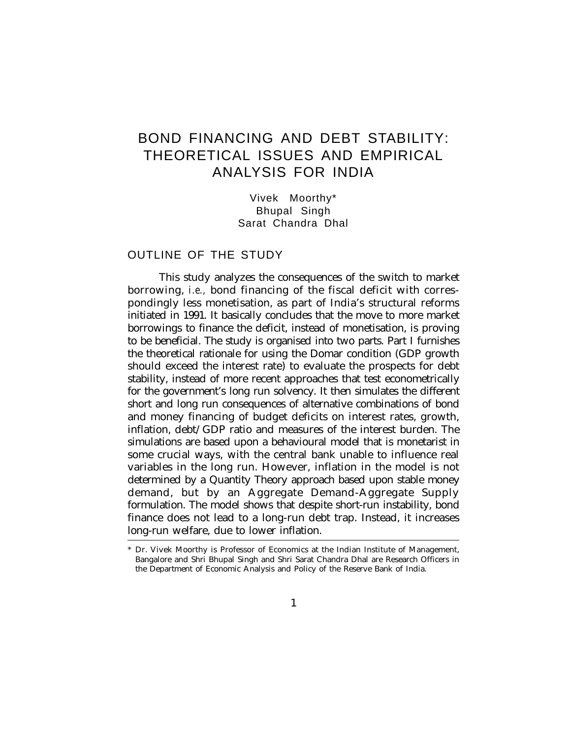## BOND FINANCING AND DEBT STABILITY: THEORETICAL ISSUES AND EMPIRICAL ANALYSIS FOR INDIA

Vivek Moorthy\* Bhupal Singh Sarat Chandra Dhal

## OUTLINE OF THE STUDY

This study analyzes the consequences of the switch to market borrowing, *i.e.,* bond financing of the fiscal deficit with correspondingly less monetisation, as part of India's structural reforms initiated in 1991. It basically concludes that the move to more market borrowings to finance the deficit, instead of monetisation, is proving to be beneficial. The study is organised into two parts. Part I furnishes the theoretical rationale for using the Domar condition (GDP growth should exceed the interest rate) to evaluate the prospects for debt stability, instead of more recent approaches that test econometrically for the government's long run solvency. It then simulates the different short and long run consequences of alternative combinations of bond and money financing of budget deficits on interest rates, growth, inflation, debt/GDP ratio and measures of the interest burden. The simulations are based upon a behavioural model that is monetarist in some crucial ways, with the central bank unable to influence real variables in the long run. However, inflation in the model is not determined by a Quantity Theory approach based upon stable money demand, but by an Aggregate Demand-Aggregate Supply formulation. The model shows that despite short-run instability, bond finance does not lead to a long-run debt trap. Instead, it increases long-run welfare, due to lower inflation.

<sup>\*</sup> Dr. Vivek Moorthy is Professor of Economics at the Indian Institute of Management, Bangalore and Shri Bhupal Singh and Shri Sarat Chandra Dhal are Research Officers in the Department of Economic Analysis and Policy of the Reserve Bank of India.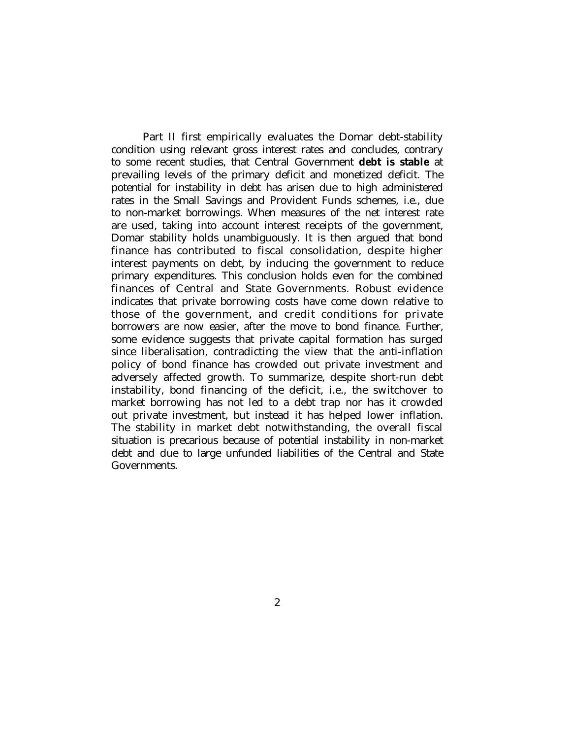Part II first empirically evaluates the Domar debt-stability condition using relevant gross interest rates and concludes, contrary to some recent studies, that Central Government **debt is stable** at prevailing levels of the primary deficit and monetized deficit. The potential for instability in debt has arisen due to high administered rates in the Small Savings and Provident Funds schemes, i.e., due to non-market borrowings. When measures of the net interest rate are used, taking into account interest receipts of the government, Domar stability holds unambiguously. It is then argued that bond finance has contributed to fiscal consolidation, despite higher interest payments on debt, by inducing the government to reduce primary expenditures. This conclusion holds even for the combined finances of Central and State Governments. Robust evidence indicates that private borrowing costs have come down relative to those of the government, and credit conditions for private borrowers are now easier, after the move to bond finance. Further, some evidence suggests that private capital formation has surged since liberalisation, contradicting the view that the anti-inflation policy of bond finance has crowded out private investment and adversely affected growth. To summarize, despite short-run debt instability, bond financing of the deficit, i.e., the switchover to market borrowing has not led to a debt trap nor has it crowded out private investment, but instead it has helped lower inflation. The stability in market debt notwithstanding, the overall fiscal situation is precarious because of potential instability in non-market debt and due to large unfunded liabilities of the Central and State Governments.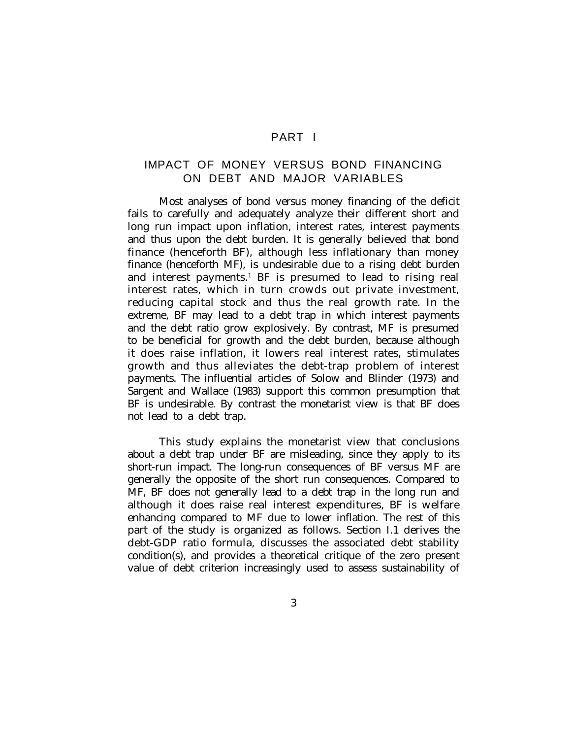## PART I

## IMPACT OF MONEY VERSUS BOND FINANCING ON DEBT AND MAJOR VARIABLES

Most analyses of bond versus money financing of the deficit fails to carefully and adequately analyze their different short and long run impact upon inflation, interest rates, interest payments and thus upon the debt burden. It is generally believed that bond finance (henceforth BF), although less inflationary than money finance (henceforth MF), is undesirable due to a rising debt burden and interest payments.<sup>1</sup> BF is presumed to lead to rising real interest rates, which in turn crowds out private investment, reducing capital stock and thus the real growth rate. In the extreme, BF may lead to a debt trap in which interest payments and the debt ratio grow explosively. By contrast, MF is presumed to be beneficial for growth and the debt burden, because although it does raise inflation, it lowers real interest rates, stimulates growth and thus alleviates the debt-trap problem of interest payments. The influential articles of Solow and Blinder (1973) and Sargent and Wallace (1983) support this common presumption that BF is undesirable. By contrast the monetarist view is that BF does not lead to a debt trap.

This study explains the monetarist view that conclusions about a debt trap under BF are misleading, since they apply to its short-run impact. The long-run consequences of BF versus MF are generally the opposite of the short run consequences. Compared to MF, BF does not generally lead to a debt trap in the long run and although it does raise real interest expenditures, BF is welfare enhancing compared to MF due to lower inflation. The rest of this part of the study is organized as follows. Section I.1 derives the debt-GDP ratio formula, discusses the associated debt stability condition(s), and provides a theoretical critique of the zero present value of debt criterion increasingly used to assess sustainability of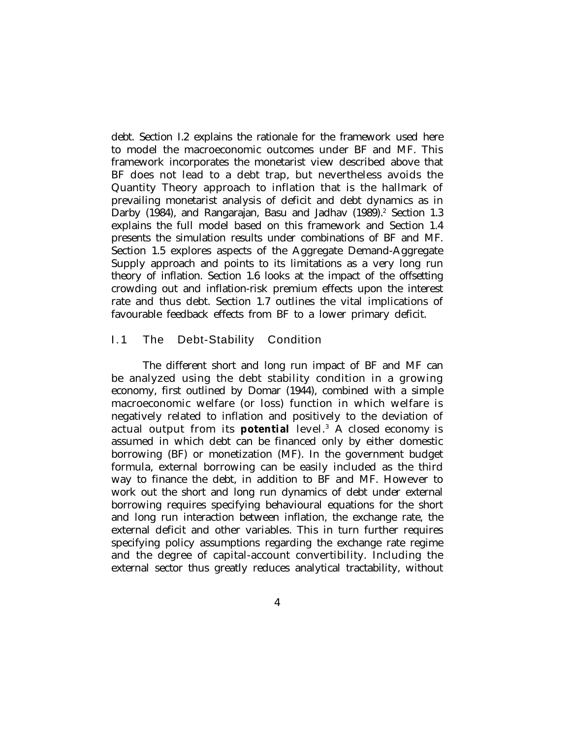debt. Section I.2 explains the rationale for the framework used here to model the macroeconomic outcomes under BF and MF. This framework incorporates the monetarist view described above that BF does not lead to a debt trap, but nevertheless avoids the Quantity Theory approach to inflation that is the hallmark of prevailing monetarist analysis of deficit and debt dynamics as in Darby (1984), and Rangarajan, Basu and Jadhav (1989).<sup>2</sup> Section 1.3 explains the full model based on this framework and Section 1.4 presents the simulation results under combinations of BF and MF. Section 1.5 explores aspects of the Aggregate Demand-Aggregate Supply approach and points to its limitations as a very long run theory of inflation. Section 1.6 looks at the impact of the offsetting crowding out and inflation-risk premium effects upon the interest rate and thus debt. Section 1.7 outlines the vital implications of favourable feedback effects from BF to a lower primary deficit.

## I.1 The Debt-Stability Condition

The different short and long run impact of BF and MF can be analyzed using the debt stability condition in a growing economy, first outlined by Domar (1944), combined with a simple macroeconomic welfare (or loss) function in which welfare is negatively related to inflation and positively to the deviation of actual output from its **potential** level.<sup>3</sup> A closed economy is assumed in which debt can be financed only by either domestic borrowing (BF) or monetization (MF). In the government budget formula, external borrowing can be easily included as the third way to finance the debt, in addition to BF and MF. However to work out the short and long run dynamics of debt under external borrowing requires specifying behavioural equations for the short and long run interaction between inflation, the exchange rate, the external deficit and other variables. This in turn further requires specifying policy assumptions regarding the exchange rate regime and the degree of capital-account convertibility. Including the external sector thus greatly reduces analytical tractability, without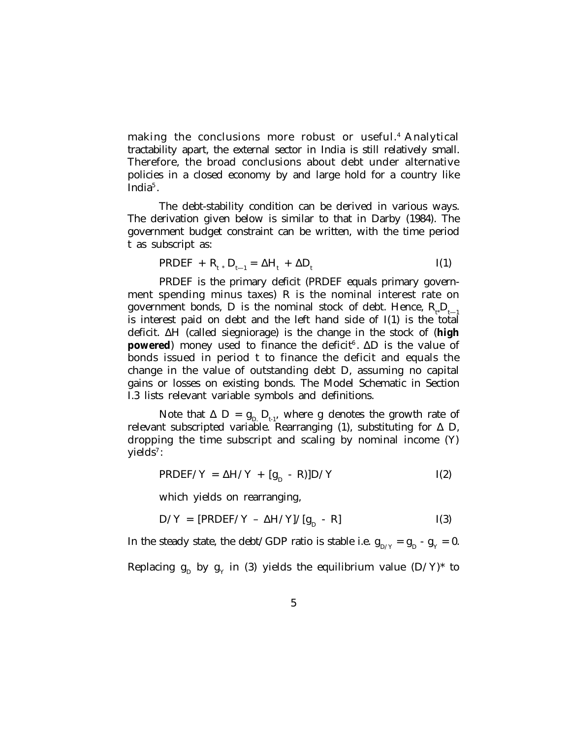making the conclusions more robust or useful.<sup>4</sup> Analytical tractability apart, the external sector in India is still relatively small. Therefore, the broad conclusions about debt under alternative policies in a closed economy by and large hold for a country like India<sup>5</sup>.

The debt-stability condition can be derived in various ways. The derivation given below is similar to that in Darby (1984). The government budget constraint can be written, with the time period t as subscript as:

$$
PROEF + R_{t} \cdot D_{t-1} = \Delta H_{t} + \Delta D_{t}
$$
 I(1)

PRDEF is the primary deficit (PRDEF equals primary government spending minus taxes) R is the nominal interest rate on government bonds, D is the nominal stock of debt. Hence,  $R_{\mu}D_{\mu}$ is interest paid on debt and the left hand side of I(1) is the total deficit. ΔH (called siegniorage) is the change in the stock of (**high powered**) money used to finance the deficit<sup>6</sup>. ΔD is the value of bonds issued in period t to finance the deficit and equals the change in the value of outstanding debt D, assuming no capital gains or losses on existing bonds. The Model Schematic in Section I.3 lists relevant variable symbols and definitions.

Note that  $\Delta$  D =  $g_{D}$ ,  $D_{t-1}$ , where g denotes the growth rate of relevant subscripted variable. Rearranging (1), substituting for  $\Delta$  D, dropping the time subscript and scaling by nominal income (Y) yields<sup>7</sup>:

$$
PRDEF/Y = \Delta H/Y + [g_D - R)]D/Y
$$
 I(2)

which yields on rearranging,

$$
D/Y = [PRDEF/Y - \Delta H/Y]/[g_D - R]
$$
 I(3)

In the steady state, the debt/GDP ratio is stable i.e.  $g_{D/Y} = g_D - g_Y = 0$ . Replacing  $\mathrm{g}_\mathrm{D}$  by  $\mathrm{g}_\mathrm{Y}$  in (3) yields the equilibrium value (D/Y)\* to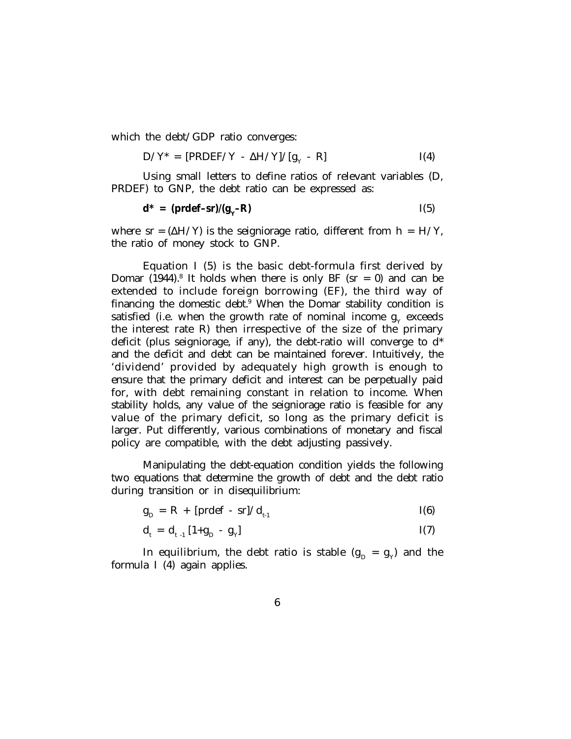which the debt/GDP ratio converges:

$$
D/Y^* = [PROEF/Y - \Delta H/Y]/[g_Y - R]
$$
 I(4)

Using small letters to define ratios of relevant variables (D, PRDEF) to GNP, the debt ratio can be expressed as:

$$
\mathbf{d}^* = (\mathbf{prdef-sr})/(\mathbf{g}_Y - \mathbf{R})
$$
 I(5)

where  $sr = (\Delta H/Y)$  is the seigniorage ratio, different from  $h = H/Y$ , the ratio of money stock to GNP.

Equation I (5) is the basic debt-formula first derived by Domar (1944).<sup>8</sup> It holds when there is only BF (sr = 0) and can be extended to include foreign borrowing (EF), the third way of financing the domestic debt. $9$  When the Domar stability condition is satisfied (i.e. when the growth rate of nominal income  $g_{_{Y}}$  exceeds the interest rate R) then irrespective of the size of the primary deficit (plus seigniorage, if any), the debt-ratio will converge to  $d^*$ and the deficit and debt can be maintained forever. Intuitively, the 'dividend' provided by adequately high growth is enough to ensure that the primary deficit and interest can be perpetually paid for, with debt remaining constant in relation to income. When stability holds, any value of the seigniorage ratio is feasible for any value of the primary deficit, so long as the primary deficit is larger. Put differently, various combinations of monetary and fiscal policy are compatible, with the debt adjusting passively.

Manipulating the debt-equation condition yields the following two equations that determine the growth of debt and the debt ratio during transition or in disequilibrium:

$$
g_{D} = R + [predef - sr]/d_{t-1}
$$
 I(6)

$$
d_{t} = d_{t-1} [1 + g_{D} - g_{Y}] \qquad I(7)
$$

In equilibrium, the debt ratio is stable  $(\mathrm{g}_\mathrm{p}$  =  $\mathrm{g}_\mathrm{y})$  and the formula I (4) again applies.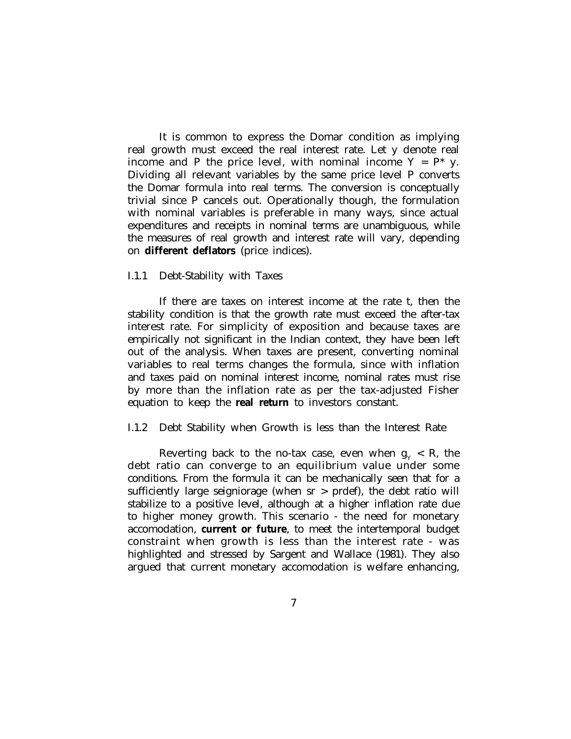It is common to express the Domar condition as implying real growth must exceed the real interest rate. Let y denote real income and P the price level, with nominal income  $Y = P^*$  y. Dividing all relevant variables by the same price level P converts the Domar formula into real terms. The conversion is conceptually trivial since P cancels out. Operationally though, the formulation with nominal variables is preferable in many ways, since actual expenditures and receipts in nominal terms are unambiguous, while the measures of real growth and interest rate will vary, depending on **different deflators** (price indices).

## I.1.1 Debt-Stability with Taxes

If there are taxes on interest income at the rate t, then the stability condition is that the growth rate must exceed the after-tax interest rate. For simplicity of exposition and because taxes are empirically not significant in the Indian context, they have been left out of the analysis. When taxes are present, converting nominal variables to real terms changes the formula, since with inflation and taxes paid on nominal interest income, nominal rates must rise by more than the inflation rate as per the tax-adjusted Fisher equation to keep the **real return** to investors constant.

#### I.1.2 Debt Stability when Growth is less than the Interest Rate

Reverting back to the no-tax case, even when  $g_{_Y} < R$ , the debt ratio can converge to an equilibrium value under some conditions. From the formula it can be mechanically seen that for a sufficiently large seigniorage (when sr > prdef), the debt ratio will stabilize to a positive level, although at a higher inflation rate due to higher money growth. This scenario - the need for monetary accomodation, **current or future**, to meet the intertemporal budget constraint when growth is less than the interest rate - was highlighted and stressed by Sargent and Wallace (1981). They also argued that current monetary accomodation is welfare enhancing,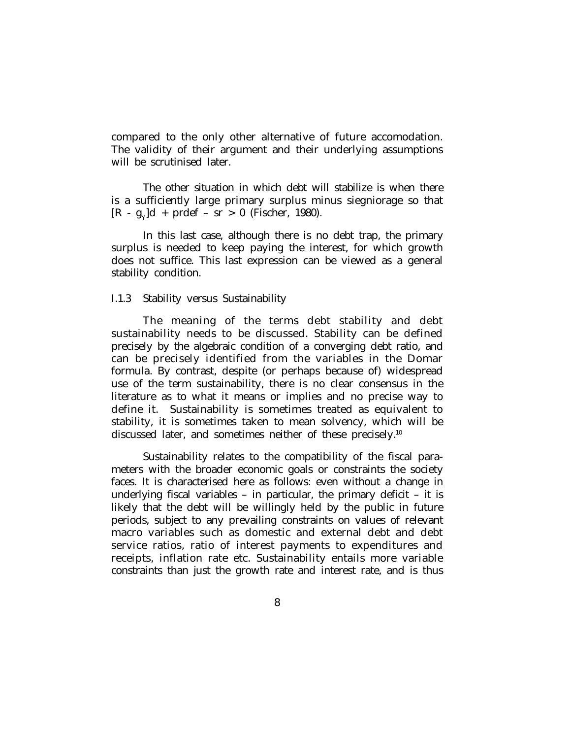compared to the only other alternative of future accomodation. The validity of their argument and their underlying assumptions will be scrutinised later.

The other situation in which debt will stabilize is when there is a sufficiently large primary surplus minus siegniorage so that  $[R - g_y]d + predef - sr > 0$  (Fischer, 1980).

In this last case, although there is no debt trap, the primary surplus is needed to keep paying the interest, for which growth does not suffice. This last expression can be viewed as a general stability condition.

## I.1.3 Stability versus Sustainability

The meaning of the terms debt stability and debt sustainability needs to be discussed. Stability can be defined precisely by the algebraic condition of a converging debt ratio, and can be precisely identified from the variables in the Domar formula. By contrast, despite (or perhaps because of) widespread use of the term sustainability, there is no clear consensus in the literature as to what it means or implies and no precise way to define it. Sustainability is sometimes treated as equivalent to stability, it is sometimes taken to mean solvency, which will be discussed later, and sometimes neither of these precisely.<sup>10</sup>

Sustainability relates to the compatibility of the fiscal parameters with the broader economic goals or constraints the society faces. It is characterised here as follows: even without a change in underlying fiscal variables – in particular, the primary deficit – it is likely that the debt will be willingly held by the public in future periods, subject to any prevailing constraints on values of relevant macro variables such as domestic and external debt and debt service ratios, ratio of interest payments to expenditures and receipts, inflation rate etc. Sustainability entails more variable constraints than just the growth rate and interest rate, and is thus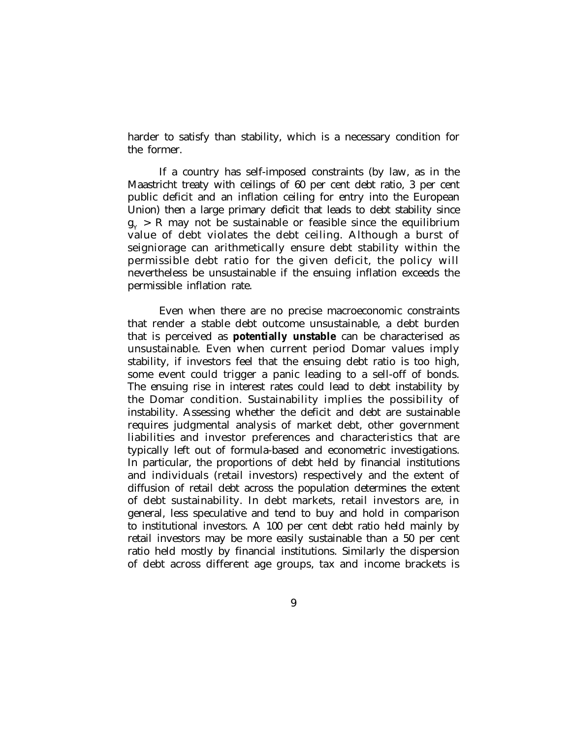harder to satisfy than stability, which is a necessary condition for the former.

If a country has self-imposed constraints (by law, as in the Maastricht treaty with ceilings of 60 per cent debt ratio, 3 per cent public deficit and an inflation ceiling for entry into the European Union) then a large primary deficit that leads to debt stability since  $\mathrm{g}_{_{\mathrm{Y}}}>$  R may not be sustainable or feasible since the equilibrium value of debt violates the debt ceiling. Although a burst of seigniorage can arithmetically ensure debt stability within the permissible debt ratio for the given deficit, the policy will nevertheless be unsustainable if the ensuing inflation exceeds the permissible inflation rate.

Even when there are no precise macroeconomic constraints that render a stable debt outcome unsustainable, a debt burden that is perceived as **potentially unstable** can be characterised as unsustainable. Even when current period Domar values imply stability, if investors feel that the ensuing debt ratio is too high, some event could trigger a panic leading to a sell-off of bonds. The ensuing rise in interest rates could lead to debt instability by the Domar condition. Sustainability implies the possibility of instability. Assessing whether the deficit and debt are sustainable requires judgmental analysis of market debt, other government liabilities and investor preferences and characteristics that are typically left out of formula-based and econometric investigations. In particular, the proportions of debt held by financial institutions and individuals (retail investors) respectively and the extent of diffusion of retail debt across the population determines the extent of debt sustainability. In debt markets, retail investors are, in general, less speculative and tend to buy and hold in comparison to institutional investors. A 100 per cent debt ratio held mainly by retail investors may be more easily sustainable than a 50 per cent ratio held mostly by financial institutions. Similarly the dispersion of debt across different age groups, tax and income brackets is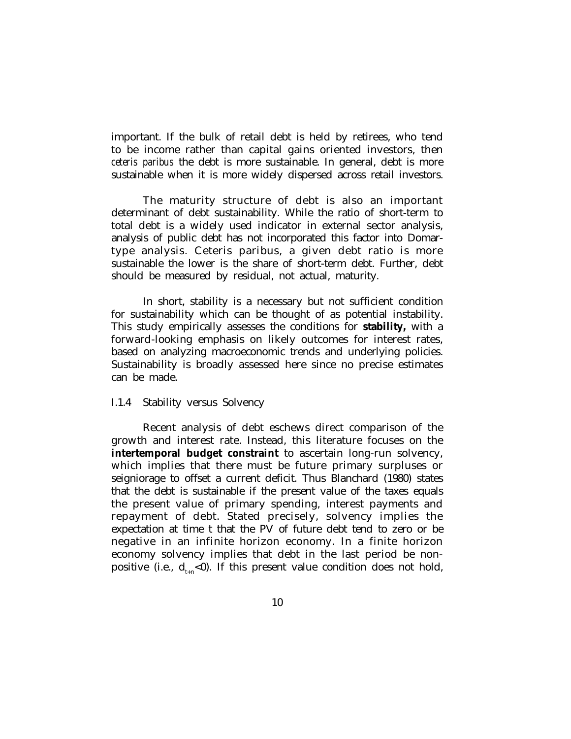important. If the bulk of retail debt is held by retirees, who tend to be income rather than capital gains oriented investors, then *ceteris paribus* the debt is more sustainable. In general, debt is more sustainable when it is more widely dispersed across retail investors.

The maturity structure of debt is also an important determinant of debt sustainability. While the ratio of short-term to total debt is a widely used indicator in external sector analysis, analysis of public debt has not incorporated this factor into Domartype analysis. Ceteris paribus, a given debt ratio is more sustainable the lower is the share of short-term debt. Further, debt should be measured by residual, not actual, maturity.

In short, stability is a necessary but not sufficient condition for sustainability which can be thought of as potential instability. This study empirically assesses the conditions for **stability,** with a forward-looking emphasis on likely outcomes for interest rates, based on analyzing macroeconomic trends and underlying policies. Sustainability is broadly assessed here since no precise estimates can be made.

## I.1.4 Stability versus Solvency

Recent analysis of debt eschews direct comparison of the growth and interest rate. Instead, this literature focuses on the **intertemporal budget constraint** to ascertain long-run solvency, which implies that there must be future primary surpluses or seigniorage to offset a current deficit. Thus Blanchard (1980) states that the debt is sustainable if the present value of the taxes equals the present value of primary spending, interest payments and repayment of debt. Stated precisely, solvency implies the expectation at time t that the PV of future debt tend to zero or be negative in an infinite horizon economy. In a finite horizon economy solvency implies that debt in the last period be nonpositive (i.e.,  $d_{\mu}$  < 0). If this present value condition does not hold,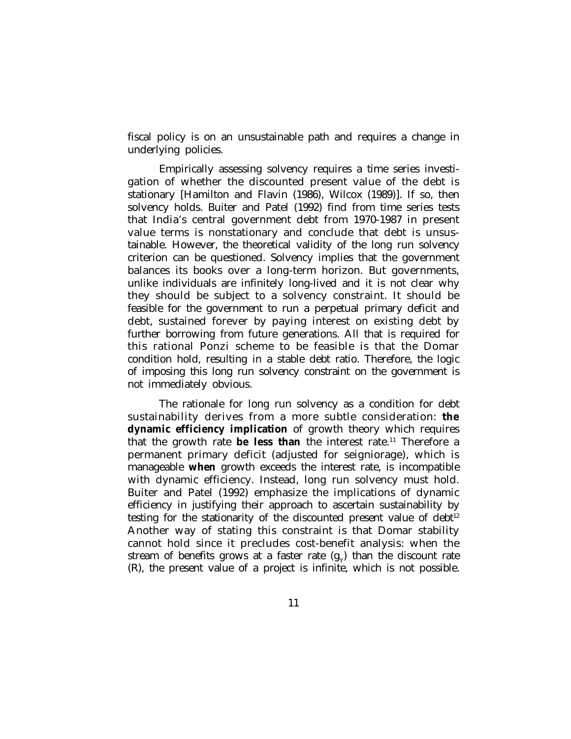fiscal policy is on an unsustainable path and requires a change in underlying policies.

Empirically assessing solvency requires a time series investigation of whether the discounted present value of the debt is stationary [Hamilton and Flavin (1986), Wilcox (1989)]. If so, then solvency holds. Buiter and Patel (1992) find from time series tests that India's central government debt from 1970-1987 in present value terms is nonstationary and conclude that debt is unsustainable. However, the theoretical validity of the long run solvency criterion can be questioned. Solvency implies that the government balances its books over a long-term horizon. But governments, unlike individuals are infinitely long-lived and it is not clear why they should be subject to a solvency constraint. It should be feasible for the government to run a perpetual primary deficit and debt, sustained forever by paying interest on existing debt by further borrowing from future generations. All that is required for this rational Ponzi scheme to be feasible is that the Domar condition hold, resulting in a stable debt ratio. Therefore, the logic of imposing this long run solvency constraint on the government is not immediately obvious.

The rationale for long run solvency as a condition for debt sustainability derives from a more subtle consideration: **the dynamic efficiency implication** of growth theory which requires that the growth rate **be less than** the interest rate.<sup>11</sup> Therefore a permanent primary deficit (adjusted for seigniorage), which is manageable **when** growth exceeds the interest rate, is incompatible with dynamic efficiency. Instead, long run solvency must hold. Buiter and Patel (1992) emphasize the implications of dynamic efficiency in justifying their approach to ascertain sustainability by testing for the stationarity of the discounted present value of  $debt^{12}$ Another way of stating this constraint is that Domar stability cannot hold since it precludes cost-benefit analysis: when the stream of benefits grows at a faster rate  $(\mathrm{g}_{\scriptscriptstyle\rm Y})$  than the discount rate (R), the present value of a project is infinite, which is not possible.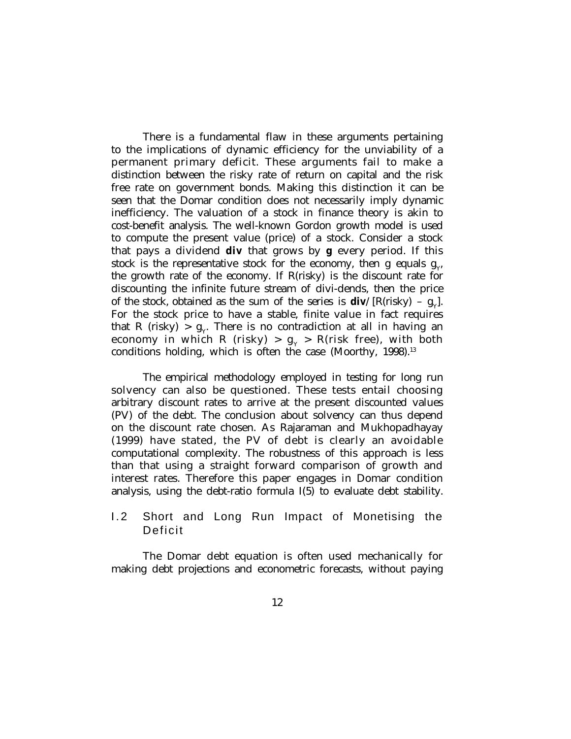There is a fundamental flaw in these arguments pertaining to the implications of dynamic efficiency for the unviability of a permanent primary deficit. These arguments fail to make a distinction between the risky rate of return on capital and the risk free rate on government bonds. Making this distinction it can be seen that the Domar condition does not necessarily imply dynamic inefficiency. The valuation of a stock in finance theory is akin to cost-benefit analysis. The well-known Gordon growth model is used to compute the present value (price) of a stock. Consider a stock that pays a dividend **div** that grows by **g** every period. If this stock is the representative stock for the economy, then g equals  $g_{Y}$ the growth rate of the economy. If R(risky) is the discount rate for discounting the infinite future stream of divi-dends, then the price of the stock, obtained as the sum of the series is  $div/[R(risky) - g<sub>y</sub>]$ . For the stock price to have a stable, finite value in fact requires that R (risky)  $> g_y$ . There is no contradiction at all in having an economy in which R (risky) >  $g_{\gamma}$  > R(risk free), with both conditions holding, which is often the case (Moorthy,  $1998$ ).<sup>13</sup>

The empirical methodology employed in testing for long run solvency can also be questioned. These tests entail choosing arbitrary discount rates to arrive at the present discounted values (PV) of the debt. The conclusion about solvency can thus depend on the discount rate chosen. As Rajaraman and Mukhopadhayay (1999) have stated, the PV of debt is clearly an avoidable computational complexity. The robustness of this approach is less than that using a straight forward comparison of growth and interest rates. Therefore this paper engages in Domar condition analysis, using the debt-ratio formula I(5) to evaluate debt stability.

## 1.2 Short and Long Run Impact of Monetising the Deficit

The Domar debt equation is often used mechanically for making debt projections and econometric forecasts, without paying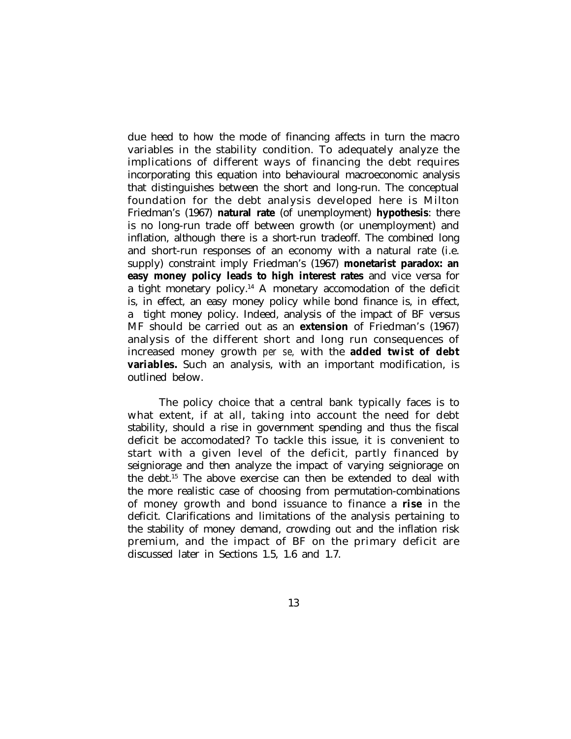due heed to how the mode of financing affects in turn the macro variables in the stability condition. To adequately analyze the implications of different ways of financing the debt requires incorporating this equation into behavioural macroeconomic analysis that distinguishes between the short and long-run. The conceptual foundation for the debt analysis developed here is Milton Friedman's (1967) **natural rate** (of unemployment) **hypothesis**: there is no long-run trade off between growth (or unemployment) and inflation, although there is a short-run tradeoff. The combined long and short-run responses of an economy with a natural rate (i.e. supply) constraint imply Friedman's (1967) **monetarist paradox: an easy money policy leads to high interest rates** and vice versa for a tight monetary policy.<sup>14</sup> A monetary accomodation of the deficit is, in effect, an easy money policy while bond finance is, in effect, a tight money policy. Indeed, analysis of the impact of BF versus MF should be carried out as an **extension** of Friedman's (1967) analysis of the different short and long run consequences of increased money growth *per se,* with the **added twist of debt variables.** Such an analysis, with an important modification, is outlined below.

The policy choice that a central bank typically faces is to what extent, if at all, taking into account the need for debt stability, should a rise in government spending and thus the fiscal deficit be accomodated? To tackle this issue, it is convenient to start with a given level of the deficit, partly financed by seigniorage and then analyze the impact of varying seigniorage on the debt.<sup>15</sup> The above exercise can then be extended to deal with the more realistic case of choosing from permutation-combinations of money growth and bond issuance to finance a **rise** in the deficit. Clarifications and limitations of the analysis pertaining to the stability of money demand, crowding out and the inflation risk premium, and the impact of BF on the primary deficit are discussed later in Sections 1.5, 1.6 and 1.7.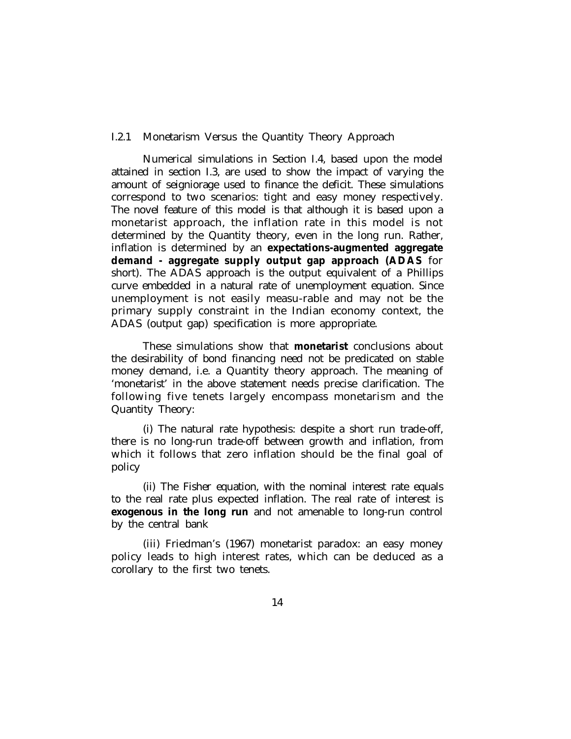#### I.2.1 Monetarism Versus the Quantity Theory Approach

Numerical simulations in Section I.4, based upon the model attained in section I.3, are used to show the impact of varying the amount of seigniorage used to finance the deficit. These simulations correspond to two scenarios: tight and easy money respectively. The novel feature of this model is that although it is based upon a monetarist approach, the inflation rate in this model is not determined by the Quantity theory, even in the long run. Rather, inflation is determined by an **expectations-augmented aggregate demand - aggregate supply output gap approach (ADAS** for short). The ADAS approach is the output equivalent of a Phillips curve embedded in a natural rate of unemployment equation. Since unemployment is not easily measu-rable and may not be the primary supply constraint in the Indian economy context, the ADAS (output gap) specification is more appropriate.

These simulations show that **monetarist** conclusions about the desirability of bond financing need not be predicated on stable money demand, i.e. a Quantity theory approach. The meaning of 'monetarist' in the above statement needs precise clarification. The following five tenets largely encompass monetarism and the Quantity Theory:

(i) The natural rate hypothesis: despite a short run trade-off, there is no long-run trade-off between growth and inflation, from which it follows that zero inflation should be the final goal of policy

(ii) The Fisher equation, with the nominal interest rate equals to the real rate plus expected inflation. The real rate of interest is **exogenous in the long run** and not amenable to long-run control by the central bank

(iii) Friedman's (1967) monetarist paradox: an easy money policy leads to high interest rates, which can be deduced as a corollary to the first two tenets.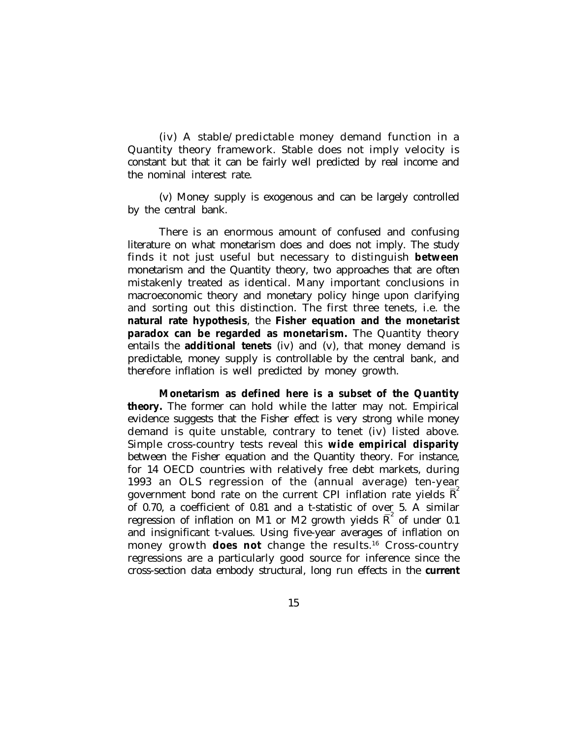(iv) A stable/predictable money demand function in a Quantity theory framework. Stable does not imply velocity is constant but that it can be fairly well predicted by real income and the nominal interest rate.

(v) Money supply is exogenous and can be largely controlled by the central bank.

There is an enormous amount of confused and confusing literature on what monetarism does and does not imply. The study finds it not just useful but necessary to distinguish **between** monetarism and the Quantity theory, two approaches that are often mistakenly treated as identical. Many important conclusions in macroeconomic theory and monetary policy hinge upon clarifying and sorting out this distinction. The first three tenets, i.e. the **natural rate hypothesis**, the **Fisher equation and the monetarist paradox can be regarded as monetarism.** The Quantity theory entails the **additional tenets** (iv) and (v), that money demand is predictable, money supply is controllable by the central bank, and therefore inflation is well predicted by money growth.

**Monetarism as defined here is a subset of the Quantity theory.** The former can hold while the latter may not. Empirical evidence suggests that the Fisher effect is very strong while money demand is quite unstable, contrary to tenet (iv) listed above. Simple cross-country tests reveal this **wide empirical disparity** between the Fisher equation and the Quantity theory. For instance, for 14 OECD countries with relatively free debt markets, during 1993 an OLS regression of the (annual average) ten-year government bond rate on the current CPI inflation rate yields  $\overline{R}^2$ of 0.70, a coefficient of 0.81 and a t-statistic of over 5. A similar regression of inflation on M1 or M2 growth yields  $\overline{\mathrm{R}}^{\mathrm{2}}$  of under 0.1 and insignificant t-values. Using five-year averages of inflation on money growth **does not** change the results.<sup>16</sup> Cross-country regressions are a particularly good source for inference since the cross-section data embody structural, long run effects in the **current**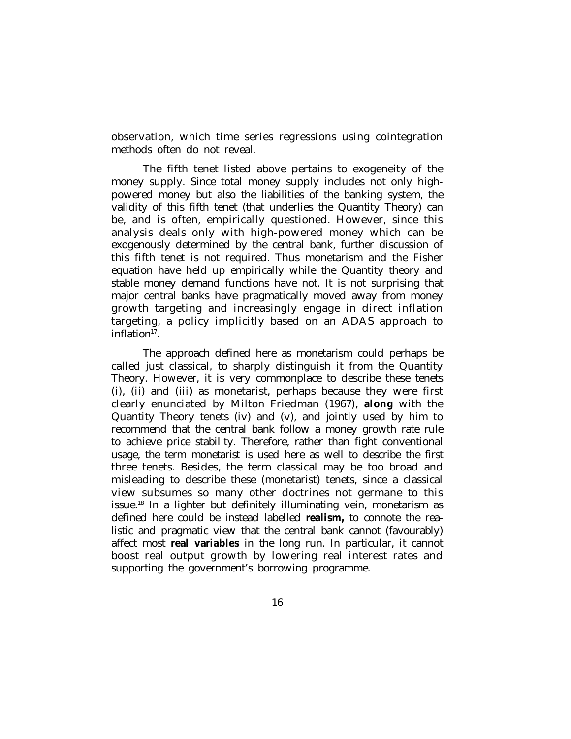observation, which time series regressions using cointegration methods often do not reveal.

The fifth tenet listed above pertains to exogeneity of the money supply. Since total money supply includes not only highpowered money but also the liabilities of the banking system, the validity of this fifth tenet (that underlies the Quantity Theory) can be, and is often, empirically questioned. However, since this analysis deals only with high-powered money which can be exogenously determined by the central bank, further discussion of this fifth tenet is not required. Thus monetarism and the Fisher equation have held up empirically while the Quantity theory and stable money demand functions have not. It is not surprising that major central banks have pragmatically moved away from money growth targeting and increasingly engage in direct inflation targeting, a policy implicitly based on an ADAS approach to inflation<sup>17</sup>.

The approach defined here as monetarism could perhaps be called just classical, to sharply distinguish it from the Quantity Theory. However, it is very commonplace to describe these tenets (i), (ii) and (iii) as monetarist, perhaps because they were first clearly enunciated by Milton Friedman (1967), **along** with the Quantity Theory tenets (iv) and (v), and jointly used by him to recommend that the central bank follow a money growth rate rule to achieve price stability. Therefore, rather than fight conventional usage, the term monetarist is used here as well to describe the first three tenets. Besides, the term classical may be too broad and misleading to describe these (monetarist) tenets, since a classical view subsumes so many other doctrines not germane to this issue.<sup>18</sup> In a lighter but definitely illuminating vein, monetarism as defined here could be instead labelled **realism,** to connote the realistic and pragmatic view that the central bank cannot (favourably) affect most **real variables** in the long run. In particular, it cannot boost real output growth by lowering real interest rates and supporting the government's borrowing programme.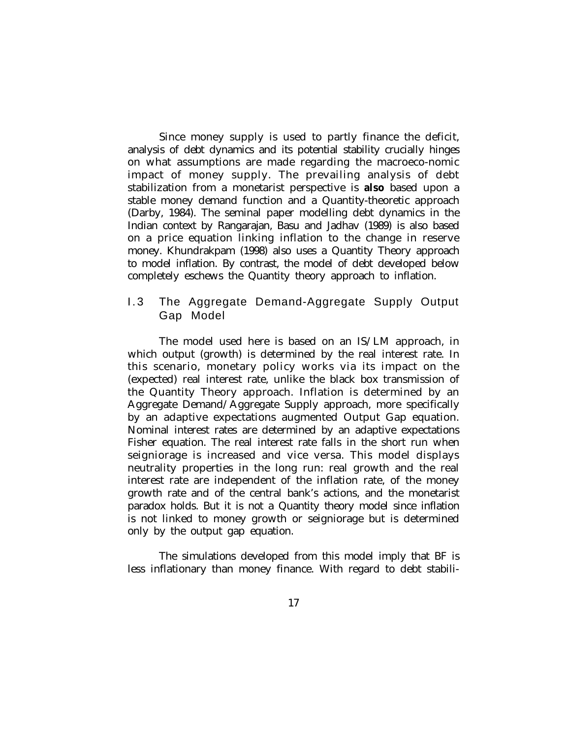Since money supply is used to partly finance the deficit, analysis of debt dynamics and its potential stability crucially hinges on what assumptions are made regarding the macroeco-nomic impact of money supply. The prevailing analysis of debt stabilization from a monetarist perspective is **also** based upon a stable money demand function and a Quantity-theoretic approach (Darby, 1984). The seminal paper modelling debt dynamics in the Indian context by Rangarajan, Basu and Jadhav (1989) is also based on a price equation linking inflation to the change in reserve money. Khundrakpam (1998) also uses a Quantity Theory approach to model inflation. By contrast, the model of debt developed below completely eschews the Quantity theory approach to inflation.

## 1.3 The Aggregate Demand-Aggregate Supply Output Gap Model

The model used here is based on an IS/LM approach, in which output (growth) is determined by the real interest rate. In this scenario, monetary policy works via its impact on the (expected) real interest rate, unlike the black box transmission of the Quantity Theory approach. Inflation is determined by an Aggregate Demand/Aggregate Supply approach, more specifically by an adaptive expectations augmented Output Gap equation. Nominal interest rates are determined by an adaptive expectations Fisher equation. The real interest rate falls in the short run when seigniorage is increased and vice versa. This model displays neutrality properties in the long run: real growth and the real interest rate are independent of the inflation rate, of the money growth rate and of the central bank's actions, and the monetarist paradox holds. But it is not a Quantity theory model since inflation is not linked to money growth or seigniorage but is determined only by the output gap equation.

The simulations developed from this model imply that BF is less inflationary than money finance. With regard to debt stabili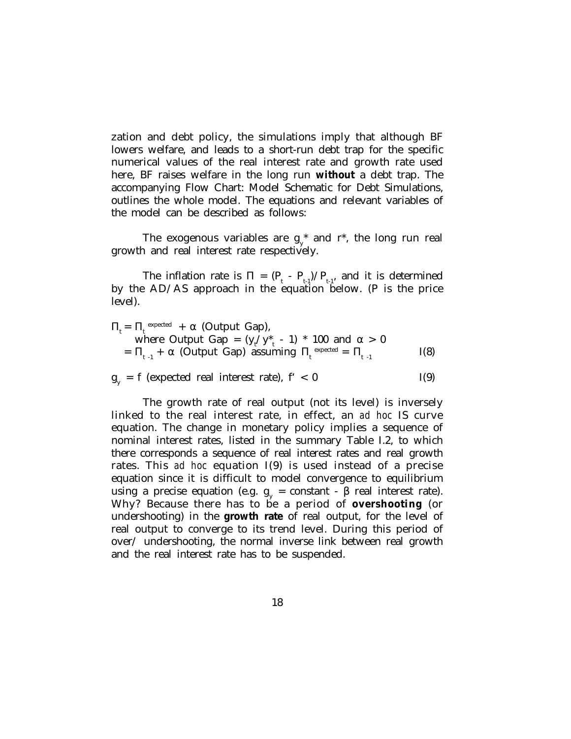zation and debt policy, the simulations imply that although BF lowers welfare, and leads to a short-run debt trap for the specific numerical values of the real interest rate and growth rate used here, BF raises welfare in the long run **without** a debt trap. The accompanying Flow Chart: Model Schematic for Debt Simulations, outlines the whole model. The equations and relevant variables of the model can be described as follows:

The exogenous variables are  $g_{y}^*$  and  $r^*$ , the long run real growth and real interest rate respectively.

The inflation rate is  $\Pi = (\mathbf{P}_{t} - \mathbf{P}_{t-1})/\mathbf{P}_{t-1}$ , and it is determined by the AD/AS approach in the equation below. (P is the price level).

 $\Pi_t = \Pi_t^{\text{ expected}} + \alpha$  (Output Gap), where Output Gap =  $(y_t/y_{t}^* - 1) * 100$  and  $\alpha > 0$ =  $\Pi_{t-1}$  +  $\alpha$  (Output Gap) assuming  $\Pi_t^{\text{ expected}} = \Pi_{t-1}$  I(8)

 $g_y = f$  (expected real interest rate),  $f' < 0$  I(9)

The growth rate of real output (not its level) is inversely linked to the real interest rate, in effect, an *ad hoc* IS curve equation. The change in monetary policy implies a sequence of nominal interest rates, listed in the summary Table I.2, to which there corresponds a sequence of real interest rates and real growth rates. This *ad hoc* equation I(9) is used instead of a precise equation since it is difficult to model convergence to equilibrium using a precise equation (e.g.  $g_y = constant - β$  real interest rate). Why? Because there has to be a period of **overshooting** (or undershooting) in the **growth rate** of real output, for the level of real output to converge to its trend level. During this period of over/ undershooting, the normal inverse link between real growth and the real interest rate has to be suspended.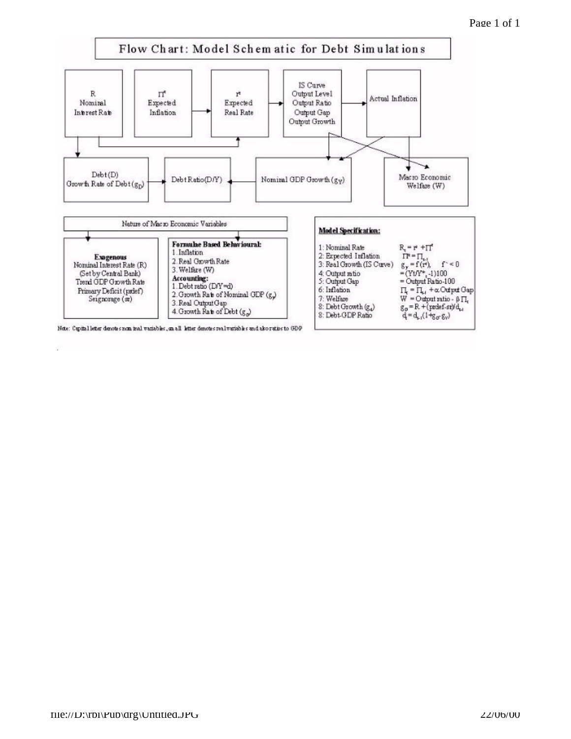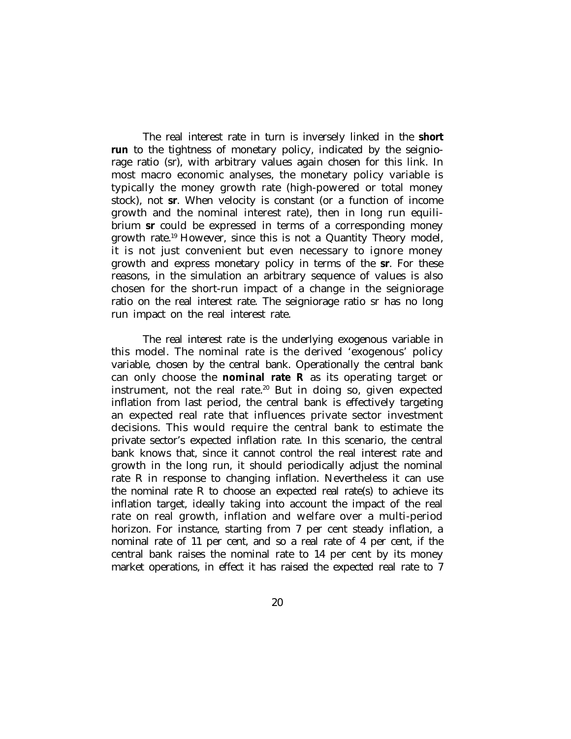The real interest rate in turn is inversely linked in the **short run** to the tightness of monetary policy, indicated by the seigniorage ratio (sr), with arbitrary values again chosen for this link. In most macro economic analyses, the monetary policy variable is typically the money growth rate (high-powered or total money stock), not **sr**. When velocity is constant (or a function of income growth and the nominal interest rate), then in long run equilibrium **sr** could be expressed in terms of a corresponding money growth rate.<sup>19</sup> However, since this is not a Quantity Theory model, it is not just convenient but even necessary to ignore money growth and express monetary policy in terms of the **sr**. For these reasons, in the simulation an arbitrary sequence of values is also chosen for the short-run impact of a change in the seigniorage ratio on the real interest rate. The seigniorage ratio sr has no long run impact on the real interest rate.

The real interest rate is the underlying exogenous variable in this model. The nominal rate is the derived 'exogenous' policy variable, chosen by the central bank. Operationally the central bank can only choose the **nominal rate R** as its operating target or instrument, not the real rate.<sup>20</sup> But in doing so, given expected inflation from last period, the central bank is effectively targeting an expected real rate that influences private sector investment decisions. This would require the central bank to estimate the private sector's expected inflation rate. In this scenario, the central bank knows that, since it cannot control the real interest rate and growth in the long run, it should periodically adjust the nominal rate R in response to changing inflation. Nevertheless it can use the nominal rate R to choose an expected real rate(s) to achieve its inflation target, ideally taking into account the impact of the real rate on real growth, inflation and welfare over a multi-period horizon. For instance, starting from 7 per cent steady inflation, a nominal rate of 11 per cent, and so a real rate of 4 per cent, if the central bank raises the nominal rate to 14 per cent by its money market operations, in effect it has raised the expected real rate to 7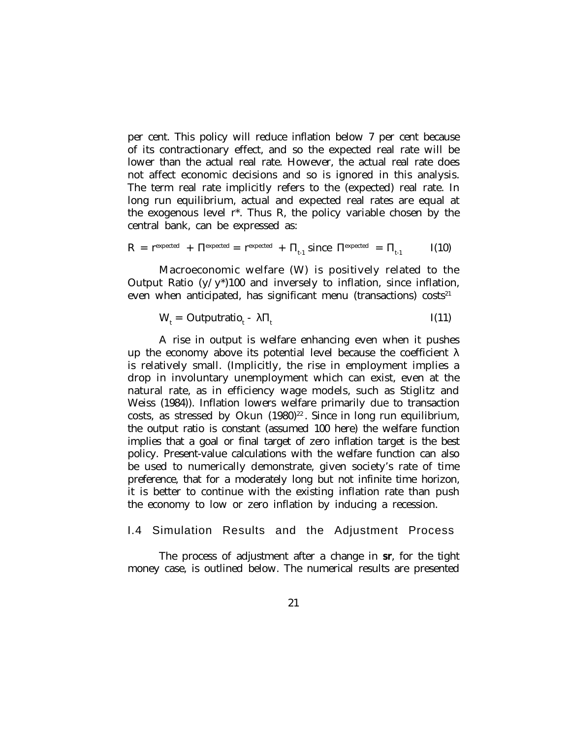per cent. This policy will reduce inflation below 7 per cent because of its contractionary effect, and so the expected real rate will be lower than the actual real rate. However, the actual real rate does not affect economic decisions and so is ignored in this analysis. The term real rate implicitly refers to the (expected) real rate. In long run equilibrium, actual and expected real rates are equal at the exogenous level r\*. Thus R, the policy variable chosen by the central bank, can be expressed as:

$$
R = r^{\text{expected}} + \Pi^{\text{expected}} = r^{\text{expected}} + \Pi_{t-1} \text{ since } \Pi^{\text{expected}} = \Pi_{t-1} \qquad I(10)
$$

Macroeconomic welfare (W) is positively related to the Output Ratio  $(y/y^*)$ 100 and inversely to inflation, since inflation, even when anticipated, has significant menu (transactions) costs $21$ 

$$
W_t = \text{Outputratio}_t - \lambda \Pi_t \qquad \qquad I(11)
$$

A rise in output is welfare enhancing even when it pushes up the economy above its potential level because the coefficient  $\lambda$ is relatively small. (Implicitly, the rise in employment implies a drop in involuntary unemployment which can exist, even at the natural rate, as in efficiency wage models, such as Stiglitz and Weiss (1984)). Inflation lowers welfare primarily due to transaction costs, as stressed by Okun  $(1980)^{22}$ . Since in long run equilibrium, the output ratio is constant (assumed 100 here) the welfare function implies that a goal or final target of zero inflation target is the best policy. Present-value calculations with the welfare function can also be used to numerically demonstrate, given society's rate of time preference, that for a moderately long but not infinite time horizon, it is better to continue with the existing inflation rate than push the economy to low or zero inflation by inducing a recession.

### I.4 Simulation Results and the Adjustment Process

The process of adjustment after a change in **sr**, for the tight money case, is outlined below. The numerical results are presented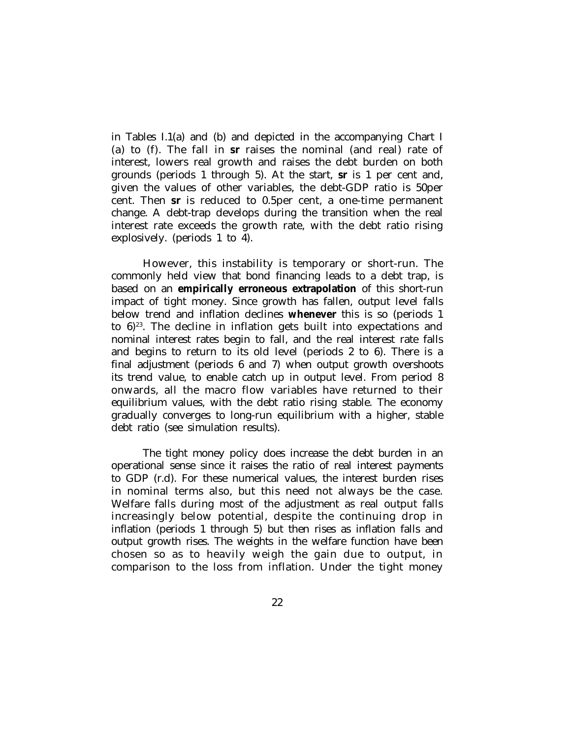in Tables I.1(a) and (b) and depicted in the accompanying Chart I (a) to (f). The fall in **sr** raises the nominal (and real) rate of interest, lowers real growth and raises the debt burden on both grounds (periods 1 through 5). At the start, **sr** is 1 per cent and, given the values of other variables, the debt-GDP ratio is 50per cent. Then **sr** is reduced to 0.5per cent, a one-time permanent change. A debt-trap develops during the transition when the real interest rate exceeds the growth rate, with the debt ratio rising explosively. (periods 1 to 4).

However, this instability is temporary or short-run. The commonly held view that bond financing leads to a debt trap, is based on an **empirically erroneous extrapolation** of this short-run impact of tight money. Since growth has fallen, output level falls below trend and inflation declines **whenever** this is so (periods 1 to  $6)^{23}$ . The decline in inflation gets built into expectations and nominal interest rates begin to fall, and the real interest rate falls and begins to return to its old level (periods 2 to 6). There is a final adjustment (periods 6 and 7) when output growth overshoots its trend value, to enable catch up in output level. From period 8 onwards, all the macro flow variables have returned to their equilibrium values, with the debt ratio rising stable. The economy gradually converges to long-run equilibrium with a higher, stable debt ratio (see simulation results).

The tight money policy does increase the debt burden in an operational sense since it raises the ratio of real interest payments to GDP (r.d). For these numerical values, the interest burden rises in nominal terms also, but this need not always be the case. Welfare falls during most of the adjustment as real output falls increasingly below potential, despite the continuing drop in inflation (periods 1 through 5) but then rises as inflation falls and output growth rises. The weights in the welfare function have been chosen so as to heavily weigh the gain due to output, in comparison to the loss from inflation. Under the tight money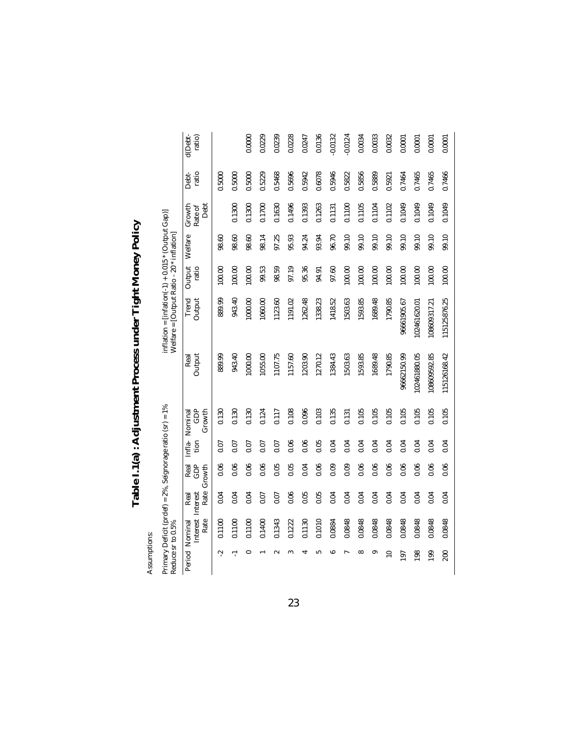| l                  |
|--------------------|
| į<br>١             |
| i<br>I             |
| ì<br>Ì             |
| $\frac{1}{2}$<br>١ |
|                    |
|                    |
| É                  |

Primary Deficit (prdef) = 2%, Seignorage ratio (sr) = 1% inflation = [infation(-1) + 0.015 \* (Output Gap)]

Assumptions: Assumptions:

inflation =  $\text{[infation(-1) + 0.015 * (Output Gap)]}$ <br>Welfare = [Output Ratio - 20 \* inflation] Reduce sr to 0.5%<br>Reduce sr to 0.5% Primary Deficit (prdef) = 2%, Seignorage ratio (sr) = 1%<br>Reduce sr to 0.5%<br>Period Nominal Real Real Infla- Nominal  $\mathbf{C}$  $\overline{\mathcal{A}}$ 

|           | edition is anno        |                                   |                     |                |                          |                | we have $\sim$ 10 $\mu$ and $\mu$ and $\mu$ and $\mu$ |                 |         |                           |               |                   |
|-----------|------------------------|-----------------------------------|---------------------|----------------|--------------------------|----------------|-------------------------------------------------------|-----------------|---------|---------------------------|---------------|-------------------|
|           | Rate<br>Period Nominal | Rate<br>Interest Interest<br>Real | Real<br>Growth<br>Ĝ | Infla-<br>tion | GDP<br>Nominal<br>Growth | Output<br>Real | Trend<br>Output                                       | Output<br>ratio | Welfare | Growth<br>Debt<br>Rate of | ratio<br>Debt | ratio)<br>d(Debt- |
| ېم        | 0.1100                 | 0.04                              | 0.06                | 0.07           | 0.130                    | 889.99         | 889.99                                                | 100.00          | 98.60   |                           | 0.5000        |                   |
|           | 0.1100                 | 0.04                              | 0.06                | 0.07           | 0.130                    | 943.40         | 943.40                                                | 100.00          | 98.60   | 0.1300                    | 0.5000        |                   |
|           | 0.1100                 | 0.04                              | 0.06                | 0.07           | 0.130                    | 1000.00        | 1000.00                                               | 100.00          | 98.60   | 0.1300                    | 0.5000        | 0.0000            |
|           | 0.1400                 | 0.07                              | 0.06                | 0.07           | 0.124                    | 1055.00        | 1060.00                                               | 99.53           | 98.14   | 0.1700                    | 0.5229        | 0.0229            |
|           | 0.1343                 | 0.07                              | 0.05                | 0.07           | 0.117                    | 1107.75        | 1123.60                                               | 98.59           | 97.25   | 0.1630                    | 0.5468        | 0.0239            |
|           | 0.1222                 | 0.06                              | 0.05                | 0.06           | 0.108                    | 1157.60        | 1191.02                                               | 97.19           | 95.93   | 0.1496                    | 0.5696        | 0.0228            |
|           | 0.1130                 | 0.05                              | 0.04                | 0.06           | 0.096                    | 1203.90        | 1262.48                                               | 95.36           | 94.24   | 0.1393                    | 0.5942        | 0.0247            |
|           | 0.1010                 | 0.05                              | 0.06                | 0.05           | 0.103                    | 1270.12        | 1338.23                                               | 94.91           | 93.94   | 0.1263                    | 0.6078        | 0.0136            |
|           | 0.0884                 | 0.04                              | 0.09                | 0.04           | 0.135                    | 1384.43        | 1418.52                                               | 97.60           | 96.70   | 0.1131                    | 0.5946        | $-0.0132$         |
|           | 0.0848                 | 0.04                              | 0.09                | 0.04           | 0.131                    | 1503.63        | 1503.63                                               | 100.00          | 99.10   | 0.1100                    | 0.5822        | $-0.0124$         |
|           | 0.0848                 | 0.04                              | 0.06                | 0.04           | 0.105                    | 1593.85        | 1593.85                                               | 100.00          | 99.10   | 0.1105                    | 0.5856        | 0.0034            |
| ౚ         | 0.0848                 | 0.04                              | 0.06                | 0.04           | 0.105                    | 1689.48        | 1689.48                                               | 100.00          | 99.10   | 0.1104                    | 0.5889        | 0.0033            |
| ≘         | 0.0848                 | 0.04                              | 0.06                | 0.04           | 0.105                    | 1790.85        | 1790.85                                               | 100.00          | 99.10   | 0.1102                    | 0.5921        | 0.0032            |
| 197       | 0.0848                 | 0.04                              | 0.06                | 0.04           | 0.105                    | 96662150.99    | 96661905.67                                           | 100.00          | 99.10   | 0.1049                    | 0.7464        | 0.0001            |
| 198       | 0.0848                 | 0.04                              | 0.06                | 0.04           | 0.105                    | 102461880.05   | 102461620.01                                          | 100.00          | 99.10   | 0.1049                    | 0.7465        | 0.0001            |
| <b>99</b> | 0.0848                 | 0.04                              | 0.06                | 0.04           | 0.105                    | 108609592.85   | 108609317.21                                          | 100.00          | 99.10   | 0.1049                    | 0.7465        | 0.0001            |
| 200       | 0.0848                 | 0.04                              | 0.06                | 0.04           | 0.105                    | 115126168.42   | 115125876.25                                          | 100.00          | 99.10   | 0.1049                    | 0.7466        | 0.0001            |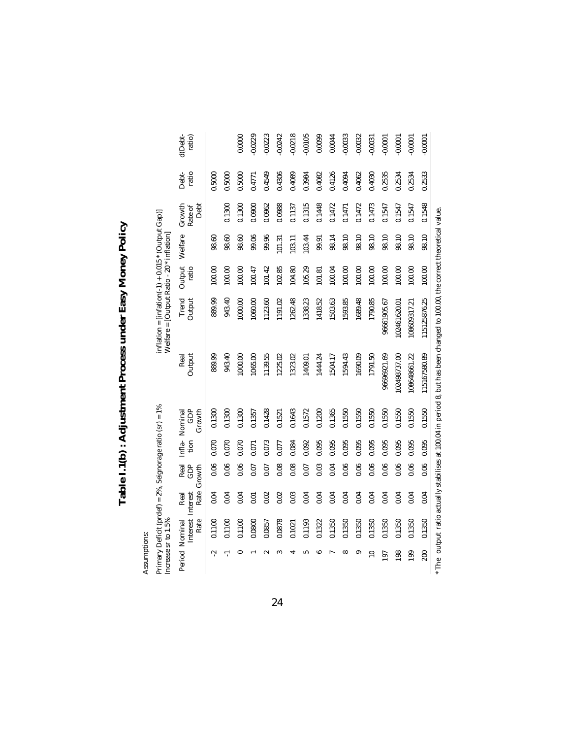Table I.1(b): Adjustment Process under Easy Money Policy **Table I.1(b) : Adjustment Process under Easy Money Policy**

> Assumptions: Assumptions:

| Primary Deficit (prdef) = 2%, Seignorage ratio (sr) = 1% | Increase sr to 1.5%         |                          |                       |       |                                |                | Welfare = [Output Ratio - 20 * inflation] |                 |         |                           |                |                   |
|----------------------------------------------------------|-----------------------------|--------------------------|-----------------------|-------|--------------------------------|----------------|-------------------------------------------|-----------------|---------|---------------------------|----------------|-------------------|
| Period                                                   | Interest<br>Rate<br>Nominal | Rate<br>Real<br>Interest | GDP<br>Real<br>Growth | tion  | GDP<br>Growth<br>Infla-Nominal | Real<br>Output | Trend<br>Output                           | Output<br>ratio | Welfare | Growth<br>Debt<br>Rate of | ratio<br>Debt- | d(Debt-<br>ratio) |
| بہ                                                       | 0.1100                      | 0.04                     | 0.06                  | 0.070 | 0.1300                         | 889.99         | 889.99                                    | 100.00          | 98.60   |                           | 0.5000         |                   |
| ┯                                                        | 0.1100                      | 0.04                     | 0.06                  | 0.070 | 0.1300                         | 943.40         | 943.40                                    | 100.00          | 98.60   | 0.1300                    | 0.5000         |                   |
| $\circ$                                                  | 0.1100                      | 0.04                     | 0.06                  | 0.070 | 0.1300                         | 1000.00        | 1000.00                                   | 100.00          | 98.60   | 0.1300                    | 0.5000         | 0.0000            |
|                                                          | 0.0800                      | 0.01                     | 0.07                  | 0.071 | 0.1357                         | 1065.00        | 1060.00                                   | 100.47          | 99.06   | 0.0900                    | 0.4771         | $-0.0229$         |
| $\sim$                                                   | 0.0857                      | 0.02                     | 0.07                  | 0.073 | 0.1428                         | 1139.55        | 1123.60                                   | 101.42          | 99.96   | 0.0962                    | 0.4549         | $-0.0223$         |
| 3                                                        | 0.0878                      | 0.02                     | 0.08                  | 0.077 | 0.1521                         | 1225.02        | 1191.02                                   | 102.85          | 101.31  | 0.0988                    | 0.4306         | $-0.0242$         |
|                                                          | 0.1021                      | 0.03                     | 0.08                  | 0.084 | 0.1643                         | 1323.02        | 1262.48                                   | 104.80          | 103.11  | 0.1137                    | 0.4089         | $-0.0218$         |
| ທ                                                        | 0.1193                      | 0.04                     | 0.07                  | 0.092 | 0.1572                         | 1409.01        | 1338.23                                   | 105.29          | 103.44  | 0.1315                    | 0.3984         | $-0.0105$         |
| co                                                       | 0.1322                      | 0.04                     | 0.03                  | 0.095 | 0.1200                         | 1444.24        | 1418.52                                   | 101.81          | 99.91   | 0.1448                    | 0.4082         | 0.0099            |
|                                                          | 0.1350                      | 0.04                     | 0.04                  | 0.095 | 0.1365                         | 1504.17        | 1503.63                                   | 100.04          | 98.14   | 0.1472                    | 0.4126         | 0.0044            |
| ∞                                                        | 0.1350                      | 0.04                     | 0.06                  | 0.095 | 0.1550                         | 1594.43        | 1593.85                                   | 100.00          | 98.10   | 0.1471                    | 0.4094         | $-0.0033$         |
| ၜ                                                        | 0.1350                      | 0.04                     | 0.06                  | 0.095 | 0.1550                         | 1690.09        | 1689.48                                   | 100.00          | 98.10   | 0.1472                    | 0.4062         | $-0.0032$         |
| $\Xi$                                                    | 0.1350                      | 0.04                     | 0.06                  | 0.095 | 0.1550                         | 1791.50        | 1790.85                                   | 100.00          | 98.10   | 0.1473                    | 0.4030         | $-0.0031$         |
| 197                                                      | 0.1350                      | 0.04                     | 0.06                  | 0.095 | 0.1550                         | 96696921.69    | 96661905.67                               | 100.00          | 98.10   | 0.1547                    | 0.2535         | $-0.0001$         |
| 198                                                      | 0.1350                      | 0.04                     | 0.06                  | 0.095 | 0.1550                         | 102498737.00   | 102461620.01                              | 100.00          | 98.10   | 0.1547                    | 0.2534         | $-0.0001$         |
| 199                                                      | 0.1350                      | 0.04                     | 0.06                  | 0.095 | 0.1550                         | 108648661.22   | 108609317.21                              | 100.00          | 98.10   | 0.1547                    | 0.2534         | $-0.0001$         |
| 200                                                      | 0.1350                      | 0.04                     | 0.06                  | 0.095 | 0.1550                         | 115167580.89   | 115125876.25                              | 100.00          | 98.10   | 0.1548                    | 0.2533         | $-0.0001$         |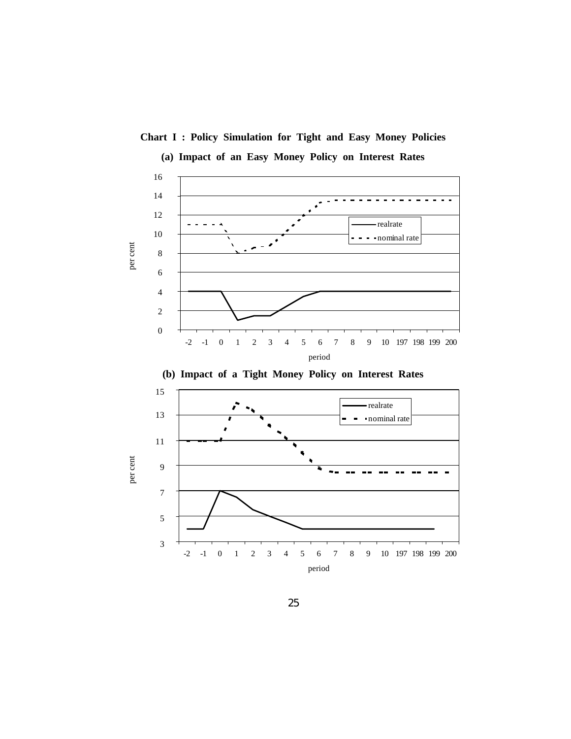

**Chart I : Policy Simulation for Tight and Easy Money Policies**

25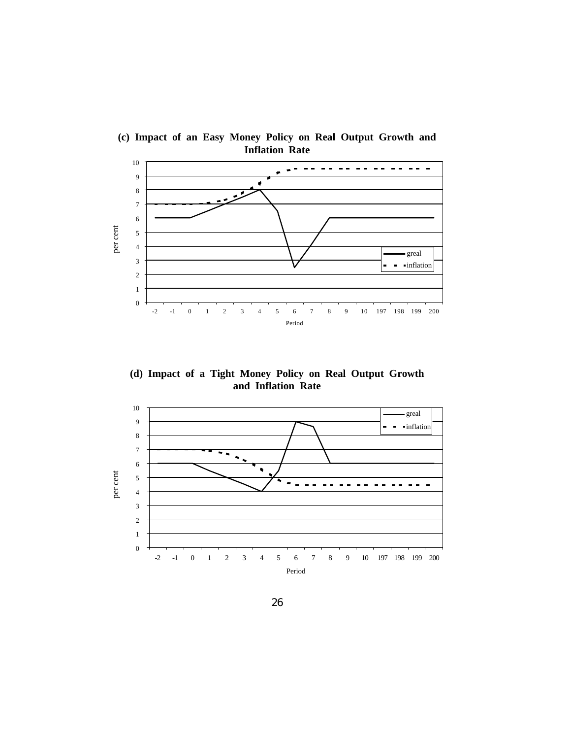

**(c) Impact of an Easy Money Policy on Real Output Growth and Inflation Rate**

**(d) Impact of a Tight Money Policy on Real Output Growth and Inflation Rate**

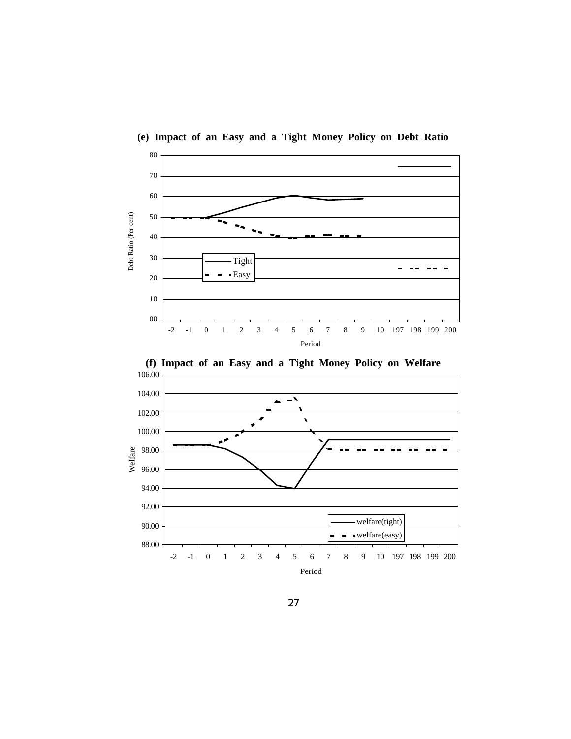

**(e) Impact of an Easy and a Tight Money Policy on Debt Ratio**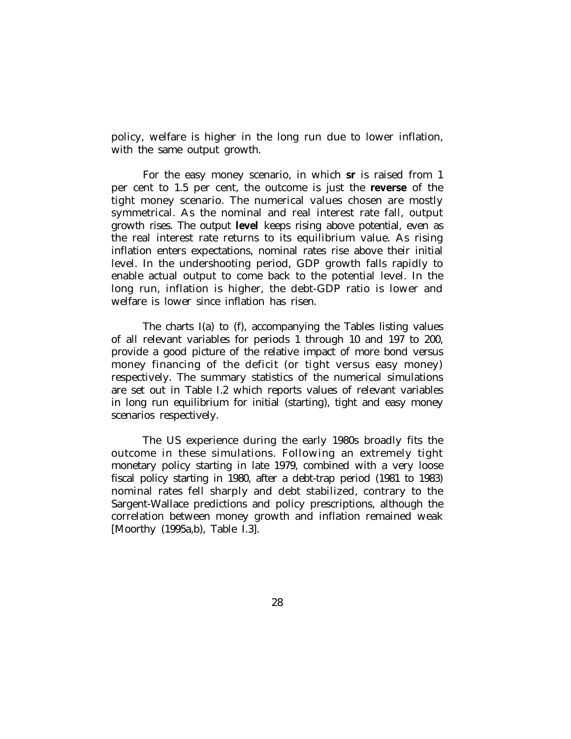policy, welfare is higher in the long run due to lower inflation, with the same output growth.

For the easy money scenario, in which **sr** is raised from 1 per cent to 1.5 per cent, the outcome is just the **reverse** of the tight money scenario. The numerical values chosen are mostly symmetrical. As the nominal and real interest rate fall, output growth rises. The output **level** keeps rising above potential, even as the real interest rate returns to its equilibrium value. As rising inflation enters expectations, nominal rates rise above their initial level. In the undershooting period, GDP growth falls rapidly to enable actual output to come back to the potential level. In the long run, inflation is higher, the debt-GDP ratio is lower and welfare is lower since inflation has risen.

The charts I(a) to (f), accompanying the Tables listing values of all relevant variables for periods 1 through 10 and 197 to 200, provide a good picture of the relative impact of more bond versus money financing of the deficit (or tight versus easy money) respectively. The summary statistics of the numerical simulations are set out in Table I.2 which reports values of relevant variables in long run equilibrium for initial (starting), tight and easy money scenarios respectively.

The US experience during the early 1980s broadly fits the outcome in these simulations. Following an extremely tight monetary policy starting in late 1979, combined with a very loose fiscal policy starting in 1980, after a debt-trap period (1981 to 1983) nominal rates fell sharply and debt stabilized, contrary to the Sargent-Wallace predictions and policy prescriptions, although the correlation between money growth and inflation remained weak [Moorthy (1995a,b), Table I.3].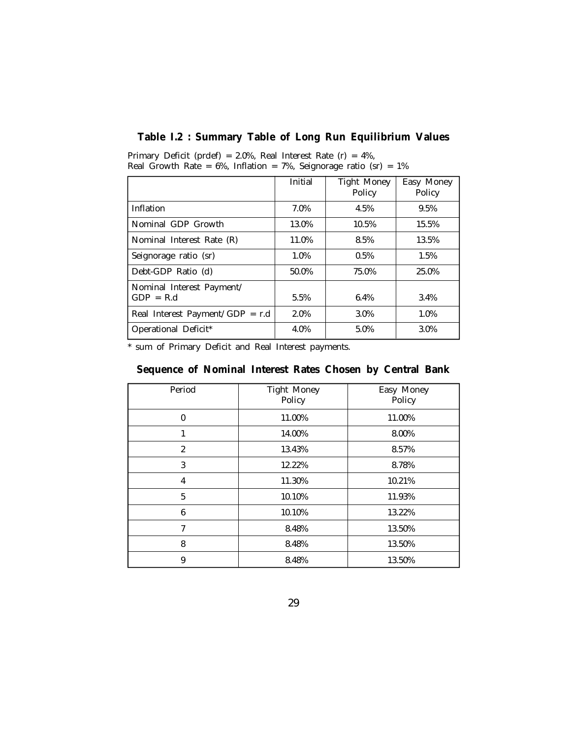## **Table I.2 : Summary Table of Long Run Equilibrium Values**

|                                          | Initial | <b>Tight Money</b><br>Policy | Easy Money<br>Policy |
|------------------------------------------|---------|------------------------------|----------------------|
| l Inflation                              | 7.0%    | 4.5%                         | 9.5%                 |
| Nominal GDP Growth                       | 13.0%   | 10.5%                        | 15.5%                |
| Nominal Interest Rate (R)                | 11.0%   | 8.5%                         | 13.5%                |
| Seignorage ratio (sr)                    | 1.0%    | 0.5%                         | 1.5%                 |
| Debt-GDP Ratio (d)                       | 50.0%   | 75.0%                        | 25.0%                |
| Nominal Interest Payment/<br>$GDP = R.d$ | 5.5%    | 6.4%                         | 3.4%                 |
| Real Interest Payment/GDP = r.d          | 2.0%    | 3.0%                         | 1.0%                 |
| Operational Deficit*                     | 4.0%    | 5.0%                         | 3.0%                 |

Primary Deficit (prdef) = 2.0%, Real Interest Rate (r) = 4%, Real Growth Rate =  $6\%$ , Inflation =  $7\%$ , Seignorage ratio (sr) =  $1\%$ 

\* sum of Primary Deficit and Real Interest payments.

| Sequence of Nominal Interest Rates Chosen by Central Bank |  |  |  |  |
|-----------------------------------------------------------|--|--|--|--|
|                                                           |  |  |  |  |

| Period           | <b>Tight Money</b><br>Policy | Easy Money<br>Policy |
|------------------|------------------------------|----------------------|
| $\mathbf{0}$     | 11.00%                       | 11.00%               |
|                  | 14.00%                       | 8.00%                |
| $\boldsymbol{2}$ | 13.43%                       | 8.57%                |
| 3                | 12.22%                       | 8.78%                |
| 4                | 11.30%                       | 10.21%               |
| 5                | 10.10%                       | 11.93%               |
| 6                | 10.10%                       | 13.22%               |
| 7                | 8.48%                        | 13.50%               |
| 8                | 8.48%                        | 13.50%               |
| 9                | 8.48%                        | 13.50%               |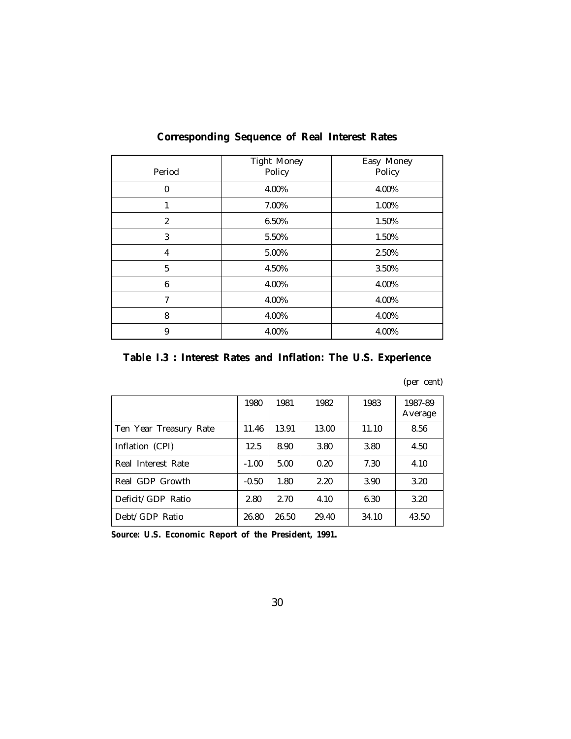| Period         | <b>Tight Money</b><br>Policy | Easy Money<br>Policy |
|----------------|------------------------------|----------------------|
| $\theta$       | 4.00%                        | 4.00%                |
| 1              | 7.00%                        | 1.00%                |
| $\overline{2}$ | 6.50%                        | 1.50%                |
| 3              | 5.50%                        | 1.50%                |
| 4              | 5.00%                        | 2.50%                |
| $\overline{5}$ | 4.50%                        | 3.50%                |
| 6              | 4.00%                        | 4.00%                |
| 7              | 4.00%                        | 4.00%                |
| 8              | 4.00%                        | 4.00%                |
| 9              | 4.00%                        | 4.00%                |

## **Corresponding Sequence of Real Interest Rates**

**Table I.3 : Interest Rates and Inflation: The U.S. Experience**

## (per cent)

|                        | 1980    | 1981  | 1982  | 1983  | 1987-89<br>Average |
|------------------------|---------|-------|-------|-------|--------------------|
| Ten Year Treasury Rate | 11.46   | 13.91 | 13.00 | 11.10 | 8.56               |
| Inflation (CPI)        | 12.5    | 8.90  | 3.80  | 3.80  | 4.50               |
| Real Interest Rate     | $-1.00$ | 5.00  | 0.20  | 7.30  | 4.10               |
| Real GDP Growth        | $-0.50$ | 1.80  | 2.20  | 3.90  | 3.20               |
| Deficit/GDP Ratio      | 2.80    | 2.70  | 4.10  | 6.30  | 3.20               |
| Debt/GDP Ratio         | 26.80   | 26.50 | 29.40 | 34.10 | 43.50              |

*Source:* **U.S. Economic Report of the President, 1991.**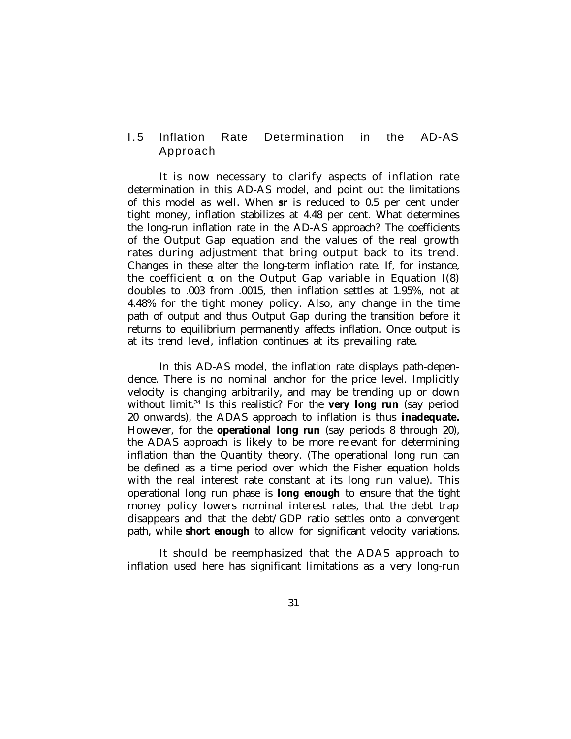# 1.5 Inflation Rate Determination in the AD-AS Approach

It is now necessary to clarify aspects of inflation rate determination in this AD-AS model, and point out the limitations of this model as well. When **sr** is reduced to 0.5 per cent under tight money, inflation stabilizes at 4.48 per cent. What determines the long-run inflation rate in the AD-AS approach? The coefficients of the Output Gap equation and the values of the real growth rates during adjustment that bring output back to its trend. Changes in these alter the long-term inflation rate. If, for instance, the coefficient  $\alpha$  on the Output Gap variable in Equation I(8) doubles to .003 from .0015, then inflation settles at 1.95%, not at 4.48% for the tight money policy. Also, any change in the time path of output and thus Output Gap during the transition before it returns to equilibrium permanently affects inflation. Once output is at its trend level, inflation continues at its prevailing rate.

In this AD-AS model, the inflation rate displays path-dependence. There is no nominal anchor for the price level. Implicitly velocity is changing arbitrarily, and may be trending up or down without limit.<sup>24</sup> Is this realistic? For the **very long run** (say period 20 onwards), the ADAS approach to inflation is thus **inadequate.** However, for the **operational long run** (say periods 8 through 20), the ADAS approach is likely to be more relevant for determining inflation than the Quantity theory. (The operational long run can be defined as a time period over which the Fisher equation holds with the real interest rate constant at its long run value). This operational long run phase is **long enough** to ensure that the tight money policy lowers nominal interest rates, that the debt trap disappears and that the debt/GDP ratio settles onto a convergent path, while **short enough** to allow for significant velocity variations.

It should be reemphasized that the ADAS approach to inflation used here has significant limitations as a very long-run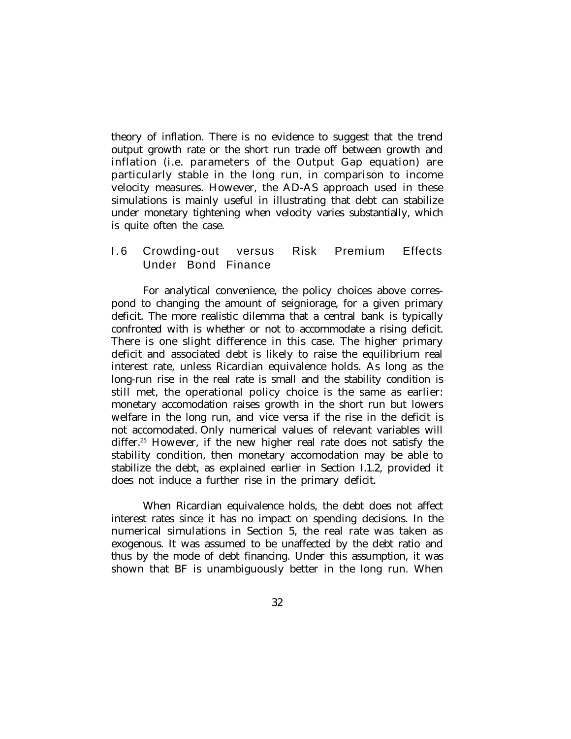theory of inflation. There is no evidence to suggest that the trend output growth rate or the short run trade off between growth and inflation (i.e. parameters of the Output Gap equation) are particularly stable in the long run, in comparison to income velocity measures. However, the AD-AS approach used in these simulations is mainly useful in illustrating that debt can stabilize under monetary tightening when velocity varies substantially, which is quite often the case.

# 1.6 Crowding-out versus Risk Premium Effects Under Bond Finance

For analytical convenience, the policy choices above correspond to changing the amount of seigniorage, for a given primary deficit. The more realistic dilemma that a central bank is typically confronted with is whether or not to accommodate a rising deficit. There is one slight difference in this case. The higher primary deficit and associated debt is likely to raise the equilibrium real interest rate, unless Ricardian equivalence holds. As long as the long-run rise in the real rate is small and the stability condition is still met, the operational policy choice is the same as earlier: monetary accomodation raises growth in the short run but lowers welfare in the long run, and vice versa if the rise in the deficit is not accomodated. Only numerical values of relevant variables will differ.<sup>25</sup> However, if the new higher real rate does not satisfy the stability condition, then monetary accomodation may be able to stabilize the debt, as explained earlier in Section I.1.2, provided it does not induce a further rise in the primary deficit.

When Ricardian equivalence holds, the debt does not affect interest rates since it has no impact on spending decisions. In the numerical simulations in Section 5, the real rate was taken as exogenous. It was assumed to be unaffected by the debt ratio and thus by the mode of debt financing. Under this assumption, it was shown that BF is unambiguously better in the long run. When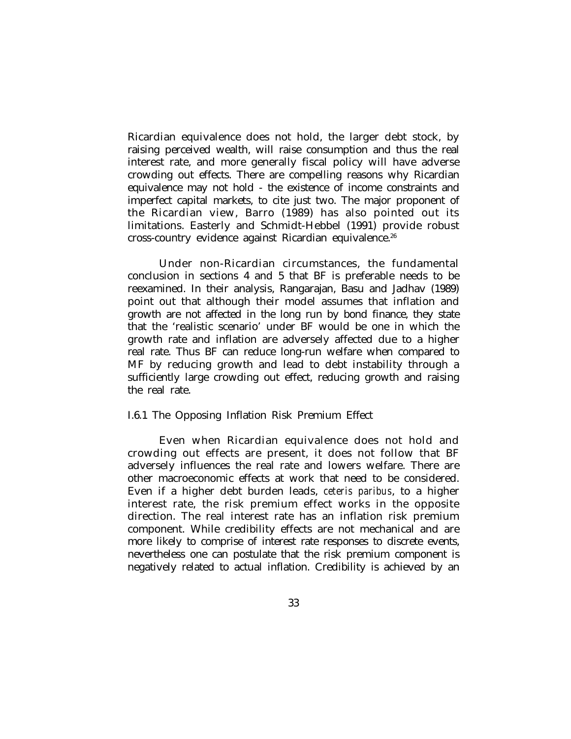Ricardian equivalence does not hold, the larger debt stock, by raising perceived wealth, will raise consumption and thus the real interest rate, and more generally fiscal policy will have adverse crowding out effects. There are compelling reasons why Ricardian equivalence may not hold - the existence of income constraints and imperfect capital markets, to cite just two. The major proponent of the Ricardian view, Barro (1989) has also pointed out its limitations. Easterly and Schmidt-Hebbel (1991) provide robust cross-country evidence against Ricardian equivalence.<sup>26</sup>

Under non-Ricardian circumstances, the fundamental conclusion in sections 4 and 5 that BF is preferable needs to be reexamined. In their analysis, Rangarajan, Basu and Jadhav (1989) point out that although their model assumes that inflation and growth are not affected in the long run by bond finance, they state that the 'realistic scenario' under BF would be one in which the growth rate and inflation are adversely affected due to a higher real rate. Thus BF can reduce long-run welfare when compared to MF by reducing growth and lead to debt instability through a sufficiently large crowding out effect, reducing growth and raising the real rate.

### I.6.1 The Opposing Inflation Risk Premium Effect

Even when Ricardian equivalence does not hold and crowding out effects are present, it does not follow that BF adversely influences the real rate and lowers welfare. There are other macroeconomic effects at work that need to be considered. Even if a higher debt burden leads, *ceteris paribus*, to a higher interest rate, the risk premium effect works in the opposite direction. The real interest rate has an inflation risk premium component. While credibility effects are not mechanical and are more likely to comprise of interest rate responses to discrete events, nevertheless one can postulate that the risk premium component is negatively related to actual inflation. Credibility is achieved by an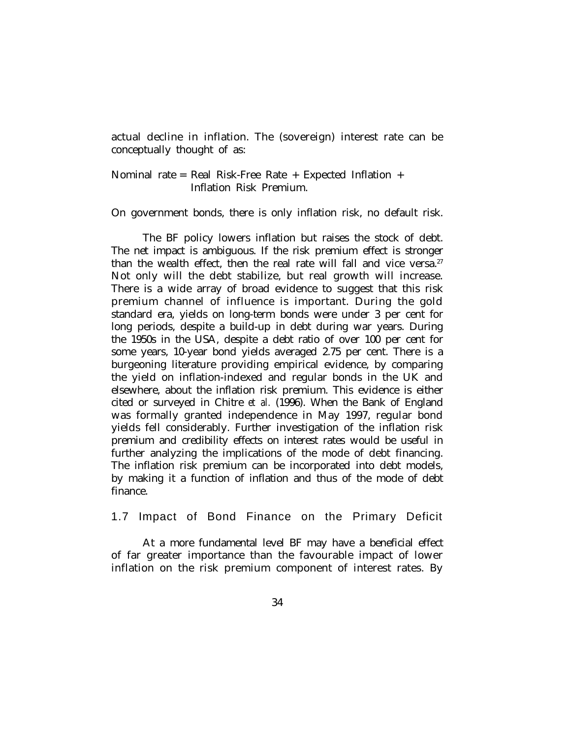actual decline in inflation. The (sovereign) interest rate can be conceptually thought of as:

Nominal rate = Real Risk-Free Rate + Expected Inflation + Inflation Risk Premium.

On government bonds, there is only inflation risk, no default risk.

The BF policy lowers inflation but raises the stock of debt. The net impact is ambiguous. If the risk premium effect is stronger than the wealth effect, then the real rate will fall and vice versa.<sup>27</sup> Not only will the debt stabilize, but real growth will increase. There is a wide array of broad evidence to suggest that this risk premium channel of influence is important. During the gold standard era, yields on long-term bonds were under 3 per cent for long periods, despite a build-up in debt during war years. During the 1950s in the USA, despite a debt ratio of over 100 per cent for some years, 10-year bond yields averaged 2.75 per cent. There is a burgeoning literature providing empirical evidence, by comparing the yield on inflation-indexed and regular bonds in the UK and elsewhere, about the inflation risk premium. This evidence is either cited or surveyed in Chitre *et al.* (1996). When the Bank of England was formally granted independence in May 1997, regular bond yields fell considerably. Further investigation of the inflation risk premium and credibility effects on interest rates would be useful in further analyzing the implications of the mode of debt financing. The inflation risk premium can be incorporated into debt models, by making it a function of inflation and thus of the mode of debt finance.

1.7 Impact of Bond Finance on the Primary Deficit

At a more fundamental level BF may have a beneficial effect of far greater importance than the favourable impact of lower inflation on the risk premium component of interest rates. By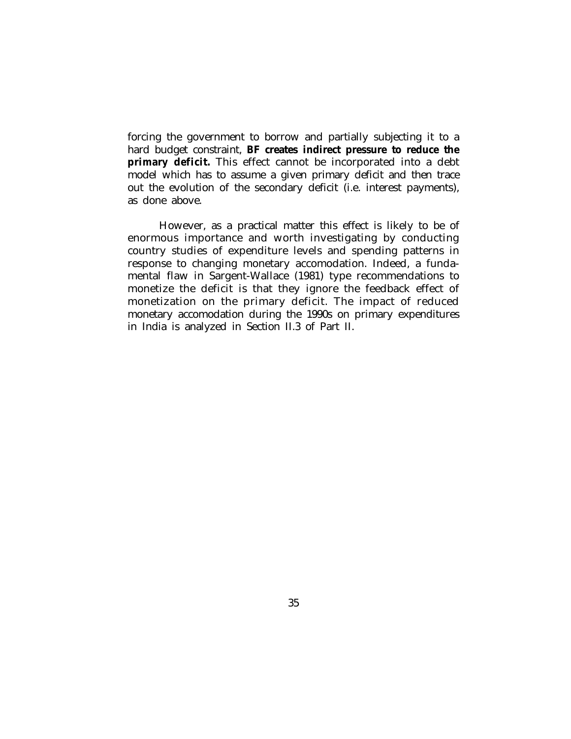forcing the government to borrow and partially subjecting it to a hard budget constraint, **BF creates indirect pressure to reduce the primary deficit.** This effect cannot be incorporated into a debt model which has to assume a given primary deficit and then trace out the evolution of the secondary deficit (i.e. interest payments), as done above.

However, as a practical matter this effect is likely to be of enormous importance and worth investigating by conducting country studies of expenditure levels and spending patterns in response to changing monetary accomodation. Indeed, a fundamental flaw in Sargent-Wallace (1981) type recommendations to monetize the deficit is that they ignore the feedback effect of monetization on the primary deficit. The impact of reduced monetary accomodation during the 1990s on primary expenditures in India is analyzed in Section II.3 of Part II.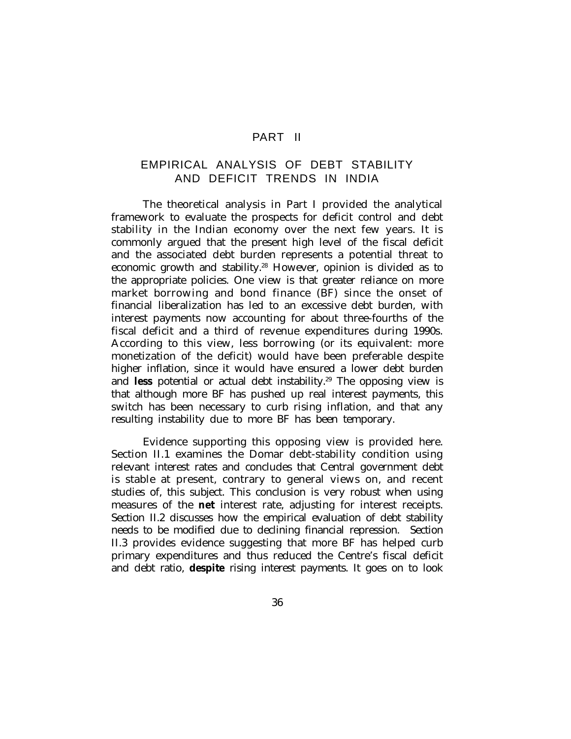## PART II

# EMPIRICAL ANALYSIS OF DEBT STABILITY AND DEFICIT TRENDS IN INDIA

The theoretical analysis in Part I provided the analytical framework to evaluate the prospects for deficit control and debt stability in the Indian economy over the next few years. It is commonly argued that the present high level of the fiscal deficit and the associated debt burden represents a potential threat to economic growth and stability.<sup>28</sup> However, opinion is divided as to the appropriate policies. One view is that greater reliance on more market borrowing and bond finance (BF) since the onset of financial liberalization has led to an excessive debt burden, with interest payments now accounting for about three-fourths of the fiscal deficit and a third of revenue expenditures during 1990s. According to this view, less borrowing (or its equivalent: more monetization of the deficit) would have been preferable despite higher inflation, since it would have ensured a lower debt burden and **less** potential or actual debt instability.<sup>29</sup> The opposing view is that although more BF has pushed up real interest payments, this switch has been necessary to curb rising inflation, and that any resulting instability due to more BF has been temporary.

Evidence supporting this opposing view is provided here. Section II.1 examines the Domar debt-stability condition using relevant interest rates and concludes that Central government debt is stable at present, contrary to general views on, and recent studies of, this subject. This conclusion is very robust when using measures of the **net** interest rate, adjusting for interest receipts. Section II.2 discusses how the empirical evaluation of debt stability needs to be modified due to declining financial repression. Section II.3 provides evidence suggesting that more BF has helped curb primary expenditures and thus reduced the Centre's fiscal deficit and debt ratio, **despite** rising interest payments. It goes on to look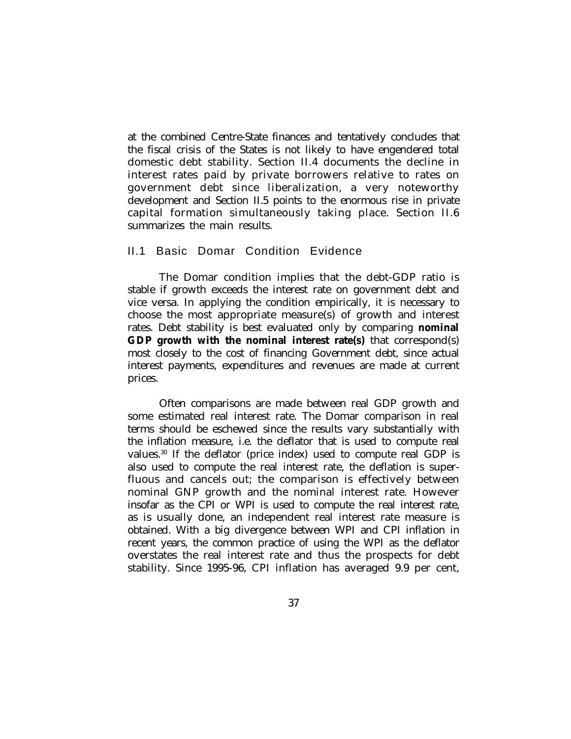at the combined Centre-State finances and tentatively concludes that the fiscal crisis of the States is not likely to have engendered total domestic debt stability. Section II.4 documents the decline in interest rates paid by private borrowers relative to rates on government debt since liberalization, a very noteworthy development and Section II.5 points to the enormous rise in private capital formation simultaneously taking place. Section II.6 summarizes the main results.

#### II.1 Basic Domar Condition Evidence

The Domar condition implies that the debt-GDP ratio is stable if growth exceeds the interest rate on government debt and vice versa. In applying the condition empirically, it is necessary to choose the most appropriate measure(s) of growth and interest rates. Debt stability is best evaluated only by comparing **nominal GDP growth with the nominal interest rate(s)** that correspond(s) most closely to the cost of financing Government debt, since actual interest payments, expenditures and revenues are made at current prices.

Often comparisons are made between real GDP growth and some estimated real interest rate. The Domar comparison in real terms should be eschewed since the results vary substantially with the inflation measure, i.e. the deflator that is used to compute real values.<sup>30</sup> If the deflator (price index) used to compute real GDP is also used to compute the real interest rate, the deflation is superfluous and cancels out; the comparison is effectively between nominal GNP growth and the nominal interest rate. However insofar as the CPI or WPI is used to compute the real interest rate, as is usually done, an independent real interest rate measure is obtained. With a big divergence between WPI and CPI inflation in recent years, the common practice of using the WPI as the deflator overstates the real interest rate and thus the prospects for debt stability. Since 1995-96, CPI inflation has averaged 9.9 per cent,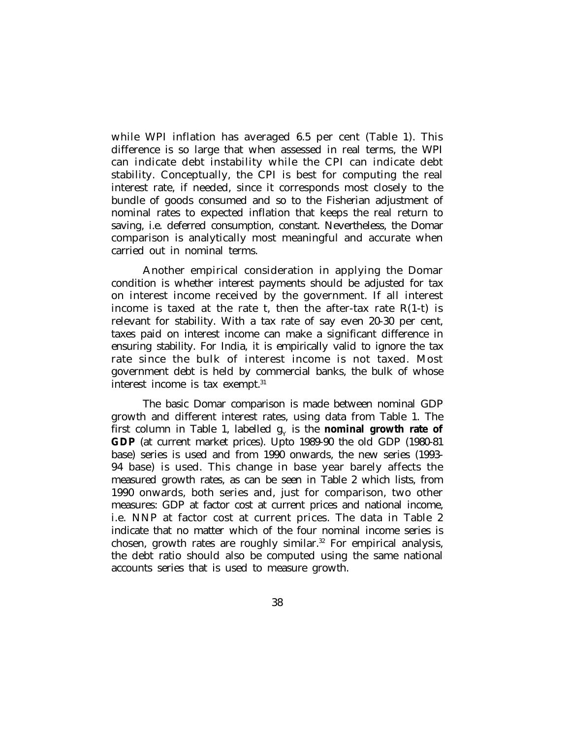while WPI inflation has averaged 6.5 per cent (Table 1). This difference is so large that when assessed in real terms, the WPI can indicate debt instability while the CPI can indicate debt stability. Conceptually, the CPI is best for computing the real interest rate, if needed, since it corresponds most closely to the bundle of goods consumed and so to the Fisherian adjustment of nominal rates to expected inflation that keeps the real return to saving, i.e. deferred consumption, constant. Nevertheless, the Domar comparison is analytically most meaningful and accurate when carried out in nominal terms.

Another empirical consideration in applying the Domar condition is whether interest payments should be adjusted for tax on interest income received by the government. If all interest income is taxed at the rate t, then the after-tax rate  $R(1-t)$  is relevant for stability. With a tax rate of say even 20-30 per cent, taxes paid on interest income can make a significant difference in ensuring stability. For India, it is empirically valid to ignore the tax rate since the bulk of interest income is not taxed. Most government debt is held by commercial banks, the bulk of whose interest income is tax exempt.<sup>31</sup>

The basic Domar comparison is made between nominal GDP growth and different interest rates, using data from Table 1. The first column in Table 1, labelled  $\mathbf{g}_{_{\mathrm{Y}}}$  is the **nominal growth rate of GDP** (at current market prices). Upto 1989-90 the old GDP (1980-81 base) series is used and from 1990 onwards, the new series (1993- 94 base) is used. This change in base year barely affects the measured growth rates, as can be seen in Table 2 which lists, from 1990 onwards, both series and, just for comparison, two other measures: GDP at factor cost at current prices and national income, i.e. NNP at factor cost at current prices. The data in Table 2 indicate that no matter which of the four nominal income series is chosen, growth rates are roughly similar.<sup>32</sup> For empirical analysis, the debt ratio should also be computed using the same national accounts series that is used to measure growth.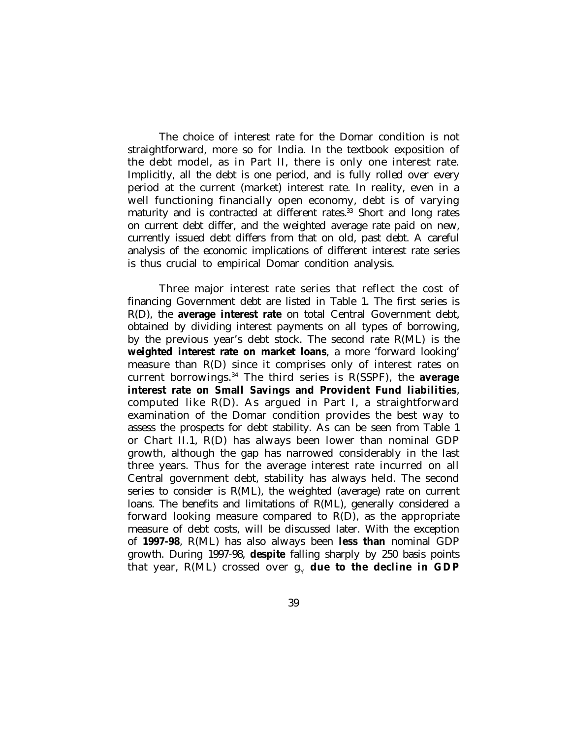The choice of interest rate for the Domar condition is not straightforward, more so for India. In the textbook exposition of the debt model, as in Part II, there is only one interest rate. Implicitly, all the debt is one period, and is fully rolled over every period at the current (market) interest rate. In reality, even in a well functioning financially open economy, debt is of varying maturity and is contracted at different rates.<sup>33</sup> Short and long rates on current debt differ, and the weighted average rate paid on new, currently issued debt differs from that on old, past debt. A careful analysis of the economic implications of different interest rate series is thus crucial to empirical Domar condition analysis.

Three major interest rate series that reflect the cost of financing Government debt are listed in Table 1. The first series is R(D), the **average interest rate** on total Central Government debt, obtained by dividing interest payments on all types of borrowing, by the previous year's debt stock. The second rate R(ML) is the **weighted interest rate on market loans**, a more 'forward looking' measure than R(D) since it comprises only of interest rates on current borrowings.<sup>34</sup> The third series is R(SSPF), the **average interest rate on Small Savings and Provident Fund liabilities**, computed like R(D). As argued in Part I, a straightforward examination of the Domar condition provides the best way to assess the prospects for debt stability. As can be seen from Table 1 or Chart II.1, R(D) has always been lower than nominal GDP growth, although the gap has narrowed considerably in the last three years. Thus for the average interest rate incurred on all Central government debt, stability has always held. The second series to consider is R(ML), the weighted (average) rate on current loans. The benefits and limitations of R(ML), generally considered a forward looking measure compared to R(D), as the appropriate measure of debt costs, will be discussed later. With the exception of **1997-98**, R(ML) has also always been **less than** nominal GDP growth. During 1997-98, **despite** falling sharply by 250 basis points that year,  $R(\rm ML)$  crossed over  $\boldsymbol{\mathrm{g}}_{_{\rm Y}}$  **due to the decline in GDP**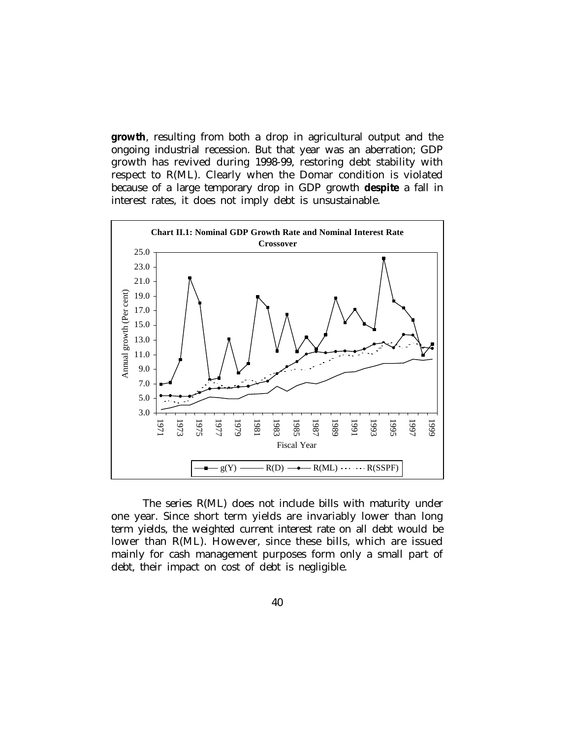**growth**, resulting from both a drop in agricultural output and the ongoing industrial recession. But that year was an aberration; GDP growth has revived during 1998-99, restoring debt stability with respect to R(ML). Clearly when the Domar condition is violated because of a large temporary drop in GDP growth **despite** a fall in interest rates, it does not imply debt is unsustainable.



The series R(ML) does not include bills with maturity under one year. Since short term yields are invariably lower than long term yields, the weighted current interest rate on all debt would be lower than R(ML). However, since these bills, which are issued mainly for cash management purposes form only a small part of debt, their impact on cost of debt is negligible.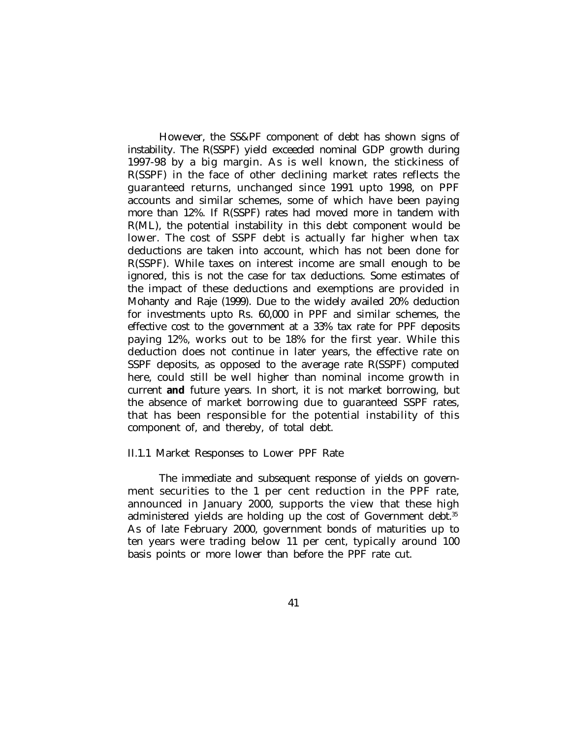However, the SS&PF component of debt has shown signs of instability. The R(SSPF) yield exceeded nominal GDP growth during 1997-98 by a big margin. As is well known, the stickiness of R(SSPF) in the face of other declining market rates reflects the guaranteed returns, unchanged since 1991 upto 1998, on PPF accounts and similar schemes, some of which have been paying more than 12%. If R(SSPF) rates had moved more in tandem with R(ML), the potential instability in this debt component would be lower. The cost of SSPF debt is actually far higher when tax deductions are taken into account, which has not been done for R(SSPF). While taxes on interest income are small enough to be ignored, this is not the case for tax deductions. Some estimates of the impact of these deductions and exemptions are provided in Mohanty and Raje (1999). Due to the widely availed 20% deduction for investments upto Rs. 60,000 in PPF and similar schemes, the effective cost to the government at a 33% tax rate for PPF deposits paying 12%, works out to be 18% for the first year. While this deduction does not continue in later years, the effective rate on SSPF deposits, as opposed to the average rate R(SSPF) computed here, could still be well higher than nominal income growth in current **and** future years. In short, it is not market borrowing, but the absence of market borrowing due to guaranteed SSPF rates, that has been responsible for the potential instability of this component of, and thereby, of total debt.

#### II.1.1 Market Responses to Lower PPF Rate

The immediate and subsequent response of yields on government securities to the 1 per cent reduction in the PPF rate, announced in January 2000, supports the view that these high administered yields are holding up the cost of Government debt.<sup>35</sup> As of late February 2000, government bonds of maturities up to ten years were trading below 11 per cent, typically around 100 basis points or more lower than before the PPF rate cut.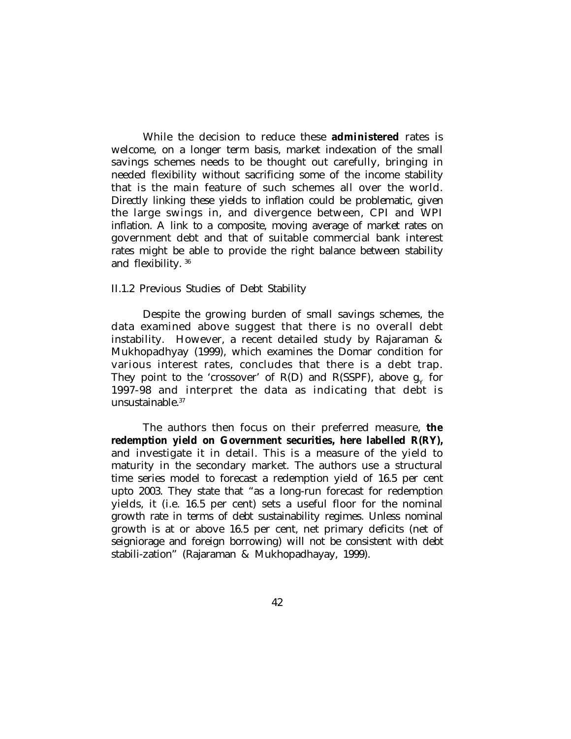While the decision to reduce these **administered** rates is welcome, on a longer term basis, market indexation of the small savings schemes needs to be thought out carefully, bringing in needed flexibility without sacrificing some of the income stability that is the main feature of such schemes all over the world. Directly linking these yields to inflation could be problematic, given the large swings in, and divergence between, CPI and WPI inflation. A link to a composite, moving average of market rates on government debt and that of suitable commercial bank interest rates might be able to provide the right balance between stability and flexibility.<sup>36</sup>

#### II.1.2 Previous Studies of Debt Stability

Despite the growing burden of small savings schemes, the data examined above suggest that there is no overall debt instability. However, a recent detailed study by Rajaraman & Mukhopadhyay (1999), which examines the Domar condition for various interest rates, concludes that there is a debt trap. They point to the 'crossover' of R(D) and R(SSPF), above  $g_{\gamma}$  for 1997-98 and interpret the data as indicating that debt is unsustainable.<sup>37</sup>

The authors then focus on their preferred measure, **the redemption yield on Government securities, here labelled R(RY),** and investigate it in detail. This is a measure of the yield to maturity in the secondary market. The authors use a structural time series model to forecast a redemption yield of 16.5 per cent upto 2003. They state that "as a long-run forecast for redemption yields, it (i.e. 16.5 per cent) sets a useful floor for the nominal growth rate in terms of debt sustainability regimes. Unless nominal growth is at or above 16.5 per cent, net primary deficits (net of seigniorage and foreign borrowing) will not be consistent with debt stabili-zation" (Rajaraman & Mukhopadhayay, 1999).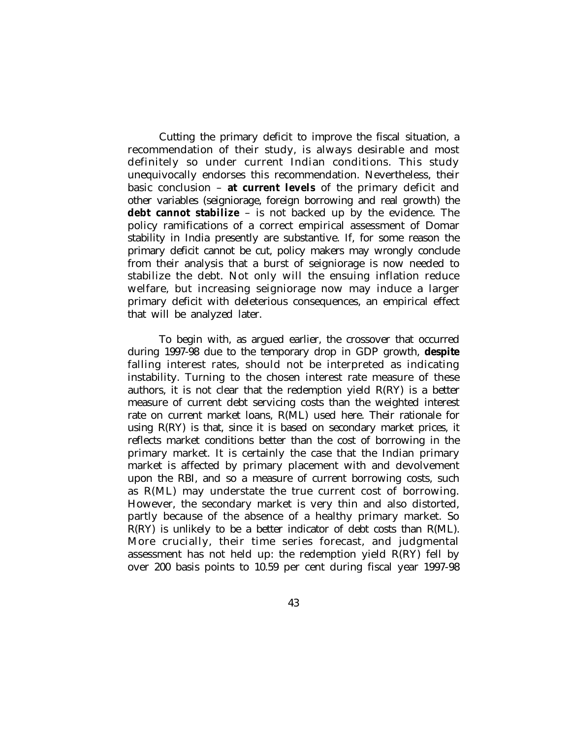Cutting the primary deficit to improve the fiscal situation, a recommendation of their study, is always desirable and most definitely so under current Indian conditions. This study unequivocally endorses this recommendation. Nevertheless, their basic conclusion – **at current levels** of the primary deficit and other variables (seigniorage, foreign borrowing and real growth) the **debt cannot stabilize** – is not backed up by the evidence. The policy ramifications of a correct empirical assessment of Domar stability in India presently are substantive. If, for some reason the primary deficit cannot be cut, policy makers may wrongly conclude from their analysis that a burst of seigniorage is now needed to stabilize the debt. Not only will the ensuing inflation reduce welfare, but increasing seigniorage now may induce a larger primary deficit with deleterious consequences, an empirical effect that will be analyzed later.

To begin with, as argued earlier, the crossover that occurred during 1997-98 due to the temporary drop in GDP growth, **despite** falling interest rates, should not be interpreted as indicating instability. Turning to the chosen interest rate measure of these authors, it is not clear that the redemption yield  $R(RY)$  is a better measure of current debt servicing costs than the weighted interest rate on current market loans, R(ML) used here. Their rationale for using  $R(RY)$  is that, since it is based on secondary market prices, it reflects market conditions better than the cost of borrowing in the primary market. It is certainly the case that the Indian primary market is affected by primary placement with and devolvement upon the RBI, and so a measure of current borrowing costs, such as R(ML) may understate the true current cost of borrowing. However, the secondary market is very thin and also distorted, partly because of the absence of a healthy primary market. So R(RY) is unlikely to be a better indicator of debt costs than R(ML). More crucially, their time series forecast, and judgmental assessment has not held up: the redemption yield R(RY) fell by over 200 basis points to 10.59 per cent during fiscal year 1997-98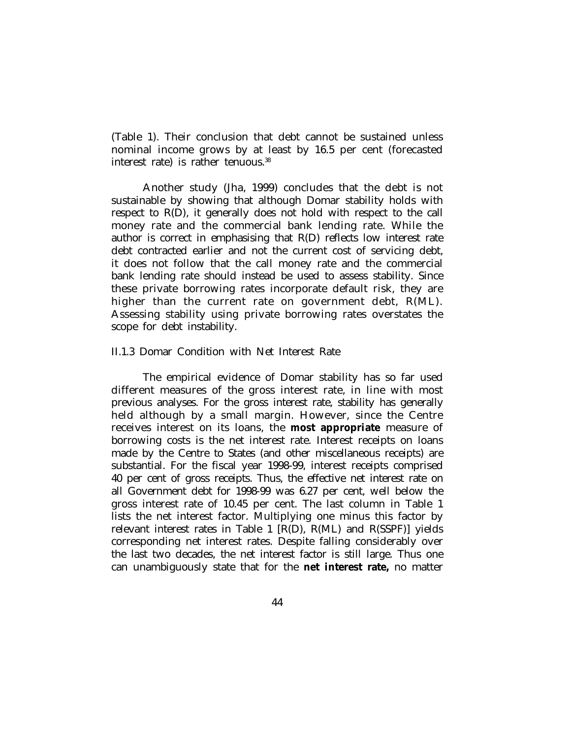(Table 1). Their conclusion that debt cannot be sustained unless nominal income grows by at least by 16.5 per cent (forecasted interest rate) is rather tenuous. $38$ 

Another study (Jha, 1999) concludes that the debt is not sustainable by showing that although Domar stability holds with respect to R(D), it generally does not hold with respect to the call money rate and the commercial bank lending rate. While the author is correct in emphasising that R(D) reflects low interest rate debt contracted earlier and not the current cost of servicing debt, it does not follow that the call money rate and the commercial bank lending rate should instead be used to assess stability. Since these private borrowing rates incorporate default risk, they are higher than the current rate on government debt, R(ML). Assessing stability using private borrowing rates overstates the scope for debt instability.

#### II.1.3 Domar Condition with Net Interest Rate

The empirical evidence of Domar stability has so far used different measures of the gross interest rate, in line with most previous analyses. For the gross interest rate, stability has generally held although by a small margin. However, since the Centre receives interest on its loans, the **most appropriate** measure of borrowing costs is the net interest rate. Interest receipts on loans made by the Centre to States (and other miscellaneous receipts) are substantial. For the fiscal year 1998-99, interest receipts comprised 40 per cent of gross receipts. Thus, the effective net interest rate on all Government debt for 1998-99 was 6.27 per cent, well below the gross interest rate of 10.45 per cent. The last column in Table 1 lists the net interest factor. Multiplying one minus this factor by relevant interest rates in Table 1 [R(D), R(ML) and R(SSPF)] yields corresponding net interest rates. Despite falling considerably over the last two decades, the net interest factor is still large. Thus one can unambiguously state that for the **net interest rate,** no matter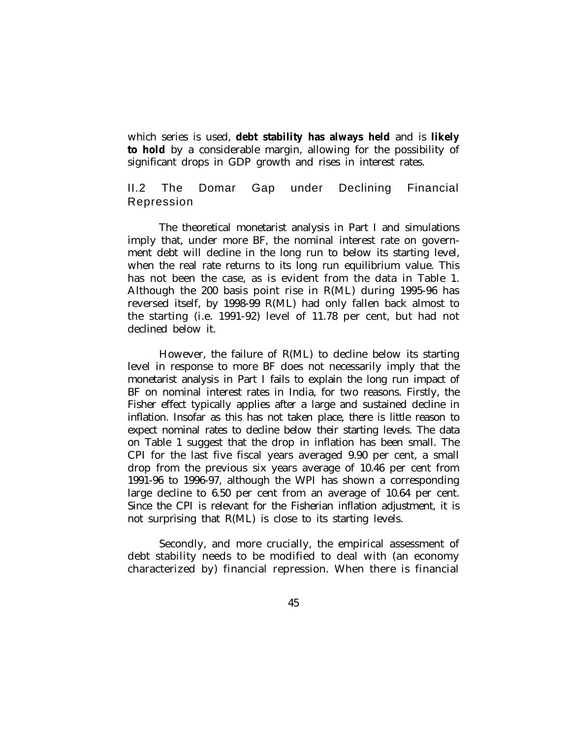which series is used, **debt stability has always held** and is **likely to hold** by a considerable margin, allowing for the possibility of significant drops in GDP growth and rises in interest rates.

# II.2 The Domar Gap under Declining Financial Repression

The theoretical monetarist analysis in Part I and simulations imply that, under more BF, the nominal interest rate on government debt will decline in the long run to below its starting level, when the real rate returns to its long run equilibrium value. This has not been the case, as is evident from the data in Table 1. Although the 200 basis point rise in R(ML) during 1995-96 has reversed itself, by 1998-99 R(ML) had only fallen back almost to the starting (i.e. 1991-92) level of 11.78 per cent, but had not declined below it.

However, the failure of R(ML) to decline below its starting level in response to more BF does not necessarily imply that the monetarist analysis in Part I fails to explain the long run impact of BF on nominal interest rates in India, for two reasons. Firstly, the Fisher effect typically applies after a large and sustained decline in inflation. Insofar as this has not taken place, there is little reason to expect nominal rates to decline below their starting levels. The data on Table 1 suggest that the drop in inflation has been small. The CPI for the last five fiscal years averaged 9.90 per cent, a small drop from the previous six years average of 10.46 per cent from 1991-96 to 1996-97, although the WPI has shown a corresponding large decline to 6.50 per cent from an average of 10.64 per cent. Since the CPI is relevant for the Fisherian inflation adjustment, it is not surprising that R(ML) is close to its starting levels.

Secondly, and more crucially, the empirical assessment of debt stability needs to be modified to deal with (an economy characterized by) financial repression. When there is financial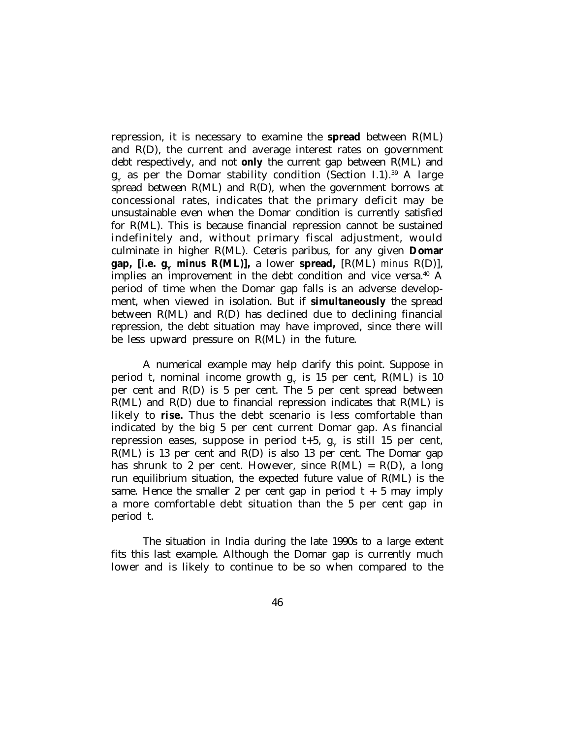repression, it is necessary to examine the **spread** between R(ML) and R(D), the current and average interest rates on government debt respectively, and not **only** the current gap between R(ML) and  $\mathbf{g}_{_{\mathbf{Y}}}$  as per the Domar stability condition (Section I.1). $^{39}$  A large spread between R(ML) and R(D), when the government borrows at concessional rates, indicates that the primary deficit may be unsustainable even when the Domar condition is currently satisfied for R(ML). This is because financial repression cannot be sustained indefinitely and, without primary fiscal adjustment, would culminate in higher R(ML). Ceteris paribus, for any given **Domar gap, [i.e.**  $g_v$ *minus* **R(ML)],** a lower **spread,**  $[R(ML)$  *minus*  $R(D)$ ], implies an improvement in the debt condition and vice versa.<sup>40</sup> A period of time when the Domar gap falls is an adverse development, when viewed in isolation. But if **simultaneously** the spread between R(ML) and R(D) has declined due to declining financial repression, the debt situation may have improved, since there will be less upward pressure on R(ML) in the future.

A numerical example may help clarify this point. Suppose in period t, nominal income growth  $\boldsymbol{\mathsf{g}}_{\text{Y}}$  is 15 per cent,  $\boldsymbol{\mathsf{R}}(\text{ML})$  is 10 per cent and R(D) is 5 per cent. The 5 per cent spread between  $R(ML)$  and  $R(D)$  due to financial repression indicates that  $R(ML)$  is likely to **rise.** Thus the debt scenario is less comfortable than indicated by the big 5 per cent current Domar gap. As financial repression eases, suppose in period t+5,  $\boldsymbol{\mathrm{g}}_{\text{y}}$  is still 15 per cent, R(ML) is 13 per cent and R(D) is also 13 per cent. The Domar gap has shrunk to 2 per cent. However, since  $R(ML) = R(D)$ , a long run equilibrium situation, the expected future value of R(ML) is the same. Hence the smaller 2 per cent gap in period  $t + 5$  may imply a more comfortable debt situation than the 5 per cent gap in period t.

The situation in India during the late 1990s to a large extent fits this last example. Although the Domar gap is currently much lower and is likely to continue to be so when compared to the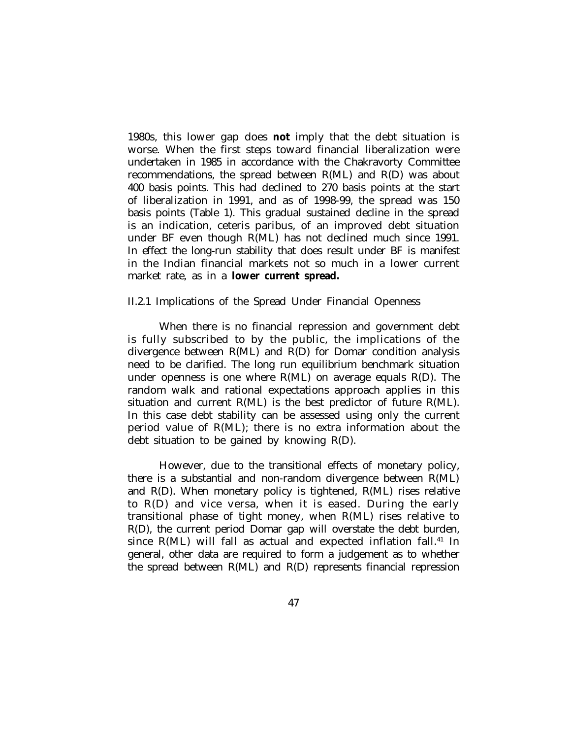1980s, this lower gap does **not** imply that the debt situation is worse. When the first steps toward financial liberalization were undertaken in 1985 in accordance with the Chakravorty Committee recommendations, the spread between R(ML) and R(D) was about 400 basis points. This had declined to 270 basis points at the start of liberalization in 1991, and as of 1998-99, the spread was 150 basis points (Table 1). This gradual sustained decline in the spread is an indication, ceteris paribus, of an improved debt situation under BF even though R(ML) has not declined much since 1991. In effect the long-run stability that does result under BF is manifest in the Indian financial markets not so much in a lower current market rate, as in a **lower current spread.**

#### II.2.1 Implications of the Spread Under Financial Openness

When there is no financial repression and government debt is fully subscribed to by the public, the implications of the divergence between R(ML) and R(D) for Domar condition analysis need to be clarified. The long run equilibrium benchmark situation under openness is one where  $R(ML)$  on average equals  $R(D)$ . The random walk and rational expectations approach applies in this situation and current R(ML) is the best predictor of future R(ML). In this case debt stability can be assessed using only the current period value of R(ML); there is no extra information about the debt situation to be gained by knowing R(D).

However, due to the transitional effects of monetary policy, there is a substantial and non-random divergence between R(ML) and R(D). When monetary policy is tightened, R(ML) rises relative to R(D) and vice versa, when it is eased. During the early transitional phase of tight money, when R(ML) rises relative to R(D), the current period Domar gap will overstate the debt burden, since  $R(ML)$  will fall as actual and expected inflation fall.<sup>41</sup> In general, other data are required to form a judgement as to whether the spread between R(ML) and R(D) represents financial repression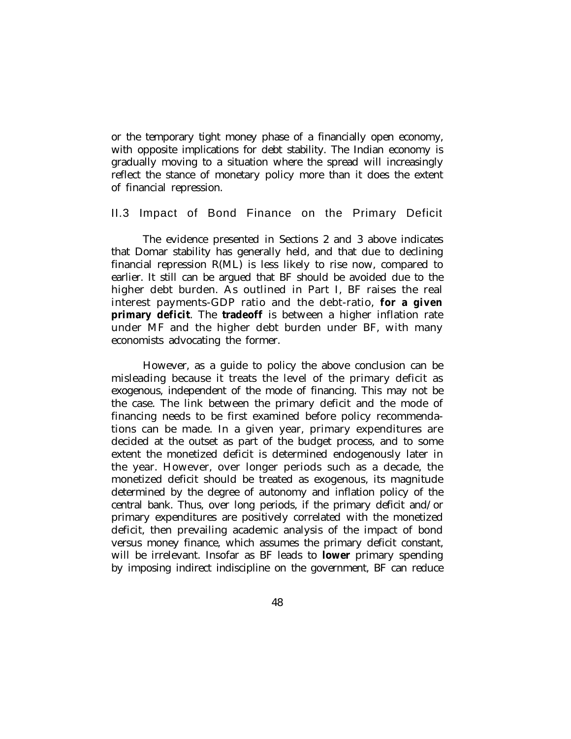or the temporary tight money phase of a financially open economy, with opposite implications for debt stability. The Indian economy is gradually moving to a situation where the spread will increasingly reflect the stance of monetary policy more than it does the extent of financial repression.

### II.3 Impact of Bond Finance on the Primary Deficit

The evidence presented in Sections 2 and 3 above indicates that Domar stability has generally held, and that due to declining financial repression R(ML) is less likely to rise now, compared to earlier. It still can be argued that BF should be avoided due to the higher debt burden. As outlined in Part I, BF raises the real interest payments-GDP ratio and the debt-ratio, **for a given primary deficit**. The **tradeoff** is between a higher inflation rate under MF and the higher debt burden under BF, with many economists advocating the former.

However, as a guide to policy the above conclusion can be misleading because it treats the level of the primary deficit as exogenous, independent of the mode of financing. This may not be the case. The link between the primary deficit and the mode of financing needs to be first examined before policy recommendations can be made. In a given year, primary expenditures are decided at the outset as part of the budget process, and to some extent the monetized deficit is determined endogenously later in the year. However, over longer periods such as a decade, the monetized deficit should be treated as exogenous, its magnitude determined by the degree of autonomy and inflation policy of the central bank. Thus, over long periods, if the primary deficit and/or primary expenditures are positively correlated with the monetized deficit, then prevailing academic analysis of the impact of bond versus money finance, which assumes the primary deficit constant, will be irrelevant. Insofar as BF leads to **lower** primary spending by imposing indirect indiscipline on the government, BF can reduce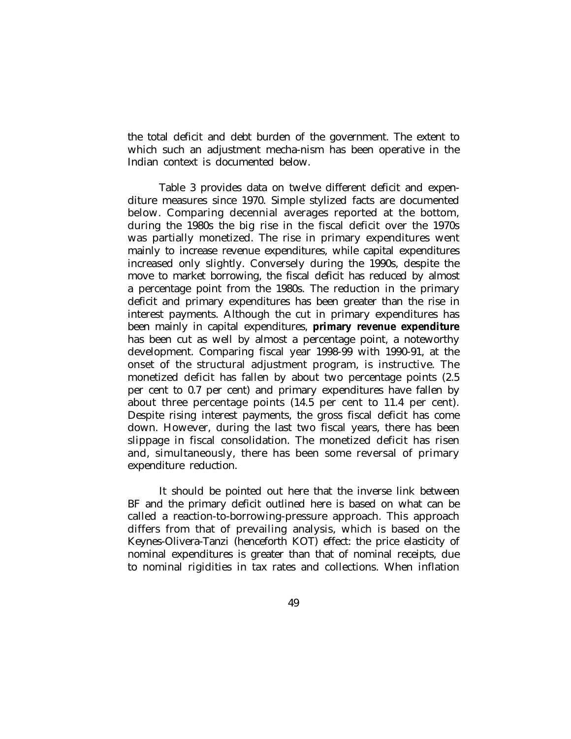the total deficit and debt burden of the government. The extent to which such an adjustment mecha-nism has been operative in the Indian context is documented below.

Table 3 provides data on twelve different deficit and expenditure measures since 1970. Simple stylized facts are documented below. Comparing decennial averages reported at the bottom, during the 1980s the big rise in the fiscal deficit over the 1970s was partially monetized. The rise in primary expenditures went mainly to increase revenue expenditures, while capital expenditures increased only slightly. Conversely during the 1990s, despite the move to market borrowing, the fiscal deficit has reduced by almost a percentage point from the 1980s. The reduction in the primary deficit and primary expenditures has been greater than the rise in interest payments. Although the cut in primary expenditures has been mainly in capital expenditures, **primary revenue expenditure** has been cut as well by almost a percentage point, a noteworthy development. Comparing fiscal year 1998-99 with 1990-91, at the onset of the structural adjustment program, is instructive. The monetized deficit has fallen by about two percentage points (2.5 per cent to 0.7 per cent) and primary expenditures have fallen by about three percentage points (14.5 per cent to 11.4 per cent). Despite rising interest payments, the gross fiscal deficit has come down. However, during the last two fiscal years, there has been slippage in fiscal consolidation. The monetized deficit has risen and, simultaneously, there has been some reversal of primary expenditure reduction.

It should be pointed out here that the inverse link between BF and the primary deficit outlined here is based on what can be called a reaction-to-borrowing-pressure approach. This approach differs from that of prevailing analysis, which is based on the Keynes-Olivera-Tanzi (henceforth KOT) effect: the price elasticity of nominal expenditures is greater than that of nominal receipts, due to nominal rigidities in tax rates and collections. When inflation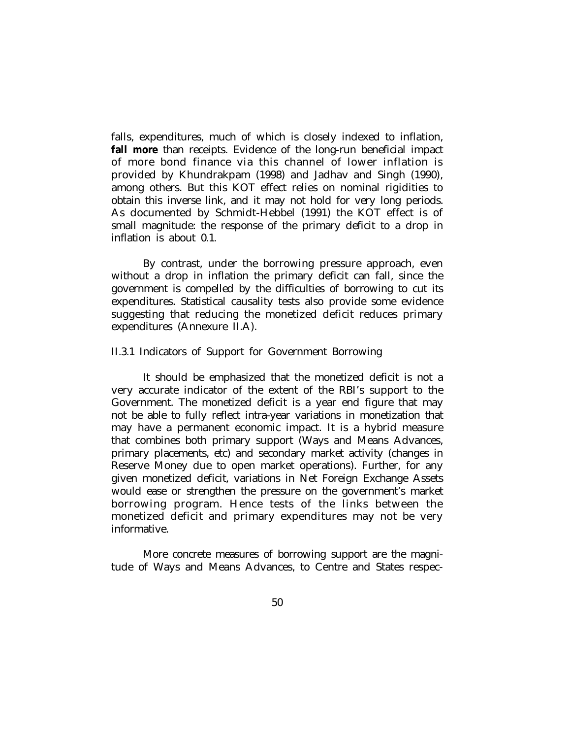falls, expenditures, much of which is closely indexed to inflation, **fall more** than receipts. Evidence of the long-run beneficial impact of more bond finance via this channel of lower inflation is provided by Khundrakpam (1998) and Jadhav and Singh (1990), among others. But this KOT effect relies on nominal rigidities to obtain this inverse link, and it may not hold for very long periods. As documented by Schmidt-Hebbel (1991) the KOT effect is of small magnitude: the response of the primary deficit to a drop in inflation is about 0.1.

By contrast, under the borrowing pressure approach, even without a drop in inflation the primary deficit can fall, since the government is compelled by the difficulties of borrowing to cut its expenditures. Statistical causality tests also provide some evidence suggesting that reducing the monetized deficit reduces primary expenditures (Annexure II.A).

### II.3.1 Indicators of Support for Government Borrowing

It should be emphasized that the monetized deficit is not a very accurate indicator of the extent of the RBI's support to the Government. The monetized deficit is a year end figure that may not be able to fully reflect intra-year variations in monetization that may have a permanent economic impact. It is a hybrid measure that combines both primary support (Ways and Means Advances, primary placements, etc) and secondary market activity (changes in Reserve Money due to open market operations). Further, for any given monetized deficit, variations in Net Foreign Exchange Assets would ease or strengthen the pressure on the government's market borrowing program. Hence tests of the links between the monetized deficit and primary expenditures may not be very informative.

More concrete measures of borrowing support are the magnitude of Ways and Means Advances, to Centre and States respec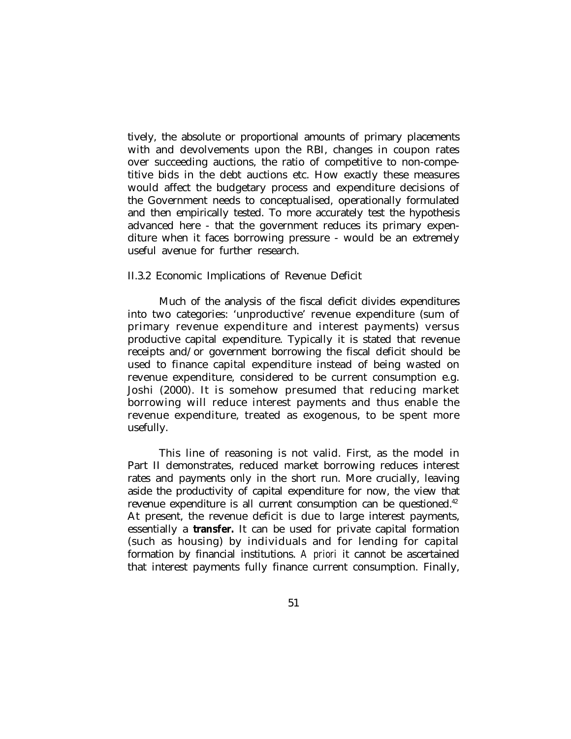tively, the absolute or proportional amounts of primary placements with and devolvements upon the RBI, changes in coupon rates over succeeding auctions, the ratio of competitive to non-competitive bids in the debt auctions etc. How exactly these measures would affect the budgetary process and expenditure decisions of the Government needs to conceptualised, operationally formulated and then empirically tested. To more accurately test the hypothesis advanced here - that the government reduces its primary expenditure when it faces borrowing pressure - would be an extremely useful avenue for further research.

### II.3.2 Economic Implications of Revenue Deficit

Much of the analysis of the fiscal deficit divides expenditures into two categories: 'unproductive' revenue expenditure (sum of primary revenue expenditure and interest payments) versus productive capital expenditure. Typically it is stated that revenue receipts and/or government borrowing the fiscal deficit should be used to finance capital expenditure instead of being wasted on revenue expenditure, considered to be current consumption e.g. Joshi (2000). It is somehow presumed that reducing market borrowing will reduce interest payments and thus enable the revenue expenditure, treated as exogenous, to be spent more usefully.

This line of reasoning is not valid. First, as the model in Part II demonstrates, reduced market borrowing reduces interest rates and payments only in the short run. More crucially, leaving aside the productivity of capital expenditure for now, the view that revenue expenditure is all current consumption can be questioned.<sup>42</sup> At present, the revenue deficit is due to large interest payments, essentially a **transfer.** It can be used for private capital formation (such as housing) by individuals and for lending for capital formation by financial institutions. *A priori* it cannot be ascertained that interest payments fully finance current consumption. Finally,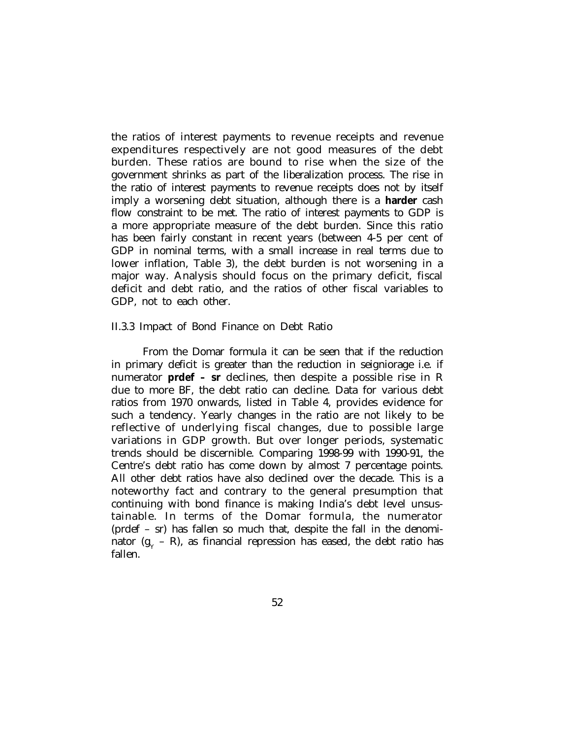the ratios of interest payments to revenue receipts and revenue expenditures respectively are not good measures of the debt burden. These ratios are bound to rise when the size of the government shrinks as part of the liberalization process. The rise in the ratio of interest payments to revenue receipts does not by itself imply a worsening debt situation, although there is a **harder** cash flow constraint to be met. The ratio of interest payments to GDP is a more appropriate measure of the debt burden. Since this ratio has been fairly constant in recent years (between 4-5 per cent of GDP in nominal terms, with a small increase in real terms due to lower inflation, Table 3), the debt burden is not worsening in a major way. Analysis should focus on the primary deficit, fiscal deficit and debt ratio, and the ratios of other fiscal variables to GDP, not to each other.

#### II.3.3 Impact of Bond Finance on Debt Ratio

From the Domar formula it can be seen that if the reduction in primary deficit is greater than the reduction in seigniorage i.e. if numerator **prdef – sr** declines, then despite a possible rise in R due to more BF, the debt ratio can decline. Data for various debt ratios from 1970 onwards, listed in Table 4, provides evidence for such a tendency. Yearly changes in the ratio are not likely to be reflective of underlying fiscal changes, due to possible large variations in GDP growth. But over longer periods, systematic trends should be discernible. Comparing 1998-99 with 1990-91, the Centre's debt ratio has come down by almost 7 percentage points. All other debt ratios have also declined over the decade. This is a noteworthy fact and contrary to the general presumption that continuing with bond finance is making India's debt level unsustainable. In terms of the Domar formula, the numerator (prdef – sr) has fallen so much that, despite the fall in the denominator (g $_{\rm Y}$  – R), as financial repression has eased, the debt ratio has fallen.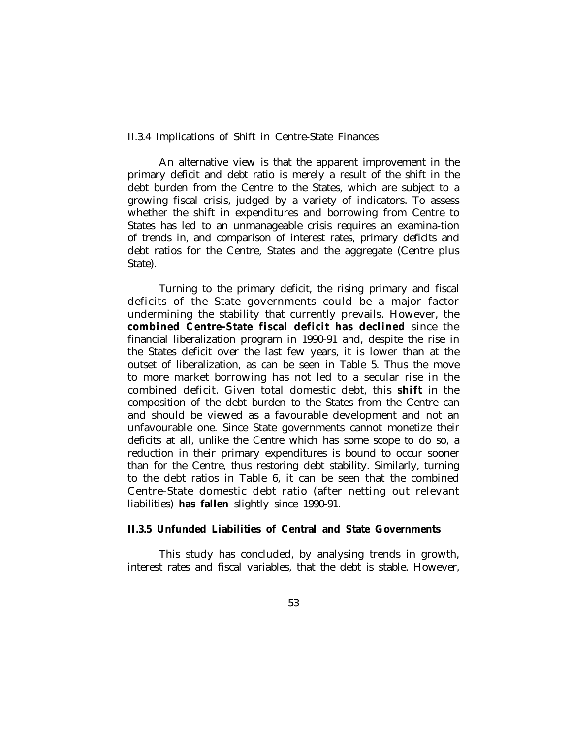II.3.4 Implications of Shift in Centre-State Finances

An alternative view is that the apparent improvement in the primary deficit and debt ratio is merely a result of the shift in the debt burden from the Centre to the States, which are subject to a growing fiscal crisis, judged by a variety of indicators. To assess whether the shift in expenditures and borrowing from Centre to States has led to an unmanageable crisis requires an examina-tion of trends in, and comparison of interest rates, primary deficits and debt ratios for the Centre, States and the aggregate (Centre plus State).

Turning to the primary deficit, the rising primary and fiscal deficits of the State governments could be a major factor undermining the stability that currently prevails. However, the **combined Centre-State fiscal deficit has declined** since the financial liberalization program in 1990-91 and, despite the rise in the States deficit over the last few years, it is lower than at the outset of liberalization, as can be seen in Table 5. Thus the move to more market borrowing has not led to a secular rise in the combined deficit. Given total domestic debt, this **shift** in the composition of the debt burden to the States from the Centre can and should be viewed as a favourable development and not an unfavourable one. Since State governments cannot monetize their deficits at all, unlike the Centre which has some scope to do so, a reduction in their primary expenditures is bound to occur sooner than for the Centre, thus restoring debt stability. Similarly, turning to the debt ratios in Table 6, it can be seen that the combined Centre-State domestic debt ratio (after netting out relevant liabilities) **has fallen** slightly since 1990-91.

## **II.3.5 Unfunded Liabilities of Central and State Governments**

This study has concluded, by analysing trends in growth, interest rates and fiscal variables, that the debt is stable. However,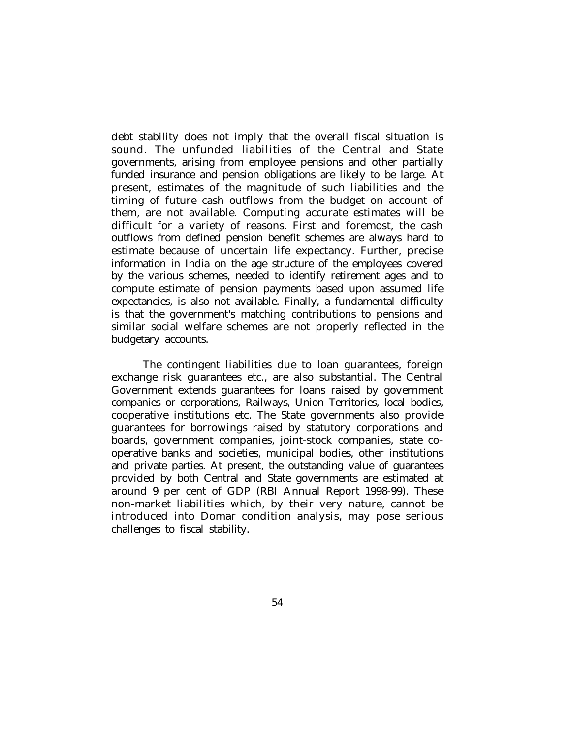debt stability does not imply that the overall fiscal situation is sound. The unfunded liabilities of the Central and State governments, arising from employee pensions and other partially funded insurance and pension obligations are likely to be large. At present, estimates of the magnitude of such liabilities and the timing of future cash outflows from the budget on account of them, are not available. Computing accurate estimates will be difficult for a variety of reasons. First and foremost, the cash outflows from defined pension benefit schemes are always hard to estimate because of uncertain life expectancy. Further, precise information in India on the age structure of the employees covered by the various schemes, needed to identify retirement ages and to compute estimate of pension payments based upon assumed life expectancies, is also not available. Finally, a fundamental difficulty is that the government's matching contributions to pensions and similar social welfare schemes are not properly reflected in the budgetary accounts.

The contingent liabilities due to loan guarantees, foreign exchange risk guarantees etc., are also substantial. The Central Government extends guarantees for loans raised by government companies or corporations, Railways, Union Territories, local bodies, cooperative institutions etc. The State governments also provide guarantees for borrowings raised by statutory corporations and boards, government companies, joint-stock companies, state cooperative banks and societies, municipal bodies, other institutions and private parties. At present, the outstanding value of guarantees provided by both Central and State governments are estimated at around 9 per cent of GDP (RBI Annual Report 1998-99). These non-market liabilities which, by their very nature, cannot be introduced into Domar condition analysis, may pose serious challenges to fiscal stability.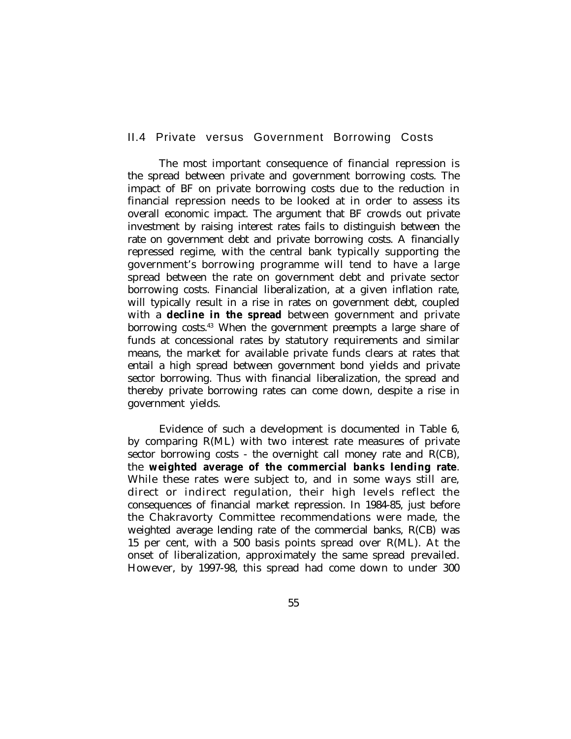### II.4 Private versus Government Borrowing Costs

The most important consequence of financial repression is the spread between private and government borrowing costs. The impact of BF on private borrowing costs due to the reduction in financial repression needs to be looked at in order to assess its overall economic impact. The argument that BF crowds out private investment by raising interest rates fails to distinguish between the rate on government debt and private borrowing costs. A financially repressed regime, with the central bank typically supporting the government's borrowing programme will tend to have a large spread between the rate on government debt and private sector borrowing costs. Financial liberalization, at a given inflation rate, will typically result in a rise in rates on government debt, coupled with a **decline in the spread** between government and private borrowing costs.<sup>43</sup> When the government preempts a large share of funds at concessional rates by statutory requirements and similar means, the market for available private funds clears at rates that entail a high spread between government bond yields and private sector borrowing. Thus with financial liberalization, the spread and thereby private borrowing rates can come down, despite a rise in government yields.

Evidence of such a development is documented in Table 6, by comparing R(ML) with two interest rate measures of private sector borrowing costs - the overnight call money rate and R(CB), the **weighted average of the commercial banks lending rate**. While these rates were subject to, and in some ways still are, direct or indirect regulation, their high levels reflect the consequences of financial market repression. In 1984-85, just before the Chakravorty Committee recommendations were made, the weighted average lending rate of the commercial banks, R(CB) was 15 per cent, with a 500 basis points spread over R(ML). At the onset of liberalization, approximately the same spread prevailed. However, by 1997-98, this spread had come down to under 300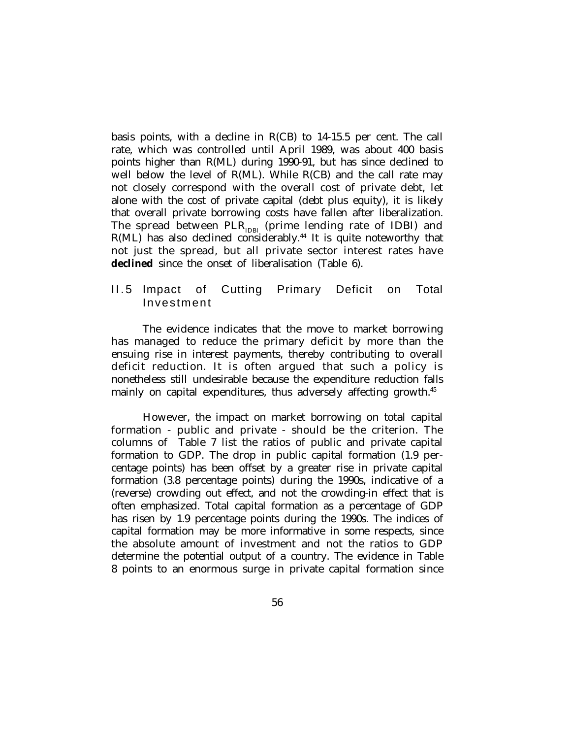basis points, with a decline in R(CB) to 14-15.5 per cent. The call rate, which was controlled until April 1989, was about 400 basis points higher than R(ML) during 1990-91, but has since declined to well below the level of R(ML). While R(CB) and the call rate may not closely correspond with the overall cost of private debt, let alone with the cost of private capital (debt plus equity), it is likely that overall private borrowing costs have fallen after liberalization. The spread between  $PLR_{IDBI}$  (prime lending rate of IDBI) and  $R(ML)$  has also declined considerably.<sup>44</sup> It is quite noteworthy that not just the spread, but all private sector interest rates have **declined** since the onset of liberalisation (Table 6).

## II. 5 Impact of Cutting Primary Deficit on Total Investment

The evidence indicates that the move to market borrowing has managed to reduce the primary deficit by more than the ensuing rise in interest payments, thereby contributing to overall deficit reduction. It is often argued that such a policy is nonetheless still undesirable because the expenditure reduction falls mainly on capital expenditures, thus adversely affecting growth.<sup>45</sup>

However, the impact on market borrowing on total capital formation - public and private - should be the criterion. The columns of Table 7 list the ratios of public and private capital formation to GDP. The drop in public capital formation (1.9 percentage points) has been offset by a greater rise in private capital formation (3.8 percentage points) during the 1990s, indicative of a (reverse) crowding out effect, and not the crowding-in effect that is often emphasized. Total capital formation as a percentage of GDP has risen by 1.9 percentage points during the 1990s. The indices of capital formation may be more informative in some respects, since the absolute amount of investment and not the ratios to GDP determine the potential output of a country. The evidence in Table 8 points to an enormous surge in private capital formation since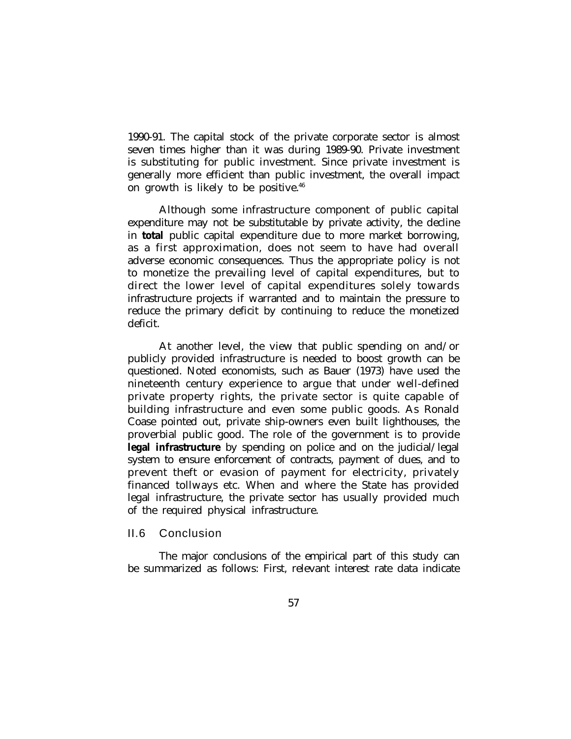1990-91. The capital stock of the private corporate sector is almost seven times higher than it was during 1989-90. Private investment is substituting for public investment. Since private investment is generally more efficient than public investment, the overall impact on growth is likely to be positive.<sup>46</sup>

Although some infrastructure component of public capital expenditure may not be substitutable by private activity, the decline in **total** public capital expenditure due to more market borrowing, as a first approximation, does not seem to have had overall adverse economic consequences. Thus the appropriate policy is not to monetize the prevailing level of capital expenditures, but to direct the lower level of capital expenditures solely towards infrastructure projects if warranted and to maintain the pressure to reduce the primary deficit by continuing to reduce the monetized deficit.

At another level, the view that public spending on and/or publicly provided infrastructure is needed to boost growth can be questioned. Noted economists, such as Bauer (1973) have used the nineteenth century experience to argue that under well-defined private property rights, the private sector is quite capable of building infrastructure and even some public goods. As Ronald Coase pointed out, private ship-owners even built lighthouses, the proverbial public good. The role of the government is to provide **legal infrastructure** by spending on police and on the judicial/legal system to ensure enforcement of contracts, payment of dues, and to prevent theft or evasion of payment for electricity, privately financed tollways etc. When and where the State has provided legal infrastructure, the private sector has usually provided much of the required physical infrastructure.

### II.6 Conclusion

The major conclusions of the empirical part of this study can be summarized as follows: First, relevant interest rate data indicate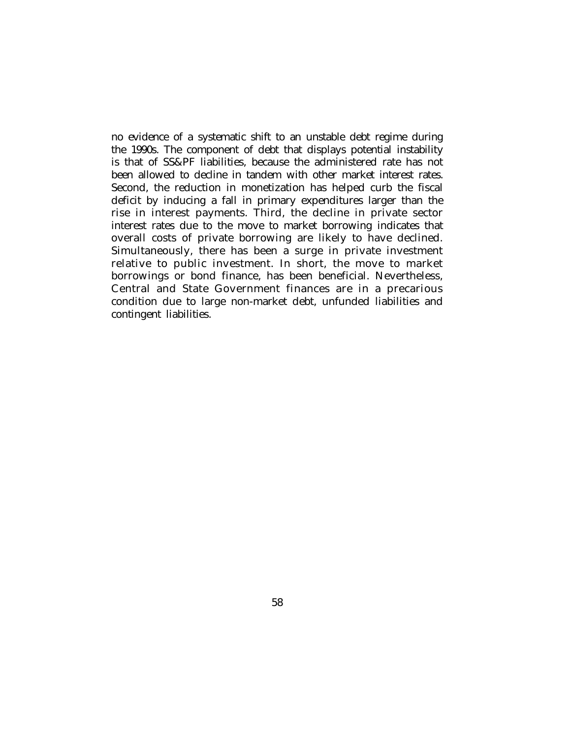no evidence of a systematic shift to an unstable debt regime during the 1990s. The component of debt that displays potential instability is that of SS&PF liabilities, because the administered rate has not been allowed to decline in tandem with other market interest rates. Second, the reduction in monetization has helped curb the fiscal deficit by inducing a fall in primary expenditures larger than the rise in interest payments. Third, the decline in private sector interest rates due to the move to market borrowing indicates that overall costs of private borrowing are likely to have declined. Simultaneously, there has been a surge in private investment relative to public investment. In short, the move to market borrowings or bond finance, has been beneficial. Nevertheless, Central and State Government finances are in a precarious condition due to large non-market debt, unfunded liabilities and contingent liabilities.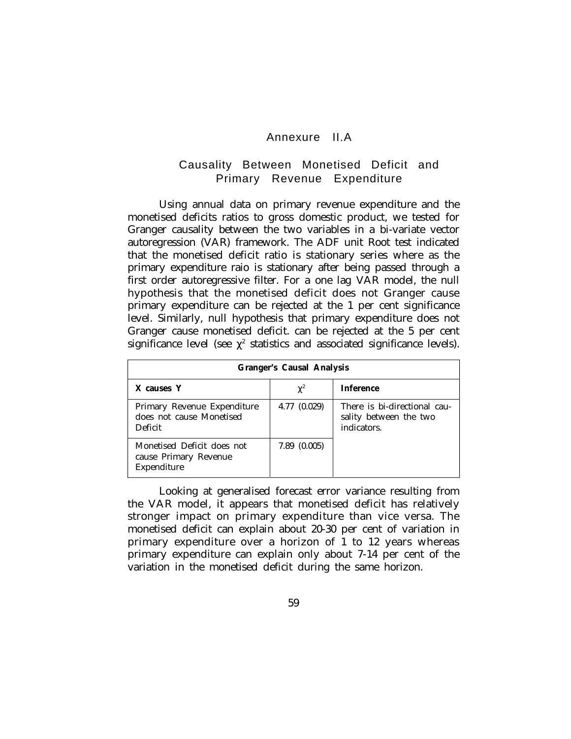## Annexure II.A

# Causality Between Monetised Deficit and Primary Revenue Expenditure

Using annual data on primary revenue expenditure and the monetised deficits ratios to gross domestic product, we tested for Granger causality between the two variables in a bi-variate vector autoregression (VAR) framework. The ADF unit Root test indicated that the monetised deficit ratio is stationary series where as the primary expenditure raio is stationary after being passed through a first order autoregressive filter. For a one lag VAR model, the null hypothesis that the monetised deficit does not Granger cause primary expenditure can be rejected at the 1 per cent significance level. Similarly, null hypothesis that primary expenditure does not Granger cause monetised deficit. can be rejected at the 5 per cent significance level (see  $\chi^2$  statistics and associated significance levels).

| <b>Granger's Causal Analysis</b>                                   |                      |                                                                       |  |  |  |
|--------------------------------------------------------------------|----------------------|-----------------------------------------------------------------------|--|--|--|
| X causes Y                                                         | $\chi^2$             | <b>Inference</b>                                                      |  |  |  |
| Primary Revenue Expenditure<br>does not cause Monetised<br>Deficit | 4.77 (0.029)         | There is bi-directional cau-<br>sality between the two<br>indicators. |  |  |  |
| Monetised Deficit does not<br>cause Primary Revenue<br>Expenditure | $7.89 \quad (0.005)$ |                                                                       |  |  |  |

Looking at generalised forecast error variance resulting from the VAR model, it appears that monetised deficit has relatively stronger impact on primary expenditure than vice versa. The monetised deficit can explain about 20-30 per cent of variation in primary expenditure over a horizon of 1 to 12 years whereas primary expenditure can explain only about 7-14 per cent of the variation in the monetised deficit during the same horizon.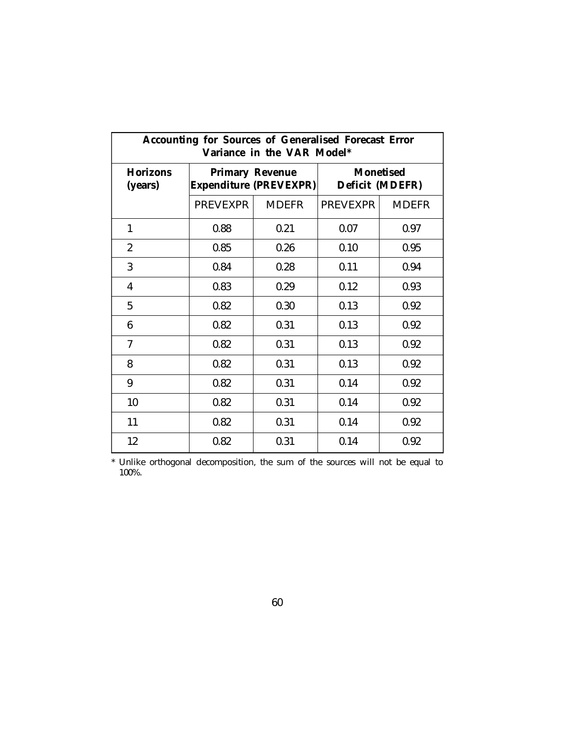| <b>Accounting for Sources of Generalised Forecast Error</b><br>Variance in the VAR Model* |                                                         |              |                                     |              |  |
|-------------------------------------------------------------------------------------------|---------------------------------------------------------|--------------|-------------------------------------|--------------|--|
| <b>Horizons</b><br>(years)                                                                | <b>Primary Revenue</b><br><b>Expenditure (PREVEXPR)</b> |              | <b>Monetised</b><br>Deficit (MDEFR) |              |  |
|                                                                                           | <b>PREVEXPR</b>                                         | <b>MDEFR</b> | <b>PREVEXPR</b>                     | <b>MDEFR</b> |  |
| $\mathbf{1}$                                                                              | 0.88                                                    | 0.21         | 0.07                                | 0.97         |  |
| $\overline{2}$                                                                            | 0.85                                                    | 0.26         | 0.10                                | 0.95         |  |
| 3                                                                                         | 0.84                                                    | 0.28         | 0.11                                | 0.94         |  |
| $\overline{4}$                                                                            | 0.83                                                    | 0.29         | 0.12                                | 0.93         |  |
| 5                                                                                         | 0.82                                                    | 0.30         | 0.13                                | 0.92         |  |
| 6                                                                                         | 0.82                                                    | 0.31         | 0.13                                | 0.92         |  |
| $\overline{7}$                                                                            | 0.82                                                    | 0.31         | 0.13                                | 0.92         |  |
| 8                                                                                         | 0.82                                                    | 0.31         | 0.13                                | 0.92         |  |
| 9                                                                                         | 0.82                                                    | 0.31         | 0.14                                | 0.92         |  |
| 10                                                                                        | 0.82                                                    | 0.31         | 0.14                                | 0.92         |  |
| 11                                                                                        | 0.82                                                    | 0.31         | 0.14                                | 0.92         |  |
| 12                                                                                        | 0.82                                                    | 0.31         | 0.14                                | 0.92         |  |

\* Unlike orthogonal decomposition, the sum of the sources will not be equal to 100%.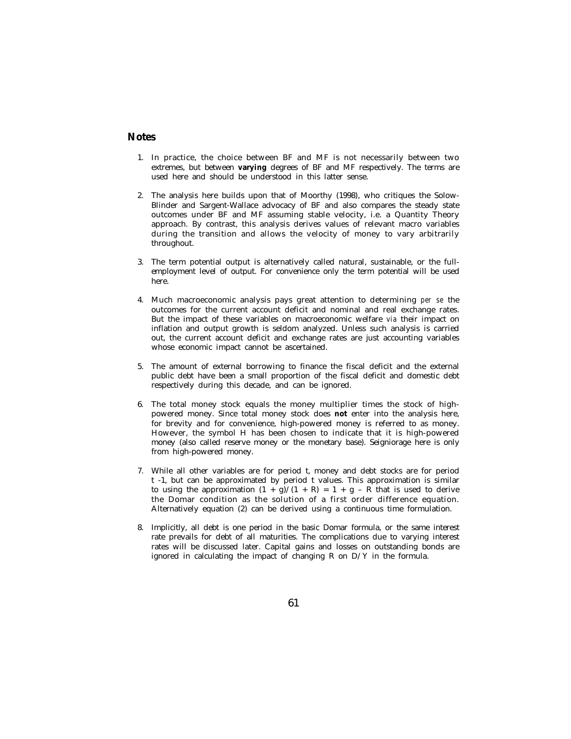#### **Notes**

- 1. In practice, the choice between BF and MF is not necessarily between two extremes, but between **varying** degrees of BF and MF respectively. The terms are used here and should be understood in this latter sense.
- 2. The analysis here builds upon that of Moorthy (1998), who critiques the Solow-Blinder and Sargent-Wallace advocacy of BF and also compares the steady state outcomes under BF and MF assuming stable velocity, i.e. a Quantity Theory approach. By contrast, this analysis derives values of relevant macro variables during the transition and allows the velocity of money to vary arbitrarily throughout.
- 3. The term potential output is alternatively called natural, sustainable, or the fullemployment level of output. For convenience only the term potential will be used here.
- 4. Much macroeconomic analysis pays great attention to determining *per se* the outcomes for the current account deficit and nominal and real exchange rates. But the impact of these variables on macroeconomic welfare *via* their impact on inflation and output growth is seldom analyzed. Unless such analysis is carried out, the current account deficit and exchange rates are just accounting variables whose economic impact cannot be ascertained.
- 5. The amount of external borrowing to finance the fiscal deficit and the external public debt have been a small proportion of the fiscal deficit and domestic debt respectively during this decade, and can be ignored.
- 6. The total money stock equals the money multiplier times the stock of highpowered money. Since total money stock does **not** enter into the analysis here, for brevity and for convenience, high-powered money is referred to as money. However, the symbol H has been chosen to indicate that it is high-powered money (also called reserve money or the monetary base). Seigniorage here is only from high-powered money.
- 7. While all other variables are for period t, money and debt stocks are for period t -1, but can be approximated by period t values. This approximation is similar to using the approximation  $(1 + g)/(1 + R) = 1 + g - R$  that is used to derive the Domar condition as the solution of a first order difference equation. Alternatively equation (2) can be derived using a continuous time formulation.
- 8. Implicitly, all debt is one period in the basic Domar formula, or the same interest rate prevails for debt of all maturities. The complications due to varying interest rates will be discussed later. Capital gains and losses on outstanding bonds are ignored in calculating the impact of changing  $R$  on  $D/Y$  in the formula.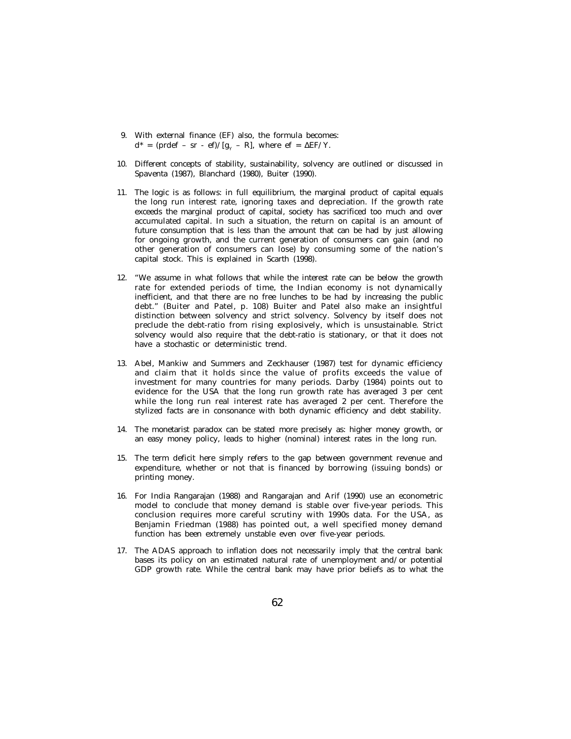- 9. With external finance (EF) also, the formula becomes:  $d^*$  = (prdef – sr - ef)/[g<sub>Y</sub> – R], where ef =  $\Delta E$ F/Y.
- 10. Different concepts of stability, sustainability, solvency are outlined or discussed in Spaventa (1987), Blanchard (1980), Buiter (1990).
- 11. The logic is as follows: in full equilibrium, the marginal product of capital equals the long run interest rate, ignoring taxes and depreciation. If the growth rate exceeds the marginal product of capital, society has sacrificed too much and over accumulated capital. In such a situation, the return on capital is an amount of future consumption that is less than the amount that can be had by just allowing for ongoing growth, and the current generation of consumers can gain (and no other generation of consumers can lose) by consuming some of the nation's capital stock. This is explained in Scarth (1998).
- 12. "We assume in what follows that while the interest rate can be below the growth rate for extended periods of time, the Indian economy is not dynamically inefficient, and that there are no free lunches to be had by increasing the public debt." (Buiter and Patel, p. 108) Buiter and Patel also make an insightful distinction between solvency and strict solvency. Solvency by itself does not preclude the debt-ratio from rising explosively, which is unsustainable. Strict solvency would also require that the debt-ratio is stationary, or that it does not have a stochastic or deterministic trend.
- 13. Abel, Mankiw and Summers and Zeckhauser (1987) test for dynamic efficiency and claim that it holds since the value of profits exceeds the value of investment for many countries for many periods. Darby (1984) points out to evidence for the USA that the long run growth rate has averaged 3 per cent while the long run real interest rate has averaged 2 per cent. Therefore the stylized facts are in consonance with both dynamic efficiency and debt stability.
- 14. The monetarist paradox can be stated more precisely as: higher money growth, or an easy money policy, leads to higher (nominal) interest rates in the long run.
- 15. The term deficit here simply refers to the gap between government revenue and expenditure, whether or not that is financed by borrowing (issuing bonds) or printing money.
- 16. For India Rangarajan (1988) and Rangarajan and Arif (1990) use an econometric model to conclude that money demand is stable over five-year periods. This conclusion requires more careful scrutiny with 1990s data. For the USA, as Benjamin Friedman (1988) has pointed out, a well specified money demand function has been extremely unstable even over five-year periods.
- 17. The ADAS approach to inflation does not necessarily imply that the central bank bases its policy on an estimated natural rate of unemployment and/or potential GDP growth rate. While the central bank may have prior beliefs as to what the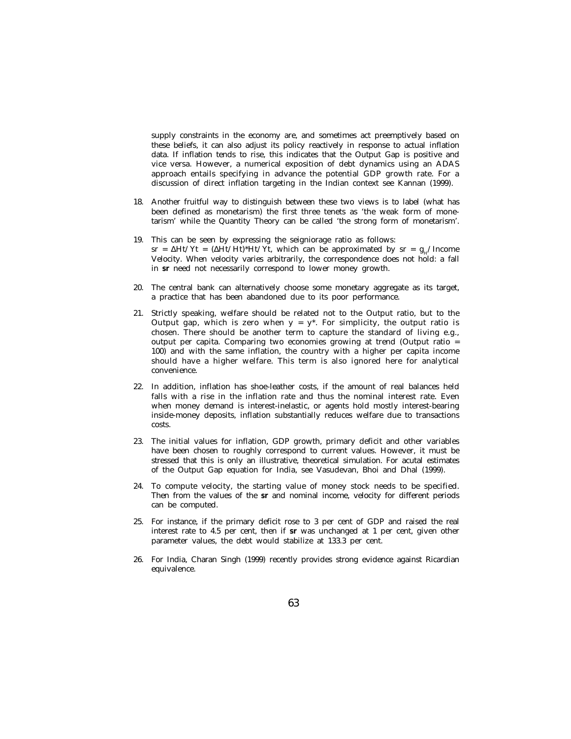supply constraints in the economy are, and sometimes act preemptively based on these beliefs, it can also adjust its policy reactively in response to actual inflation data. If inflation tends to rise, this indicates that the Output Gap is positive and vice versa. However, a numerical exposition of debt dynamics using an ADAS approach entails specifying in advance the potential GDP growth rate. For a discussion of direct inflation targeting in the Indian context see Kannan (1999).

- 18. Another fruitful way to distinguish between these two views is to label (what has been defined as monetarism) the first three tenets as 'the weak form of monetarism' while the Quantity Theory can be called 'the strong form of monetarism'.
- 19. This can be seen by expressing the seigniorage ratio as follows:  $sr = \Delta Ht/Yt = (\Delta Ht/Ht)^*Ht/Yt$ , which can be approximated by  $sr = g_H/Income$ Velocity. When velocity varies arbitrarily, the correspondence does not hold: a fall in **sr** need not necessarily correspond to lower money growth.
- 20. The central bank can alternatively choose some monetary aggregate as its target, a practice that has been abandoned due to its poor performance.
- 21. Strictly speaking, welfare should be related not to the Output ratio, but to the Output gap, which is zero when  $y = y^*$ . For simplicity, the output ratio is chosen. There should be another term to capture the standard of living e.g., output per capita. Comparing two economies growing at trend (Output ratio = 100) and with the same inflation, the country with a higher per capita income should have a higher welfare. This term is also ignored here for analytical convenience.
- 22. In addition, inflation has shoe-leather costs, if the amount of real balances held falls with a rise in the inflation rate and thus the nominal interest rate. Even when money demand is interest-inelastic, or agents hold mostly interest-bearing inside-money deposits, inflation substantially reduces welfare due to transactions costs.
- 23. The initial values for inflation, GDP growth, primary deficit and other variables have been chosen to roughly correspond to current values. However, it must be stressed that this is only an illustrative, theoretical simulation. For acutal estimates of the Output Gap equation for India, see Vasudevan, Bhoi and Dhal (1999).
- 24. To compute velocity, the starting value of money stock needs to be specified. Then from the values of the **sr** and nominal income, velocity for different periods can be computed.
- 25. For instance, if the primary deficit rose to 3 per cent of GDP and raised the real interest rate to 4.5 per cent, then if **sr** was unchanged at 1 per cent, given other parameter values, the debt would stabilize at 133.3 per cent.
- 26. For India, Charan Singh (1999) recently provides strong evidence against Ricardian equivalence.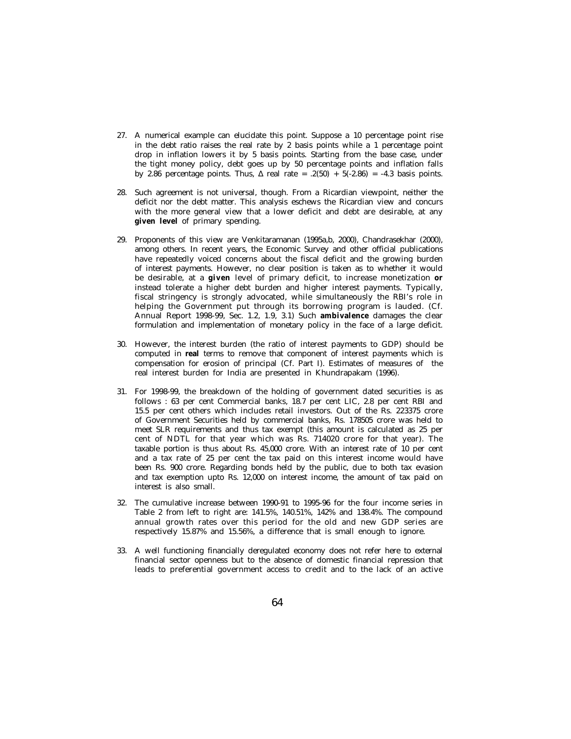- 27. A numerical example can elucidate this point. Suppose a 10 percentage point rise in the debt ratio raises the real rate by 2 basis points while a 1 percentage point drop in inflation lowers it by 5 basis points. Starting from the base case, under the tight money policy, debt goes up by 50 percentage points and inflation falls by 2.86 percentage points. Thus,  $\Delta$  real rate = .2(50) + 5(-2.86) = -4.3 basis points.
- 28. Such agreement is not universal, though. From a Ricardian viewpoint, neither the deficit nor the debt matter. This analysis eschews the Ricardian view and concurs with the more general view that a lower deficit and debt are desirable, at any **given level** of primary spending.
- 29. Proponents of this view are Venkitaramanan (1995a,b, 2000), Chandrasekhar (2000), among others. In recent years, the Economic Survey and other official publications have repeatedly voiced concerns about the fiscal deficit and the growing burden of interest payments. However, no clear position is taken as to whether it would be desirable, at a **given** level of primary deficit, to increase monetization **or** instead tolerate a higher debt burden and higher interest payments. Typically, fiscal stringency is strongly advocated, while simultaneously the RBI's role in helping the Government put through its borrowing program is lauded. (Cf. Annual Report 1998-99, Sec. 1.2, 1.9, 3.1) Such **ambivalence** damages the clear formulation and implementation of monetary policy in the face of a large deficit.
- 30. However, the interest burden (the ratio of interest payments to GDP) should be computed in **real** terms to remove that component of interest payments which is compensation for erosion of principal (Cf. Part I). Estimates of measures of the real interest burden for India are presented in Khundrapakam (1996).
- 31. For 1998-99, the breakdown of the holding of government dated securities is as follows : 63 per cent Commercial banks, 18.7 per cent LIC, 2.8 per cent RBI and 15.5 per cent others which includes retail investors. Out of the Rs. 223375 crore of Government Securities held by commercial banks, Rs. 178505 crore was held to meet SLR requirements and thus tax exempt (this amount is calculated as 25 per cent of NDTL for that year which was Rs. 714020 crore for that year). The taxable portion is thus about Rs. 45,000 crore. With an interest rate of 10 per cent and a tax rate of 25 per cent the tax paid on this interest income would have been Rs. 900 crore. Regarding bonds held by the public, due to both tax evasion and tax exemption upto Rs. 12,000 on interest income, the amount of tax paid on interest is also small.
- 32. The cumulative increase between 1990-91 to 1995-96 for the four income series in Table 2 from left to right are: 141.5%, 140.51%, 142% and 138.4%. The compound annual growth rates over this period for the old and new GDP series are respectively 15.87% and 15.56%, a difference that is small enough to ignore.
- 33. A well functioning financially deregulated economy does not refer here to external financial sector openness but to the absence of domestic financial repression that leads to preferential government access to credit and to the lack of an active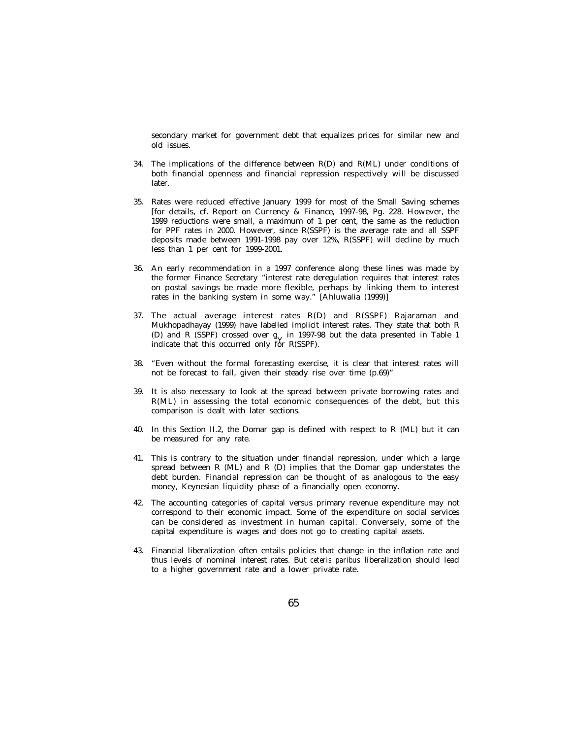secondary market for government debt that equalizes prices for similar new and old issues.

- 34. The implications of the difference between R(D) and R(ML) under conditions of both financial openness and financial repression respectively will be discussed later.
- 35. Rates were reduced effective January 1999 for most of the Small Saving schemes [for details, cf. Report on Currency & Finance, 1997-98, Pg. 228. However, the 1999 reductions were small, a maximum of 1 per cent, the same as the reduction for PPF rates in 2000. However, since R(SSPF) is the average rate and all SSPF deposits made between 1991-1998 pay over 12%, R(SSPF) will decline by much less than 1 per cent for 1999-2001.
- 36. An early recommendation in a 1997 conference along these lines was made by the former Finance Secretary "interest rate deregulation requires that interest rates on postal savings be made more flexible, perhaps by linking them to interest rates in the banking system in some way." [Ahluwalia (1999)]
- 37. The actual average interest rates R(D) and R(SSPF) Rajaraman and Mukhopadhayay (1999) have labelled implicit interest rates. They state that both R (D) and R (SSPF) crossed over  $g_V$  in 1997-98 but the data presented in Table 1 indicate that this occurred only  $f_{\rm orb}^{\rm A}$  p(SSDF) indicate that this occurred only for R(SSPF).
- 38. "Even without the formal forecasting exercise, it is clear that interest rates will not be forecast to fall, given their steady rise over time (p.69)"
- 39. It is also necessary to look at the spread between private borrowing rates and R(ML) in assessing the total economic consequences of the debt, but this comparison is dealt with later sections.
- 40. In this Section II.2, the Domar gap is defined with respect to R (ML) but it can be measured for any rate.
- 41. This is contrary to the situation under financial repression, under which a large spread between R (ML) and R (D) implies that the Domar gap understates the debt burden. Financial repression can be thought of as analogous to the easy money, Keynesian liquidity phase of a financially open economy.
- 42. The accounting categories of capital versus primary revenue expenditure may not correspond to their economic impact. Some of the expenditure on social services can be considered as investment in human capital. Conversely, some of the capital expenditure is wages and does not go to creating capital assets.
- 43. Financial liberalization often entails policies that change in the inflation rate and thus levels of nominal interest rates. But *ceteris paribus* liberalization should lead to a higher government rate and a lower private rate.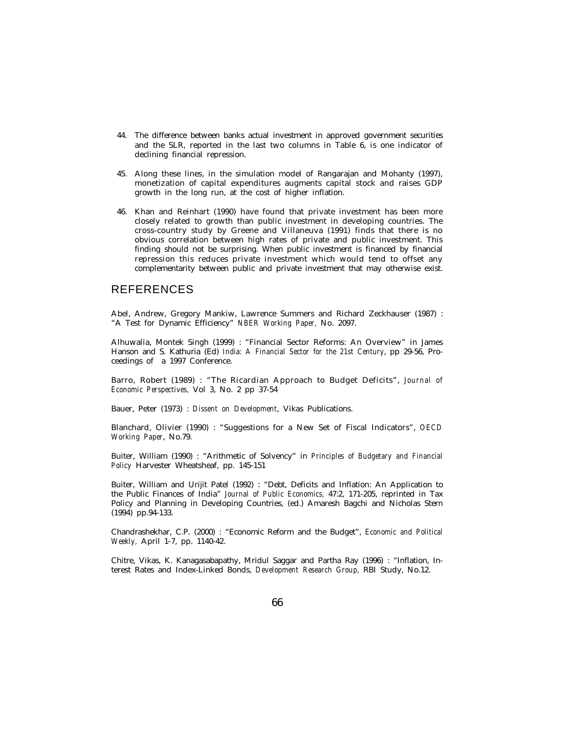- 44. The difference between banks actual investment in approved government securities and the SLR, reported in the last two columns in Table 6, is one indicator of declining financial repression.
- 45. Along these lines, in the simulation model of Rangarajan and Mohanty (1997), monetization of capital expenditures augments capital stock and raises GDP growth in the long run, at the cost of higher inflation.
- 46. Khan and Reinhart (1990) have found that private investment has been more closely related to growth than public investment in developing countries. The cross-country study by Greene and Villaneuva (1991) finds that there is no obvious correlation between high rates of private and public investment. This finding should not be surprising. When public investment is financed by financial repression this reduces private investment which would tend to offset any complementarity between public and private investment that may otherwise exist.

#### REFERENCES

Abel, Andrew, Gregory Mankiw, Lawrence Summers and Richard Zeckhauser (1987) : "A Test for Dynamic Efficiency" *NBER Working Paper,* No. 2097.

Alhuwalia, Montek Singh (1999) : "Financial Sector Reforms: An Overview" in James Hanson and S. Kathuria (Ed) *India: A Financial Sector for the 21st Century*, pp 29-56, Proceedings of a 1997 Conference.

Barro, Robert (1989) : "The Ricardian Approach to Budget Deficits", *Journal of Economic Perspectives,* Vol 3, No. 2 pp 37-54

Bauer, Peter (1973) : *Dissent on Development*, Vikas Publications.

Blanchard, Olivier (1990) : "Suggestions for a New Set of Fiscal Indicators", *OECD Working Paper*, No.79.

Buiter, William (1990) : "Arithmetic of Solvency" in *Principles of Budgetary and Financial Policy* Harvester Wheatsheaf, pp. 145-151

Buiter, William and Urijit Patel (1992) : "Debt, Deficits and Inflation: An Application to the Public Finances of India" *Journal of Public Economics,* 47:2, 171-205, reprinted in Tax Policy and Planning in Developing Countries, (ed.) Amaresh Bagchi and Nicholas Stern (1994) pp.94-133.

Chandrashekhar, C.P. (2000) : "Economic Reform and the Budget", *Economic and Political Weekly,* April 1-7, pp. 1140-42.

Chitre, Vikas, K. Kanagasabapathy, Mridul Saggar and Partha Ray (1996) : "Inflation, Interest Rates and Index-Linked Bonds, *Development Research Group,* RBI Study, No.12.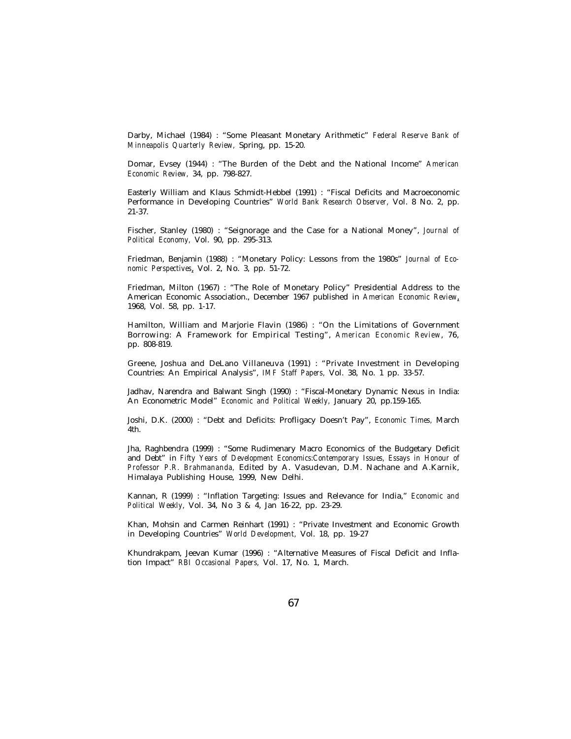Darby, Michael (1984) : "Some Pleasant Monetary Arithmetic" *Federal Reserve Bank of Minneapolis Quarterly Review,* Spring, pp. 15-20.

Domar, Evsey (1944) : "The Burden of the Debt and the National Income" *American Economic Review,* 34, pp. 798-827.

Easterly William and Klaus Schmidt-Hebbel (1991) : "Fiscal Deficits and Macroeconomic Performance in Developing Countries" *World Bank Research Observer,* Vol. 8 No. 2, pp. 21-37.

Fischer, Stanley (1980) : "Seignorage and the Case for a National Money", *Journal of Political Economy,* Vol. 90, pp. 295-313.

Friedman, Benjamin (1988) : "Monetary Policy: Lessons from the 1980s" *Journal of Economic Perspectives*, Vol. 2, No. 3, pp. 51-72.

Friedman, Milton (1967) : "The Role of Monetary Policy" Presidential Address to the American Economic Association., December 1967 published in *American Economic Review*, 1968, Vol. 58, pp. 1-17.

Hamilton, William and Marjorie Flavin (1986) : "On the Limitations of Government Borrowing: A Framework for Empirical Testing", *American Economic Review*, 76, pp. 808-819.

Greene, Joshua and DeLano Villaneuva (1991) : "Private Investment in Developing Countries: An Empirical Analysis", *IMF Staff Papers,* Vol. 38, No. 1 pp. 33-57.

Jadhav, Narendra and Balwant Singh (1990) : "Fiscal-Monetary Dynamic Nexus in India: An Econometric Model" *Economic and Political Weekly,* January 20, pp.159-165.

Joshi, D.K. (2000) : "Debt and Deficits: Profligacy Doesn't Pay", *Economic Times,* March 4th.

Jha, Raghbendra (1999) : "Some Rudimenary Macro Economics of the Budgetary Deficit and Debt" in *Fifty Years of Development Economics:Contemporary Issues, Essays in Honour of Professor P.R. Brahmananda,* Edited by A. Vasudevan, D.M. Nachane and A.Karnik, Himalaya Publishing House, 1999, New Delhi.

Kannan, R (1999) : "Inflation Targeting: Issues and Relevance for India," *Economic and Political Weekly,* Vol. 34, No 3 & 4, Jan 16-22, pp. 23-29.

Khan, Mohsin and Carmen Reinhart (1991) : "Private Investment and Economic Growth in Developing Countries" *World Development,* Vol. 18, pp. 19-27

Khundrakpam, Jeevan Kumar (1996) : "Alternative Measures of Fiscal Deficit and Inflation Impact" *RBI Occasional Papers,* Vol. 17, No. 1, March.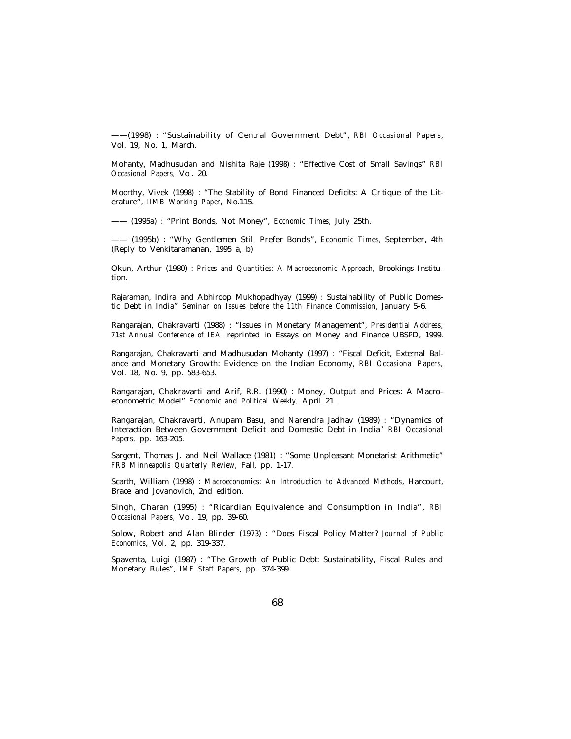——(1998) : "Sustainability of Central Government Debt", *RBI Occasional Papers*, Vol. 19, No. 1, March.

Mohanty, Madhusudan and Nishita Raje (1998) : "Effective Cost of Small Savings" *RBI Occasional Papers,* Vol. 20.

Moorthy, Vivek (1998) : "The Stability of Bond Financed Deficits: A Critique of the Literature", *IIMB Working Paper,* No.115.

—— (1995a) : "Print Bonds, Not Money", *Economic Times,* July 25th.

—— (1995b) : "Why Gentlemen Still Prefer Bonds", *Economic Times,* September, 4th (Reply to Venkitaramanan, 1995 a, b).

Okun, Arthur (1980) : *Prices and Quantities: A Macroeconomic Approach,* Brookings Institution.

Rajaraman, Indira and Abhiroop Mukhopadhyay (1999) : Sustainability of Public Domestic Debt in India" *Seminar on Issues before the 11th Finance Commission,* January 5-6.

Rangarajan, Chakravarti (1988) : "Issues in Monetary Management", *Presidential Address, 71st Annual Conference of IEA,* reprinted in Essays on Money and Finance UBSPD, 1999.

Rangarajan, Chakravarti and Madhusudan Mohanty (1997) : "Fiscal Deficit, External Balance and Monetary Growth: Evidence on the Indian Economy, *RBI Occasional Papers,* Vol. 18, No. 9, pp. 583-653.

Rangarajan, Chakravarti and Arif, R.R. (1990) : Money, Output and Prices: A Macroeconometric Model" *Economic and Political Weekly,* April 21.

Rangarajan, Chakravarti, Anupam Basu, and Narendra Jadhav (1989) : "Dynamics of Interaction Between Government Deficit and Domestic Debt in India" *RBI Occasional Papers,* pp. 163-205.

Sargent, Thomas J. and Neil Wallace (1981) : "Some Unpleasant Monetarist Arithmetic" *FRB Minneapolis Quarterly Review,* Fall, pp. 1-17.

Scarth, William (1998) : *Macroeconomics: An Introduction to Advanced Methods*, Harcourt, Brace and Jovanovich, 2nd edition.

Singh, Charan (1995) : "Ricardian Equivalence and Consumption in India", *RBI Occasional Papers,* Vol. 19, pp. 39-60.

Solow, Robert and Alan Blinder (1973) : "Does Fiscal Policy Matter? *Journal of Public Economics,* Vol. 2, pp. 319-337.

Spaventa, Luigi (1987) : "The Growth of Public Debt: Sustainability, Fiscal Rules and Monetary Rules", *IMF Staff Papers*, pp. 374-399.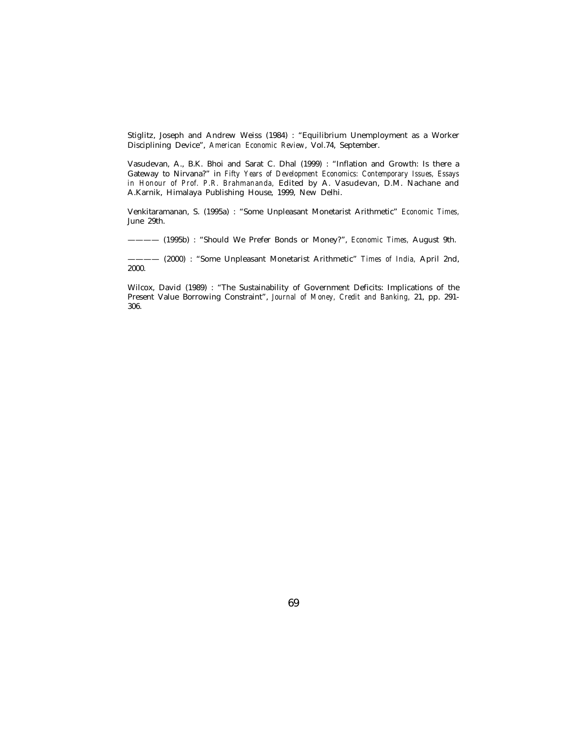Stiglitz, Joseph and Andrew Weiss (1984) : "Equilibrium Unemployment as a Worker Disciplining Device", *American Economic Review*, Vol.74, September.

Vasudevan, A., B.K. Bhoi and Sarat C. Dhal (1999) : "Inflation and Growth: Is there a Gateway to Nirvana?" in *Fifty Years of Development Economics: Contemporary Issues, Essays in Honour of Prof. P.R. Brahmananda,* Edited by A. Vasudevan, D.M. Nachane and A.Karnik, Himalaya Publishing House, 1999, New Delhi.

Venkitaramanan, S. (1995a) : "Some Unpleasant Monetarist Arithmetic" *Economic Times,* June 29th.

———— (1995b) : "Should We Prefer Bonds or Money?", *Economic Times,* August 9th.

———— (2000) : "Some Unpleasant Monetarist Arithmetic" *Times of India,* April 2nd, 2000.

Wilcox, David (1989) : "The Sustainability of Government Deficits: Implications of the Present Value Borrowing Constraint", *Journal of Money, Credit and Banking,* 21, pp. 291- 306.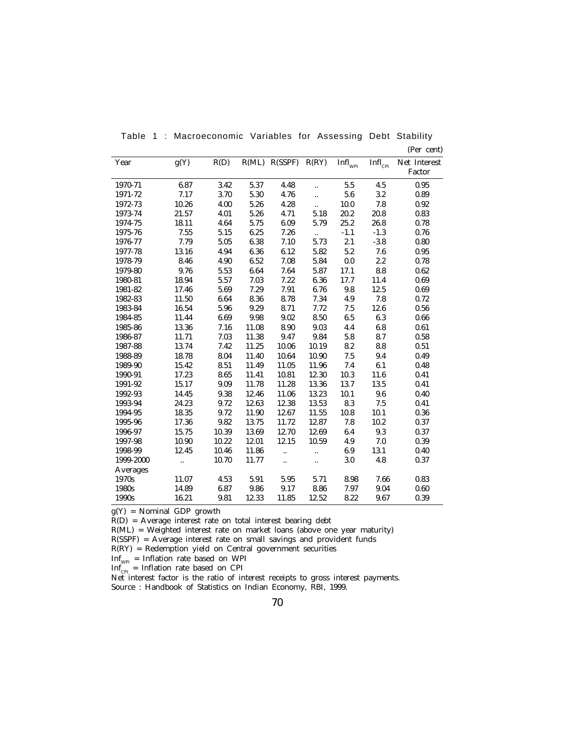| Year      | g(Y)                 | R(D)  | R(ML) | R(SSPF)              | R(RY)                | $\mathbf{Infl}_\text{WPI}$ | $\mathbf{Infl}_\mathrm{CPI}$ | Net Interest |
|-----------|----------------------|-------|-------|----------------------|----------------------|----------------------------|------------------------------|--------------|
|           |                      |       |       |                      |                      |                            |                              | Factor       |
| 1970-71   | 6.87                 | 3.42  | 5.37  | 4.48                 | $\ddotsc$            | 5.5                        | 4.5                          | 0.95         |
| 1971-72   | 7.17                 | 3.70  | 5.30  | 4.76                 | $\ddot{\phantom{a}}$ | 5.6                        | 3.2                          | 0.89         |
| 1972-73   | 10.26                | 4.00  | 5.26  | 4.28                 | $\ddotsc$            | 10.0                       | 7.8                          | 0.92         |
| 1973-74   | 21.57                | 4.01  | 5.26  | 4.71                 | 5.18                 | 20.2                       | 20.8                         | 0.83         |
| 1974-75   | 18.11                | 4.64  | 5.75  | 6.09                 | 5.79                 | 25.2                       | 26.8                         | 0.78         |
| 1975-76   | 7.55                 | 5.15  | 6.25  | 7.26                 |                      | $-1.1$                     | $-1.3$                       | 0.76         |
| 1976-77   | 7.79                 | 5.05  | 6.38  | 7.10                 | 5.73                 | 2.1                        | $-3.8$                       | 0.80         |
| 1977-78   | 13.16                | 4.94  | 6.36  | 6.12                 | 5.82                 | 5.2                        | 7.6                          | 0.95         |
| 1978-79   | 8.46                 | 4.90  | 6.52  | 7.08                 | 5.84                 | $0.0\,$                    | 2.2                          | 0.78         |
| 1979-80   | 9.76                 | 5.53  | 6.64  | 7.64                 | 5.87                 | 17.1                       | $\bf 8.8$                    | 0.62         |
| 1980-81   | 18.94                | 5.57  | 7.03  | 7.22                 | 6.36                 | 17.7                       | 11.4                         | 0.69         |
| 1981-82   | 17.46                | 5.69  | 7.29  | 7.91                 | 6.76                 | 9.8                        | 12.5                         | 0.69         |
| 1982-83   | 11.50                | 6.64  | 8.36  | 8.78                 | 7.34                 | 4.9                        | 7.8                          | 0.72         |
| 1983-84   | 16.54                | 5.96  | 9.29  | 8.71                 | 7.72                 | 7.5                        | 12.6                         | 0.56         |
| 1984-85   | 11.44                | 6.69  | 9.98  | $\boldsymbol{9.02}$  | 8.50                 | 6.5                        | 6.3                          | 0.66         |
| 1985-86   | 13.36                | 7.16  | 11.08 | 8.90                 | 9.03                 | 4.4                        | $6.8\,$                      | 0.61         |
| 1986-87   | 11.71                | 7.03  | 11.38 | 9.47                 | 9.84                 | 5.8                        | 8.7                          | 0.58         |
| 1987-88   | 13.74                | 7.42  | 11.25 | 10.06                | 10.19                | 8.2                        | 8.8                          | 0.51         |
| 1988-89   | 18.78                | 8.04  | 11.40 | 10.64                | 10.90                | $7.5\,$                    | 9.4                          | 0.49         |
| 1989-90   | 15.42                | 8.51  | 11.49 | 11.05                | 11.96                | $7.4\,$                    | 6.1                          | 0.48         |
| 1990-91   | 17.23                | 8.65  | 11.41 | 10.81                | 12.30                | 10.3                       | 11.6                         | 0.41         |
| 1991-92   | 15.17                | 9.09  | 11.78 | 11.28                | 13.36                | 13.7                       | 13.5                         | 0.41         |
| 1992-93   | 14.45                | 9.38  | 12.46 | 11.06                | 13.23                | 10.1                       | 9.6                          | 0.40         |
| 1993-94   | 24.23                | 9.72  | 12.63 | 12.38                | 13.53                | 8.3                        | 7.5                          | 0.41         |
| 1994-95   | 18.35                | 9.72  | 11.90 | 12.67                | 11.55                | 10.8                       | 10.1                         | 0.36         |
| 1995-96   | 17.36                | 9.82  | 13.75 | 11.72                | 12.87                | $7.8\,$                    | 10.2                         | 0.37         |
| 1996-97   | 15.75                | 10.39 | 13.69 | 12.70                | 12.69                | 6.4                        | 9.3                          | 0.37         |
| 1997-98   | 10.90                | 10.22 | 12.01 | 12.15                | 10.59                | 4.9                        | 7.0                          | 0.39         |
| 1998-99   | 12.45                | 10.46 | 11.86 | $\ddot{\phantom{a}}$ | $\ddotsc$            | 6.9                        | 13.1                         | 0.40         |
| 1999-2000 | $\ddot{\phantom{a}}$ | 10.70 | 11.77 |                      |                      | 3.0                        | 4.8                          | 0.37         |
| Averages  |                      |       |       |                      |                      |                            |                              |              |
| 1970s     | 11.07                | 4.53  | 5.91  | 5.95                 | 5.71                 | 8.98                       | 7.66                         | 0.83         |
| 1980s     | 14.89                | 6.87  | 9.86  | 9.17                 | 8.86                 | 7.97                       | 9.04                         | 0.60         |
| 1990s     | 16.21                | 9.81  | 12.33 | 11.85                | 12.52                | 8.22                       | 9.67                         | 0.39         |

Table 1 : Macroeconomic Variables for Assessing Debt Stability

(Per cent)

g(Y) = Nominal GDP growth

R(D) = Average interest rate on total interest bearing debt

R(ML) = Weighted interest rate on market loans (above one year maturity)

R(SSPF) = Average interest rate on small savings and provident funds

R(RY) = Redemption yield on Central government securities

 $Inf_{\text{WPI}} = Inf$  Inflation rate based on WPI

Inf $_{\mathrm{CPI}}$  = Inflation rate based on CPI

Net interest factor is the ratio of interest receipts to gross interest payments. Source : Handbook of Statistics on Indian Economy, RBI, 1999.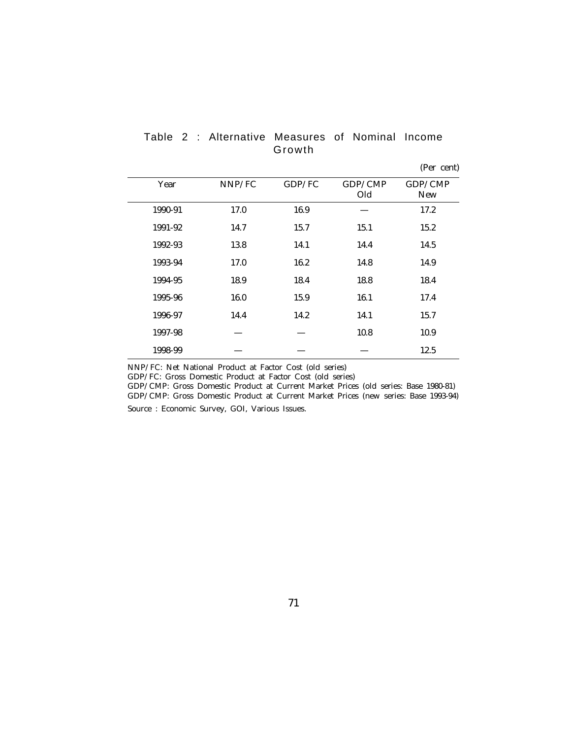| Year    | NNP/FC | GDP/FC | GDP/CMP | GDP/CMP    |
|---------|--------|--------|---------|------------|
|         |        |        | Old     | <b>New</b> |
| 1990-91 | 17.0   | 16.9   |         | 17.2       |
| 1991-92 | 14.7   | 15.7   | 15.1    | 15.2       |
| 1992-93 | 13.8   | 14.1   | 14.4    | 14.5       |
| 1993-94 | 17.0   | 16.2   | 14.8    | 14.9       |
| 1994-95 | 18.9   | 18.4   | 18.8    | 18.4       |
| 1995-96 | 16.0   | 15.9   | 16.1    | 17.4       |
| 1996-97 | 14.4   | 14.2   | 14.1    | 15.7       |
| 1997-98 |        |        | 10.8    | 10.9       |
| 1998-99 |        |        |         | 12.5       |

Table 2 : Alternative Measures of Nominal Income Growth

(Per cent)

NNP/FC: Net National Product at Factor Cost (old series)

GDP/FC: Gross Domestic Product at Factor Cost (old series)

GDP/CMP: Gross Domestic Product at Current Market Prices (old series: Base 1980-81) GDP/CMP: Gross Domestic Product at Current Market Prices (new series: Base 1993-94) Source : Economic Survey, GOI, Various Issues.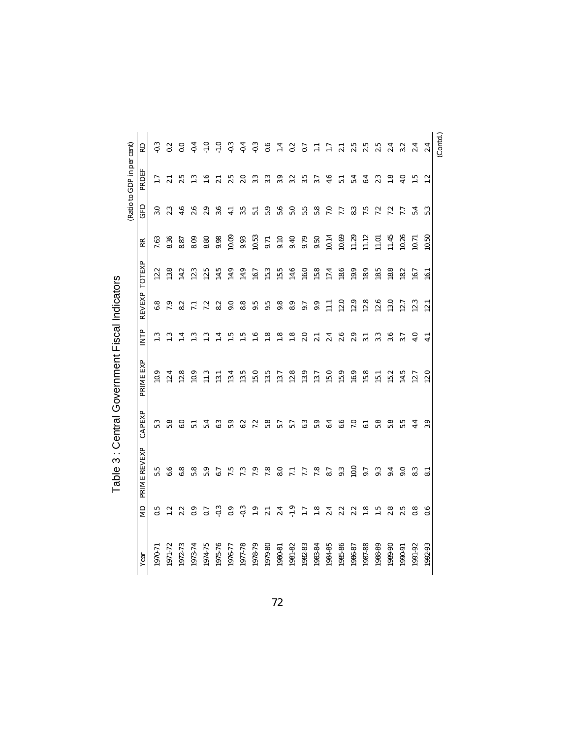| Year    | $\mathbb{R}$     | PRIME REVEXP            | CAPEXP          | PRIME EXP | <b>EXITP</b>     | <b>REVEXP</b>    | TOTEXP | RR    | GFD              | (Ratio to GDP in per cent)<br>PRDEF | RD                        |
|---------|------------------|-------------------------|-----------------|-----------|------------------|------------------|--------|-------|------------------|-------------------------------------|---------------------------|
|         |                  |                         |                 |           |                  |                  |        |       |                  |                                     |                           |
| 1970-71 | 0.5              | 5.5                     | 5.3             | 10.9      | 1.3              | $\bf 6.8$        | 12.2   | 7.63  | 3.0              | $\overline{1.7}$                    | $-0.3$                    |
| 1971-72 | 1.2              | 6.6                     | 5.8             | 12.4      | $\ddot{\cdot}$   | 7.9              | 13.8   | 8.36  | 2.3              | $\overline{21}$                     | $\overline{0.2}$          |
| 1972-73 | 2.2              | 6.8                     | 6.0             | 12.8      | ≊                | 8.2              | 14.2   | 8.87  | 4.6              | 2.5                                 | $\overline{0.0}$          |
| 1973-74 | 0.9              | 5.8                     | $\overline{51}$ | 10.9      | <u>ೆ</u>         | $\overline{z}$   | 12.3   | 8.09  | 2.6              | $\ddot{1}$                          | $-0.4$                    |
| 1974-75 | 0.7              | 5.9                     | 5.4             | 11.3      | نی               | 7.2              | 12.5   | 8.80  | 2.9              | $\frac{6}{10}$                      | $-1.0$                    |
| 1975-76 | $-0.3$           | 6.7                     | 6.3             | 13.1      |                  | 8.2              | 14.5   | 9.98  | 3.6              | $\overline{21}$                     | $-1.0$                    |
| 1976-77 | 0.9              | 7.5                     | 5.9             | 13.4      | د.<br>م          | 9.0              | 14.9   | 10.09 | $\frac{1}{4}$    | 2.5                                 | $-0.3$                    |
| 1977-78 | $-0.3$           | 7.3                     | 6.2             | 13.5      | ட்               | 8.8              | 14.9   | 9.93  | $3.\overline{5}$ | 2.0                                 | $-0.4$                    |
| 1978-79 | $\frac{0}{1}$    | 7.9                     | 7.2             | 15.0      | $\frac{6}{1}$    | 9.5              | 16.7   | 10.53 | $\overline{5}$ . | 3.3                                 | $-0.3$                    |
| 1979-80 | 2.1              | 7.8                     | 5.8             | 13.5      | $\frac{8}{1}$    | $9.\overline{5}$ | 15.3   | 9.71  | 5.9              | 3.3                                 | 0.6                       |
| 1980-81 | 2.4              | 8.0                     | 5.7             | 13.7      | $\frac{8}{1}$    | 9.8              | 15.5   | 9.10  | 5.6              | 3.9                                 | $\mathbf{I}^{\mathbf{4}}$ |
| 1981-82 | $-1.9$           | $\overline{71}$         | 5.7             | 12.8      | $\frac{8}{1}$    | 8.9              | 14.6   | 9.40  | 5.0              | 3.2                                 | 0.2                       |
| 1982-83 | $\overline{1.7}$ | 7.7                     | 6.3             | 13.9      | 2.0              | 9.7              | 16.0   | 9.79  | 5.5              | 3.5                                 | 0.7                       |
| 1983-84 | $\frac{8}{1}$    | 7.8                     | 5.9             | 13.7      | $\overline{21}$  | 9.9              | 15.8   | 9.50  | 5.8              | 3.7                                 |                           |
| 1984-85 | 2.4              | 8.7                     | 6.4             | 15.0      | 2.4              | $\Xi$            | 17.4   | 10.14 | $\overline{7.0}$ | 4.6                                 | $\overline{11}$           |
| 1985-86 | 2.2              | 9.3                     | 6.6             | 15.9      | 2.6              | 12.0             | 18.6   | 10.69 | 7.7              | $\overline{5}$                      | $\ddot{\sim}$             |
| 1986-87 | 2.2              | 10.0                    | 7.0             | 16.9      | 2.9              | 12.9             | 19.9   | 11.29 | 8.3              | 5.4                                 | 2.5                       |
| 1987-88 | $\frac{8}{1}$    | 9.7                     | ಪ               | 15.8      | $\overline{3.1}$ | 12.8             | 18.9   | 11.12 | 7.5              | 6.4                                 | 2.5                       |
| 1988-89 | $\frac{5}{11}$   | 9.3                     | 5.8             | 15.1      | 3.3              | 12.6             | 18.5   | 11.01 | 7.2              | 2.3                                 | 2.5                       |
| 1989-90 | 2.8              | 9.4                     | 5.8             | 15.2      | 3.6              | 13.0             | 18.8   | 11.45 | 7.2              | $\frac{8}{1}$                       | 2.4                       |
| 1990-91 | 2.5              | 9.0                     | 5.5             | 14.5      | 3.7              | 12.7             | 18.2   | 10.26 | 7.7              | 4.0                                 | 3.2                       |
| 1991-92 | 0.8              | 8.3                     | 4.4             | 12.7      | $\ddot{ }$       | 12.3             | 16.7   | 10.71 | 5.4              | $\frac{5}{1}$                       | 2.4                       |
| 1992-93 | 0.6              | $\overline{\mathbf{3}}$ | 3.9             | 12.0      | 4.1              | 12.1             | $\Xi$  | 10.50 | 5.3              | 1.2                                 | 2.4                       |

| ミノキノニ         |  |
|---------------|--|
| š             |  |
| - 125200117   |  |
| ؛<br>ľ        |  |
| $\frac{1}{3}$ |  |

72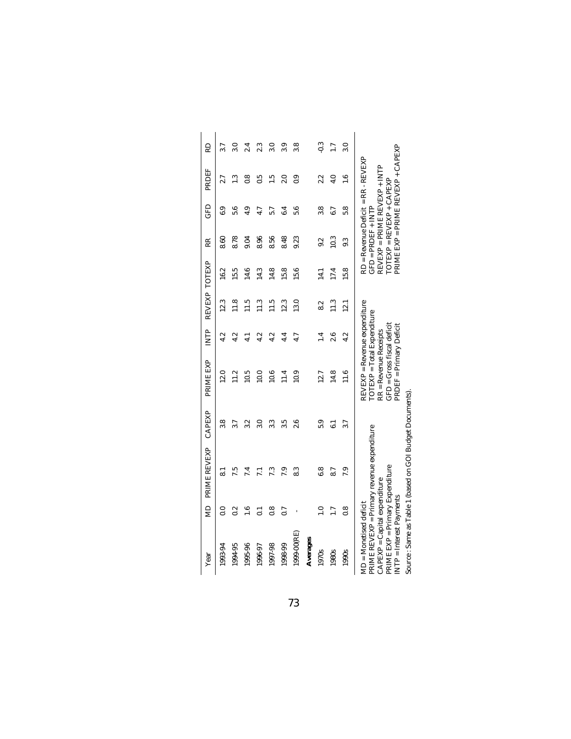| Year                                                                                                                      | g                | PRIME REVEXP                                            | CAPEXP | PRIME EXP                                                                                                                                         | ÈNTP            |                | REVEXP TOTEXP | RR                   | GFD                      | PRDEF                                                                                                     | RD               |
|---------------------------------------------------------------------------------------------------------------------------|------------------|---------------------------------------------------------|--------|---------------------------------------------------------------------------------------------------------------------------------------------------|-----------------|----------------|---------------|----------------------|--------------------------|-----------------------------------------------------------------------------------------------------------|------------------|
| 1993-94                                                                                                                   | $\overline{0.0}$ | ಪ                                                       | 3.8    | 12.0                                                                                                                                              | 4.2             | 12.3           | 16.2          | 8.60                 | 6.9                      | 2.7                                                                                                       | 3.7              |
| 1994-95                                                                                                                   | 0.2              | 7.5                                                     | 3.7    | 11.2                                                                                                                                              | 4.2             | $\frac{8}{11}$ | 15.5          | 8.78                 | 5.6                      | 1.3                                                                                                       | $\overline{3.0}$ |
| 1995-96                                                                                                                   | $\frac{6}{1}$    | 7.4                                                     | 3.2    | 10.5                                                                                                                                              | $\frac{1}{4}$   | 11.5           | 14.6          | 0.04                 | 4.9                      | $\frac{8}{1}$                                                                                             | 2.4              |
| 1996-97                                                                                                                   | $\overline{0}$   | こ                                                       | 3.0    | 10.0                                                                                                                                              | 4.2             | $\frac{3}{11}$ | 14.3          | 8.96                 | 4.7                      | $\ddot{0}$                                                                                                | 2.3              |
| 1997-98                                                                                                                   | $\frac{8}{1}$    | 7.3                                                     | 3.3    | 10.6                                                                                                                                              | 4.2             | $\frac{1}{11}$ | 14.8          | 8.56                 | 5.7                      | $\frac{5}{1}$                                                                                             | $\overline{3.0}$ |
| 1998-99                                                                                                                   | 0.7              | 7.9                                                     | 3.5    | 11.4                                                                                                                                              | 4.4             | 12.3           | 15.8          | 8.48                 | 6.4                      | 2.0                                                                                                       | 3.9              |
| $1999 - 00$ (RE)                                                                                                          |                  | 8.3                                                     | 2.6    | 10.9                                                                                                                                              | 4.7             | 13.0           | 15.6          | 9.23                 | 5.6                      | $\frac{6}{3}$                                                                                             | 3.8              |
| Averages                                                                                                                  |                  |                                                         |        |                                                                                                                                                   |                 |                |               |                      |                          |                                                                                                           |                  |
| 1970s                                                                                                                     | $\frac{0}{1}$    | 6.8                                                     | 5.9    | 12.7                                                                                                                                              | $\overline{14}$ | 8.2            | $\Xi$         | 9.2                  | 3.8                      | 2.2                                                                                                       | $-0.3$           |
| 1980s                                                                                                                     | $\overline{1.7}$ | 8.7                                                     | ಪ      | 14.8                                                                                                                                              | 2.6             | 11.3           | 17.4          | 10.3                 | 6.7                      | 4.0                                                                                                       | $\overline{1.7}$ |
| 1990s                                                                                                                     | $\frac{8}{1}$    | 7.9                                                     | 3.7    | $\frac{1}{11.6}$                                                                                                                                  | 4.2             | 12.1           | 15.8          | 9.3                  | 5.8                      | $\frac{6}{11}$                                                                                            | 3.0              |
| PRIME EXP = Primary Expenditure<br>$CAPEXP = Capital expenditure$<br>INTP = Interest Payments<br>$MD = Monetised deficit$ |                  | PRIME REVEXP = Primary revenue expenditure              |        | $REVER = Revenue$ expenditure<br>TOTEXP = Total Expenditure<br>$GFD = Gross$ fiscal deficit<br>PRDEF = Primary Deficit<br>$RR = Revenue$ Receipts |                 |                |               | $GFD = PRDEF + INTP$ | TOTEXP = REVEXP + CAPEXP | PRIME EXP = PRIME REVEXP + CAPEXP<br>$RD = Revenue Deficit = RR - REVEXP$<br>REVEXP = PRIME REVEXP + INTP |                  |
|                                                                                                                           |                  | Source: Same as Table 1 (based on GOI Budget Documents) |        |                                                                                                                                                   |                 |                |               |                      |                          |                                                                                                           |                  |

Source : Same as Table 1 (based on GOI Budget Documents).ig⊡<br>Do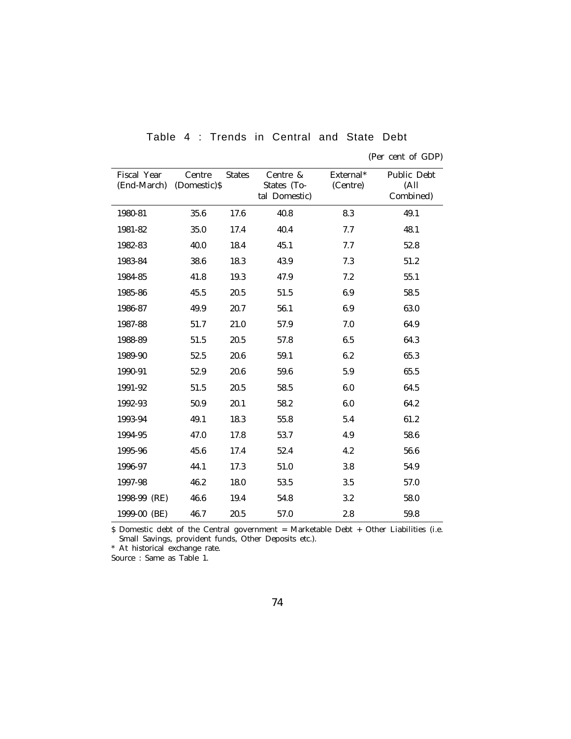| Fiscal Year<br>(End-March) (Domestic)\$ | Centre | <b>States</b> | Centre &<br>States (To-<br>tal Domestic) | External*<br>(Centre) | Public Debt<br>(A <sub>ll</sub> )<br>Combined) |
|-----------------------------------------|--------|---------------|------------------------------------------|-----------------------|------------------------------------------------|
| 1980-81                                 | 35.6   | 17.6          | 40.8                                     | 8.3                   | 49.1                                           |
| 1981-82                                 | 35.0   | 17.4          | 40.4                                     | 7.7                   | 48.1                                           |
| 1982-83                                 | 40.0   | 18.4          | 45.1                                     | 7.7                   | 52.8                                           |
| 1983-84                                 | 38.6   | 18.3          | 43.9                                     | 7.3                   | 51.2                                           |
| 1984-85                                 | 41.8   | 19.3          | 47.9                                     | 7.2                   | 55.1                                           |
| 1985-86                                 | 45.5   | 20.5          | 51.5                                     | 6.9                   | 58.5                                           |
| 1986-87                                 | 49.9   | 20.7          | 56.1                                     | 6.9                   | 63.0                                           |
| 1987-88                                 | 51.7   | 21.0          | 57.9                                     | 7.0                   | 64.9                                           |
| 1988-89                                 | 51.5   | 20.5          | 57.8                                     | 6.5                   | 64.3                                           |
| 1989-90                                 | 52.5   | 20.6          | 59.1                                     | 6.2                   | 65.3                                           |
| 1990-91                                 | 52.9   | 20.6          | 59.6                                     | 5.9                   | 65.5                                           |
| 1991-92                                 | 51.5   | 20.5          | 58.5                                     | 6.0                   | 64.5                                           |
| 1992-93                                 | 50.9   | 20.1          | 58.2                                     | 6.0                   | 64.2                                           |
| 1993-94                                 | 49.1   | 18.3          | 55.8                                     | 5.4                   | 61.2                                           |
| 1994-95                                 | 47.0   | 17.8          | 53.7                                     | 4.9                   | 58.6                                           |
| 1995-96                                 | 45.6   | 17.4          | 52.4                                     | 4.2                   | 56.6                                           |
| 1996-97                                 | 44.1   | 17.3          | 51.0                                     | 3.8                   | 54.9                                           |
| 1997-98                                 | 46.2   | 18.0          | 53.5                                     | 3.5                   | 57.0                                           |
| 1998-99 (RE)                            | 46.6   | 19.4          | 54.8                                     | 3.2                   | 58.0                                           |
| 1999-00 (BE)                            | 46.7   | 20.5          | 57.0                                     | 2.8                   | 59.8                                           |

Table 4 : Trends in Central and State Debt

\$ Domestic debt of the Central government = Marketable Debt + Other Liabilities (i.e. Small Savings, provident funds, Other Deposits etc.).

\* At historical exchange rate.

Source : Same as Table 1.

<sup>(</sup>Per cent of GDP)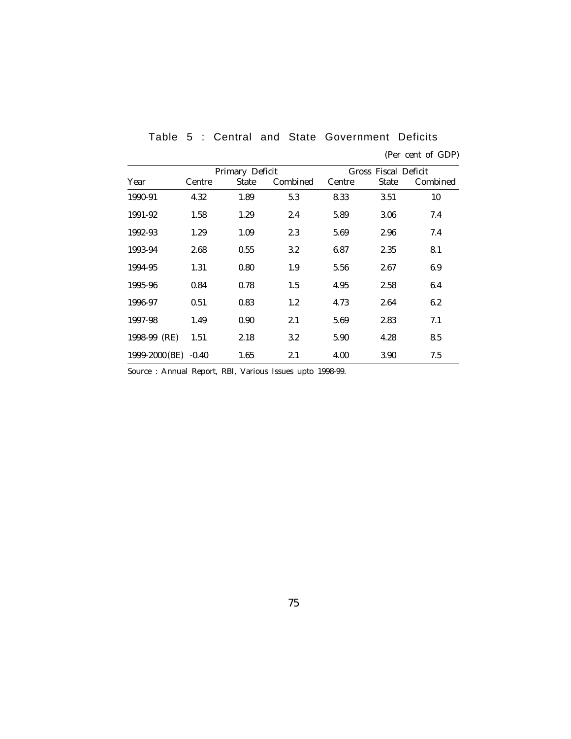|                      |        | Primary Deficit |          |        | Gross Fiscal Deficit |          |
|----------------------|--------|-----------------|----------|--------|----------------------|----------|
| Year                 | Centre | <b>State</b>    | Combined | Centre | <b>State</b>         | Combined |
| 1990-91              | 4.32   | 1.89            | 5.3      | 8.33   | 3.51                 | 10       |
| 1991-92              | 1.58   | 1.29            | 2.4      | 5.89   | 3.06                 | 7.4      |
| 1992-93              | 1.29   | 1.09            | 2.3      | 5.69   | 2.96                 | 7.4      |
| 1993-94              | 2.68   | 0.55            | 3.2      | 6.87   | 2.35                 | 8.1      |
| 1994-95              | 1.31   | 0.80            | 1.9      | 5.56   | 2.67                 | 6.9      |
| 1995-96              | 0.84   | 0.78            | 1.5      | 4.95   | 2.58                 | 6.4      |
| 1996-97              | 0.51   | 0.83            | 1.2      | 4.73   | 2.64                 | 6.2      |
| 1997-98              | 1.49   | 0.90            | 2.1      | 5.69   | 2.83                 | 7.1      |
| 1998-99 (RE)         | 1.51   | 2.18            | 3.2      | 5.90   | 4.28                 | 8.5      |
| 1999-2000 (BE) -0.40 |        | 1.65            | 2.1      | 4.00   | 3.90                 | 7.5      |

Table 5 : Central and State Government Deficits (Per cent of GDP)

Source : Annual Report, RBI, Various Issues upto 1998-99.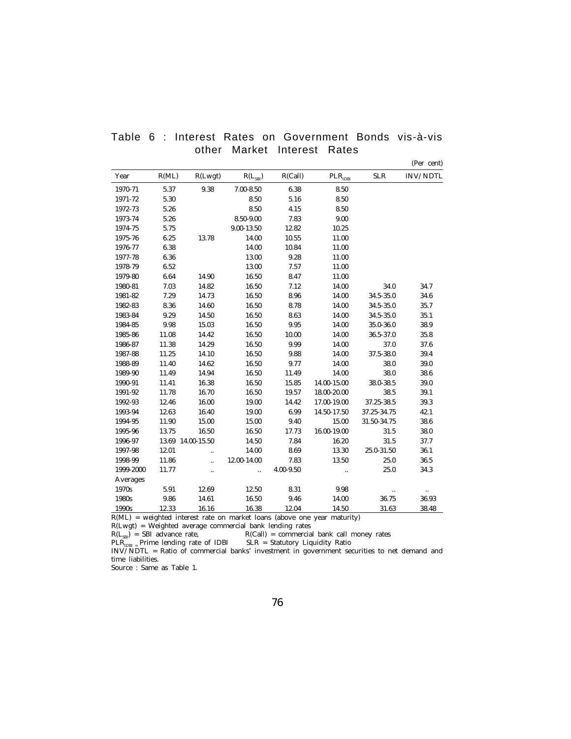|  |  |  |                             |  | Table 6 : Interest Rates on Government Bonds vis-à-vis |
|--|--|--|-----------------------------|--|--------------------------------------------------------|
|  |  |  | other Market Interest Rates |  |                                                        |

(Per cent)

| Year      | R(ML) | R(Lwgt)           | $R(L_{SBI})$         | R(Call)   | $PLR_{IDBI}$ | <b>SLR</b>  | <b>INV/NDTL</b> |
|-----------|-------|-------------------|----------------------|-----------|--------------|-------------|-----------------|
| 1970-71   | 5.37  | 9.38              | $7.00 - 8.50$        | 6.38      | 8.50         |             |                 |
| 1971-72   | 5.30  |                   | 8.50                 | 5.16      | 8.50         |             |                 |
| 1972-73   | 5.26  |                   | 8.50                 | 4.15      | 8.50         |             |                 |
| 1973-74   | 5.26  |                   | 8.50-9.00            | 7.83      | 9.00         |             |                 |
| 1974-75   | 5.75  |                   | $9.00 - 13.50$       | 12.82     | 10.25        |             |                 |
| 1975-76   | 6.25  | 13.78             | 14.00                | 10.55     | 11.00        |             |                 |
| 1976-77   | 6.38  |                   | 14.00                | 10.84     | 11.00        |             |                 |
| 1977-78   | 6.36  |                   | 13.00                | 9.28      | 11.00        |             |                 |
| 1978-79   | 6.52  |                   | 13.00                | 7.57      | 11.00        |             |                 |
| 1979-80   | 6.64  | 14.90             | 16.50                | 8.47      | 11.00        |             |                 |
| 1980-81   | 7.03  | 14.82             | 16.50                | 7.12      | 14.00        | 34.0        | 34.7            |
| 1981-82   | 7.29  | 14.73             | 16.50                | 8.96      | $14.00\,$    | 34.5-35.0   | 34.6            |
| 1982-83   | 8.36  | 14.60             | 16.50                | 8.78      | 14.00        | 34.5-35.0   | 35.7            |
| 1983-84   | 9.29  | 14.50             | 16.50                | 8.63      | 14.00        | 34.5-35.0   | 35.1            |
| 1984-85   | 9.98  | 15.03             | 16.50                | 9.95      | 14.00        | 35.0-36.0   | 38.9            |
| 1985-86   | 11.08 | 14.42             | 16.50                | 10.00     | 14.00        | 36.5-37.0   | 35.8            |
| 1986-87   | 11.38 | 14.29             | 16.50                | 9.99      | 14.00        | 37.0        | 37.6            |
| 1987-88   | 11.25 | 14.10             | 16.50                | 9.88      | 14.00        | 37.5-38.0   | 39.4            |
| 1988-89   | 11.40 | 14.62             | 16.50                | 9.77      | 14.00        | 38.0        | $39.0\,$        |
| 1989-90   | 11.49 | 14.94             | 16.50                | 11.49     | 14.00        | 38.0        | 38.6            |
| 1990-91   | 11.41 | 16.38             | 16.50                | 15.85     | 14.00-15.00  | 38.0-38.5   | 39.0            |
| 1991-92   | 11.78 | 16.70             | 16.50                | 19.57     | 18.00-20.00  | 38.5        | 39.1            |
| 1992-93   | 12.46 | 16.00             | 19.00                | 14.42     | 17.00-19.00  | 37.25-38.5  | 39.3            |
| 1993-94   | 12.63 | 16.40             | 19.00                | 6.99      | 14.50-17.50  | 37.25-34.75 | 42.1            |
| 1994-95   | 11.90 | 15.00             | 15.00                | 9.40      | 15.00        | 31.50-34.75 | 38.6            |
| 1995-96   | 13.75 | 16.50             | 16.50                | 17.73     | 16.00-19.00  | 31.5        | 38.0            |
| 1996-97   |       | 13.69 14.00-15.50 | 14.50                | 7.84      | 16.20        | 31.5        | 37.7            |
| 1997-98   | 12.01 |                   | 14.00                | 8.69      | 13.30        | 25.0-31.50  | 36.1            |
| 1998-99   | 11.86 | $\ddotsc$         | 12.00-14.00          | 7.83      | 13.50        | 25.0        | 36.5            |
| 1999-2000 | 11.77 | Ξ.                | $\ddot{\phantom{a}}$ | 4.00-9.50 |              | 25.0        | 34.3            |
| Averages  |       |                   |                      |           |              |             |                 |
| 1970s     | 5.91  | 12.69             | 12.50                | 8.31      | 9.98         | $\ldots$    |                 |
| 1980s     | 9.86  | 14.61             | 16.50                | 9.46      | 14.00        | 36.75       | 36.93           |
| 1990s     | 12.33 | 16.16             | 16.38                | 12.04     | 14.50        | 31.63       | 38.48           |

R(ML) = weighted interest rate on market loans (above one year maturity)

R(Lwgt) = Weighted average commercial bank lending rates

 $R(L_{\text{SBI}})$  = SBI advance rate,  $R(Call)$  = commercial bank call money rates

PLR<sub>IDBI =</sub> Prime lending rate of IDBI SLR = Statutory Liquidity Ratio<br>INV/NDTL = Ratio of commercial banks' investment in government securities to net demand and time liabilities.

Source : Same as Table 1.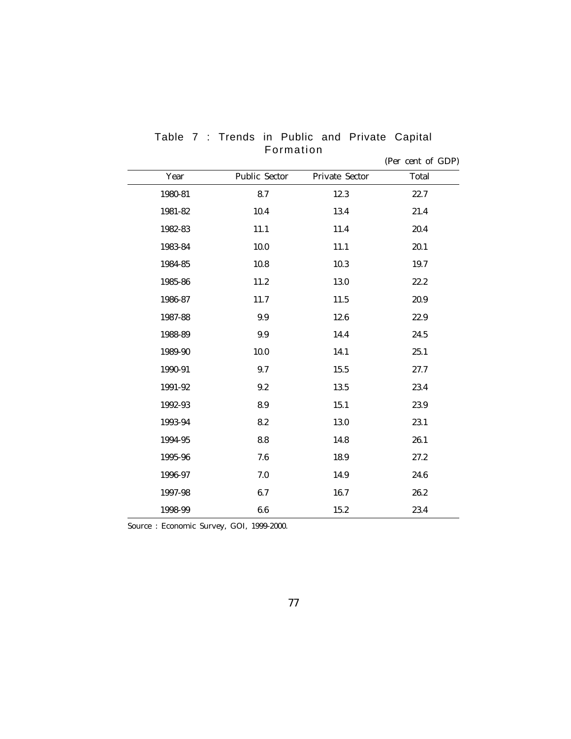|         |               |                | $\frac{1}{2}$ |
|---------|---------------|----------------|---------------|
| Year    | Public Sector | Private Sector | Total         |
| 1980-81 | 8.7           | 12.3           | 22.7          |
| 1981-82 | 10.4          | 13.4           | 21.4          |
| 1982-83 | $11.1\,$      | 11.4           | 20.4          |
| 1983-84 | $10.0\,$      | 11.1           | 20.1          |
| 1984-85 | $10.8\,$      | 10.3           | 19.7          |
| 1985-86 | 11.2          | 13.0           | 22.2          |
| 1986-87 | 11.7          | 11.5           | 20.9          |
| 1987-88 | 9.9           | 12.6           | 22.9          |
| 1988-89 | 9.9           | 14.4           | 24.5          |
| 1989-90 | 10.0          | 14.1           | 25.1          |
| 1990-91 | 9.7           | 15.5           | 27.7          |
| 1991-92 | 9.2           | 13.5           | 23.4          |
| 1992-93 | 8.9           | 15.1           | 23.9          |
| 1993-94 | 8.2           | 13.0           | 23.1          |
| 1994-95 | 8.8           | 14.8           | 26.1          |
| 1995-96 | 7.6           | 18.9           | 27.2          |
| 1996-97 | 7.0           | 14.9           | 24.6          |
| 1997-98 | 6.7           | 16.7           | 26.2          |
| 1998-99 | 6.6           | 15.2           | 23.4          |

Table 7 : Trends in Public and Private Capital Formation (Per cent of GDP)

Source : Economic Survey, GOI, 1999-2000.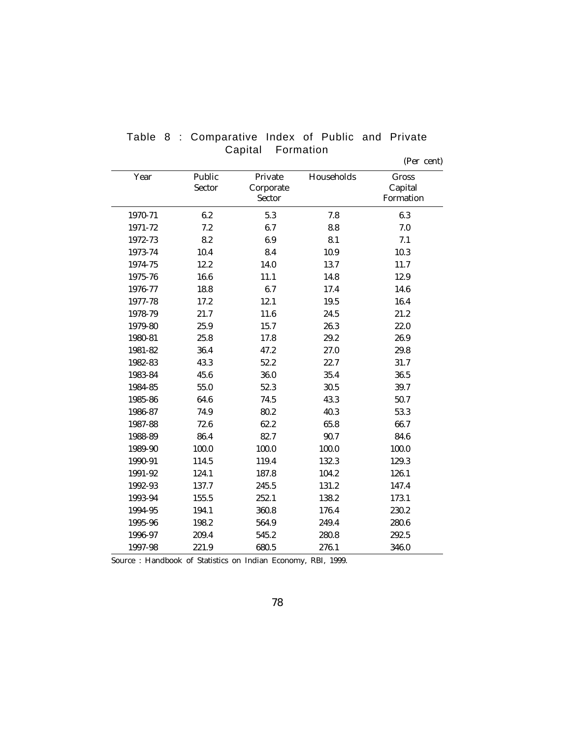| Year    | Public | Private   | Households | Gross     |
|---------|--------|-----------|------------|-----------|
|         | Sector | Corporate |            | Capital   |
|         |        | Sector    |            | Formation |
| 1970-71 | 6.2    | 5.3       | 7.8        | 6.3       |
| 1971-72 | 7.2    | 6.7       | 8.8        | 7.0       |
| 1972-73 | 8.2    | 6.9       | 8.1        | 7.1       |
| 1973-74 | 10.4   | 8.4       | 10.9       | 10.3      |
| 1974-75 | 12.2   | 14.0      | 13.7       | 11.7      |
| 1975-76 | 16.6   | 11.1      | 14.8       | 12.9      |
| 1976-77 | 18.8   | 6.7       | 17.4       | 14.6      |
| 1977-78 | 17.2   | 12.1      | 19.5       | 16.4      |
| 1978-79 | 21.7   | 11.6      | 24.5       | 21.2      |
| 1979-80 | 25.9   | 15.7      | 26.3       | 22.0      |
| 1980-81 | 25.8   | 17.8      | 29.2       | 26.9      |
| 1981-82 | 36.4   | 47.2      | 27.0       | 29.8      |
| 1982-83 | 43.3   | 52.2      | 22.7       | 31.7      |
| 1983-84 | 45.6   | 36.0      | 35.4       | 36.5      |
| 1984-85 | 55.0   | 52.3      | 30.5       | 39.7      |
| 1985-86 | 64.6   | 74.5      | 43.3       | 50.7      |
| 1986-87 | 74.9   | 80.2      | 40.3       | 53.3      |
| 1987-88 | 72.6   | 62.2      | 65.8       | 66.7      |
| 1988-89 | 86.4   | 82.7      | 90.7       | 84.6      |
| 1989-90 | 100.0  | 100.0     | 100.0      | 100.0     |
| 1990-91 | 114.5  | 119.4     | 132.3      | 129.3     |
| 1991-92 | 124.1  | 187.8     | 104.2      | 126.1     |
| 1992-93 | 137.7  | 245.5     | 131.2      | 147.4     |
| 1993-94 | 155.5  | 252.1     | 138.2      | 173.1     |
| 1994-95 | 194.1  | 360.8     | 176.4      | 230.2     |
| 1995-96 | 198.2  | 564.9     | 249.4      | 280.6     |
| 1996-97 | 209.4  | 545.2     | 280.8      | 292.5     |
| 1997-98 | 221.9  | 680.5     | 276.1      | 346.0     |

Table 8 : Comparative Index of Public and Private Capital Formation

(Per cent)

Source : Handbook of Statistics on Indian Economy, RBI, 1999.